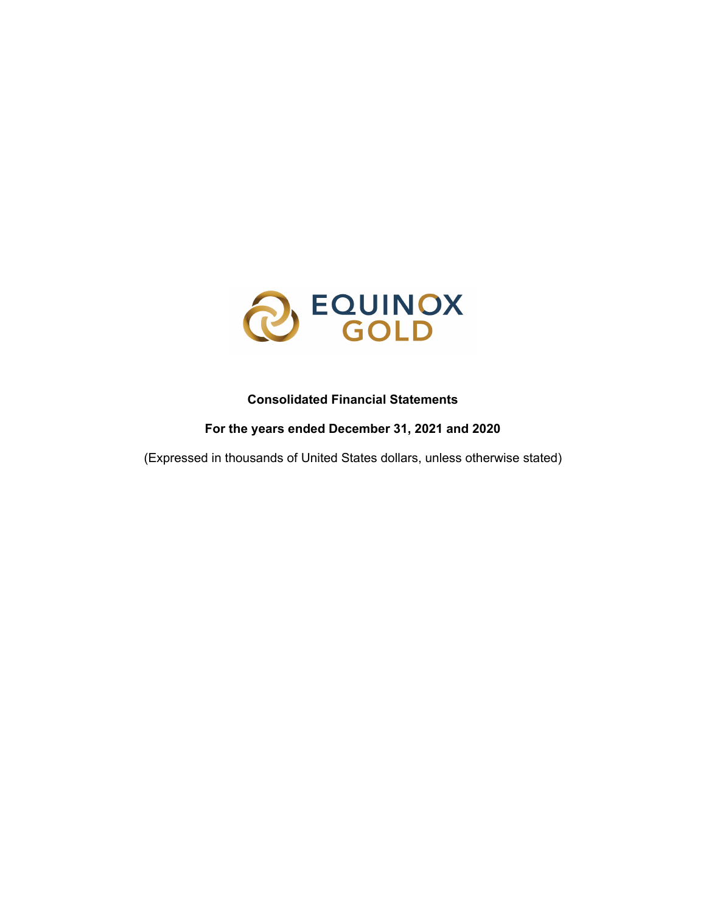

### **Consolidated Financial Statements**

**For the years ended December 31, 2021 and 2020**

(Expressed in thousands of United States dollars, unless otherwise stated)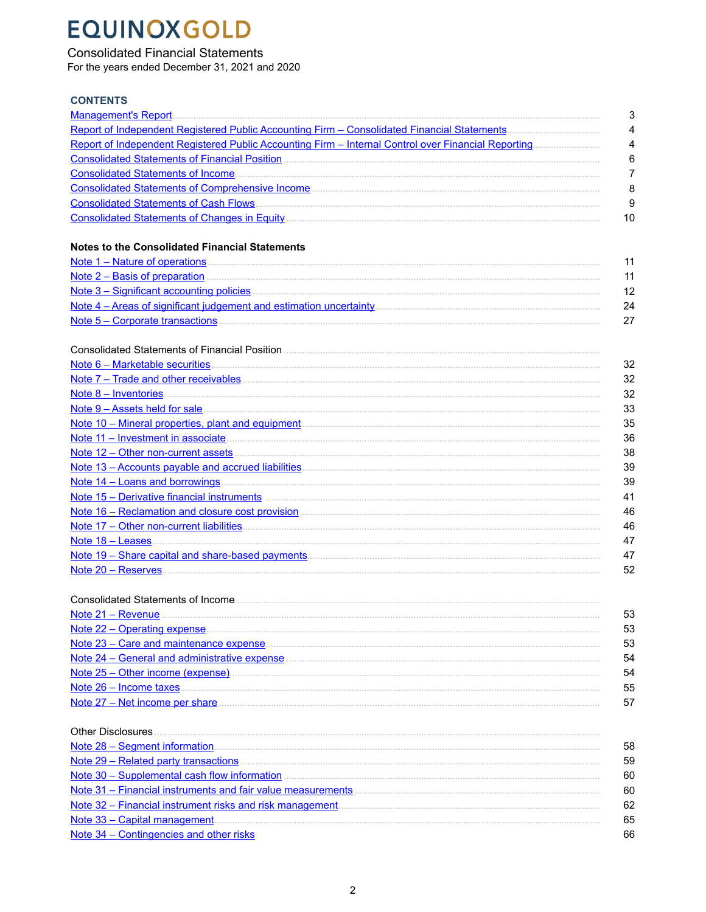### **Consolidated Financial Statements**

For the years ended December 31, 2021 and 2020

### **CONTENTS**

|                                                                                                                                                                                                                                     | G          |
|-------------------------------------------------------------------------------------------------------------------------------------------------------------------------------------------------------------------------------------|------------|
|                                                                                                                                                                                                                                     | 4          |
|                                                                                                                                                                                                                                     | 4          |
|                                                                                                                                                                                                                                     | Е          |
|                                                                                                                                                                                                                                     | 7          |
|                                                                                                                                                                                                                                     | ε          |
|                                                                                                                                                                                                                                     | $\epsilon$ |
|                                                                                                                                                                                                                                     | 10         |
| <b>Notes to the Consolidated Financial Statements</b>                                                                                                                                                                               |            |
|                                                                                                                                                                                                                                     | 11         |
| Note 2 – Basis of preparation <b>Exercise Construction</b> and a set of preparation <b>and the 2</b> – Basis of preparation                                                                                                         | 11         |
|                                                                                                                                                                                                                                     | 12         |
|                                                                                                                                                                                                                                     | 24         |
|                                                                                                                                                                                                                                     | 27         |
|                                                                                                                                                                                                                                     |            |
|                                                                                                                                                                                                                                     | 32         |
|                                                                                                                                                                                                                                     | 32         |
|                                                                                                                                                                                                                                     | 32         |
|                                                                                                                                                                                                                                     | 33         |
|                                                                                                                                                                                                                                     | 35         |
| Note 11 – Investment in associate measurement control of the state of the state of the state of the state of the state of the state of the state of the state of the state of the state of the state of the state of the state      | 36         |
|                                                                                                                                                                                                                                     | 38         |
|                                                                                                                                                                                                                                     | 39         |
|                                                                                                                                                                                                                                     | 39         |
| Note 15 – Derivative financial instruments <b>Executive Constructs</b> and the set of the set of the set of the set of the set of the set of the set of the set of the set of the set of the set of the set of the set of the set o | 41         |
| Note 16 – Reclamation and closure cost provision                                                                                                                                                                                    | ΔF         |

| 46 |
|----|
|    |
|    |
|    |

| Note 21 - Revenue                            |    |
|----------------------------------------------|----|
| <u>Note 22 – Operating expense</u>           | 53 |
| Note 23 – Care and maintenance expense.      | 53 |
| Note 24 – General and administrative expense | 54 |
| Note 25 - Other income (expense)             | 54 |
| Note 26 - Income taxes.                      | 55 |
| Note $27 -$ Net income per share             |    |

| <b>Other Disclosures</b>                                     |    |
|--------------------------------------------------------------|----|
|                                                              | 58 |
| Note 29 - Related party transactions                         | 59 |
| Note 30 - Supplemental cash flow information                 | 60 |
| Note 31 - Financial instruments and fair value measurements. | 60 |
| Note 32 – Financial instrument risks and risk management     | 62 |
| Note 33 - Capital management                                 | 65 |
| Note 34 - Contingencies and other risks                      | 66 |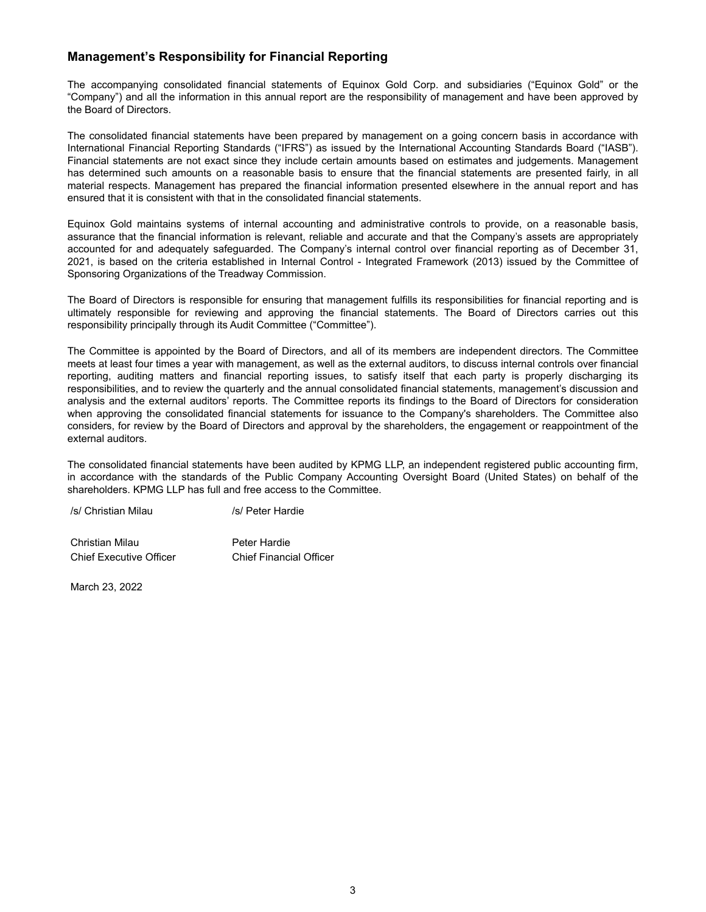### <span id="page-2-0"></span>**Management's Responsibility for Financial Reporting**

The accompanying consolidated financial statements of Equinox Gold Corp. and subsidiaries ("Equinox Gold" or the "Company") and all the information in this annual report are the responsibility of management and have been approved by the Board of Directors.

The consolidated financial statements have been prepared by management on a going concern basis in accordance with International Financial Reporting Standards ("IFRS") as issued by the International Accounting Standards Board ("IASB"). Financial statements are not exact since they include certain amounts based on estimates and judgements. Management has determined such amounts on a reasonable basis to ensure that the financial statements are presented fairly, in all material respects. Management has prepared the financial information presented elsewhere in the annual report and has ensured that it is consistent with that in the consolidated financial statements.

Equinox Gold maintains systems of internal accounting and administrative controls to provide, on a reasonable basis, assurance that the financial information is relevant, reliable and accurate and that the Company's assets are appropriately accounted for and adequately safeguarded. The Company's internal control over financial reporting as of December 31, 2021, is based on the criteria established in Internal Control - Integrated Framework (2013) issued by the Committee of Sponsoring Organizations of the Treadway Commission.

The Board of Directors is responsible for ensuring that management fulfills its responsibilities for financial reporting and is ultimately responsible for reviewing and approving the financial statements. The Board of Directors carries out this responsibility principally through its Audit Committee ("Committee").

The Committee is appointed by the Board of Directors, and all of its members are independent directors. The Committee meets at least four times a year with management, as well as the external auditors, to discuss internal controls over financial reporting, auditing matters and financial reporting issues, to satisfy itself that each party is properly discharging its responsibilities, and to review the quarterly and the annual consolidated financial statements, management's discussion and analysis and the external auditors' reports. The Committee reports its findings to the Board of Directors for consideration when approving the consolidated financial statements for issuance to the Company's shareholders. The Committee also considers, for review by the Board of Directors and approval by the shareholders, the engagement or reappointment of the external auditors.

The consolidated financial statements have been audited by KPMG LLP, an independent registered public accounting firm, in accordance with the standards of the Public Company Accounting Oversight Board (United States) on behalf of the shareholders. KPMG LLP has full and free access to the Committee.

/s/ Christian Milau /s/ Peter Hardie

Christian Milau **Peter Hardie** Chief Executive Officer Chief Financial Officer

March 23, 2022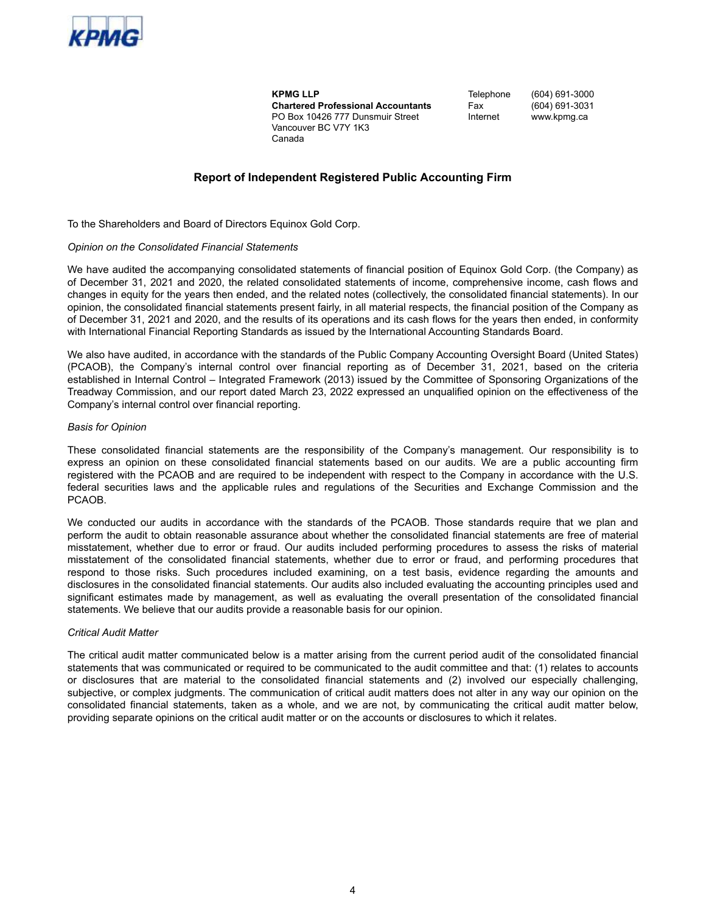<span id="page-3-0"></span>

**KPMG LLP Chartered Professional Accountants** PO Box 10426 777 Dunsmuir Street Vancouver BC V7Y 1K3 Canada

**Telephone** Fax Internet (604) 691-3000 (604) 691-3031 www.kpmg.ca

### **Report of Independent Registered Public Accounting Firm**

To the Shareholders and Board of Directors Equinox Gold Corp.

#### *Opinion on the Consolidated Financial Statements*

We have audited the accompanying consolidated statements of financial position of Equinox Gold Corp. (the Company) as of December 31, 2021 and 2020, the related consolidated statements of income, comprehensive income, cash flows and changes in equity for the years then ended, and the related notes (collectively, the consolidated financial statements). In our opinion, the consolidated financial statements present fairly, in all material respects, the financial position of the Company as of December 31, 2021 and 2020, and the results of its operations and its cash flows for the years then ended, in conformity with International Financial Reporting Standards as issued by the International Accounting Standards Board.

We also have audited, in accordance with the standards of the Public Company Accounting Oversight Board (United States) (PCAOB), the Company's internal control over financial reporting as of December 31, 2021, based on the criteria established in Internal Control – Integrated Framework (2013) issued by the Committee of Sponsoring Organizations of the Treadway Commission, and our report dated March 23, 2022 expressed an unqualified opinion on the effectiveness of the Company's internal control over financial reporting.

#### *Basis for Opinion*

These consolidated financial statements are the responsibility of the Company's management. Our responsibility is to express an opinion on these consolidated financial statements based on our audits. We are a public accounting firm registered with the PCAOB and are required to be independent with respect to the Company in accordance with the U.S. federal securities laws and the applicable rules and regulations of the Securities and Exchange Commission and the PCAOB.

We conducted our audits in accordance with the standards of the PCAOB. Those standards require that we plan and perform the audit to obtain reasonable assurance about whether the consolidated financial statements are free of material misstatement, whether due to error or fraud. Our audits included performing procedures to assess the risks of material misstatement of the consolidated financial statements, whether due to error or fraud, and performing procedures that respond to those risks. Such procedures included examining, on a test basis, evidence regarding the amounts and disclosures in the consolidated financial statements. Our audits also included evaluating the accounting principles used and significant estimates made by management, as well as evaluating the overall presentation of the consolidated financial statements. We believe that our audits provide a reasonable basis for our opinion.

#### *Critical Audit Matter*

The critical audit matter communicated below is a matter arising from the current period audit of the consolidated financial statements that was communicated or required to be communicated to the audit committee and that: (1) relates to accounts or disclosures that are material to the consolidated financial statements and (2) involved our especially challenging, subjective, or complex judgments. The communication of critical audit matters does not alter in any way our opinion on the consolidated financial statements, taken as a whole, and we are not, by communicating the critical audit matter below, providing separate opinions on the critical audit matter or on the accounts or disclosures to which it relates.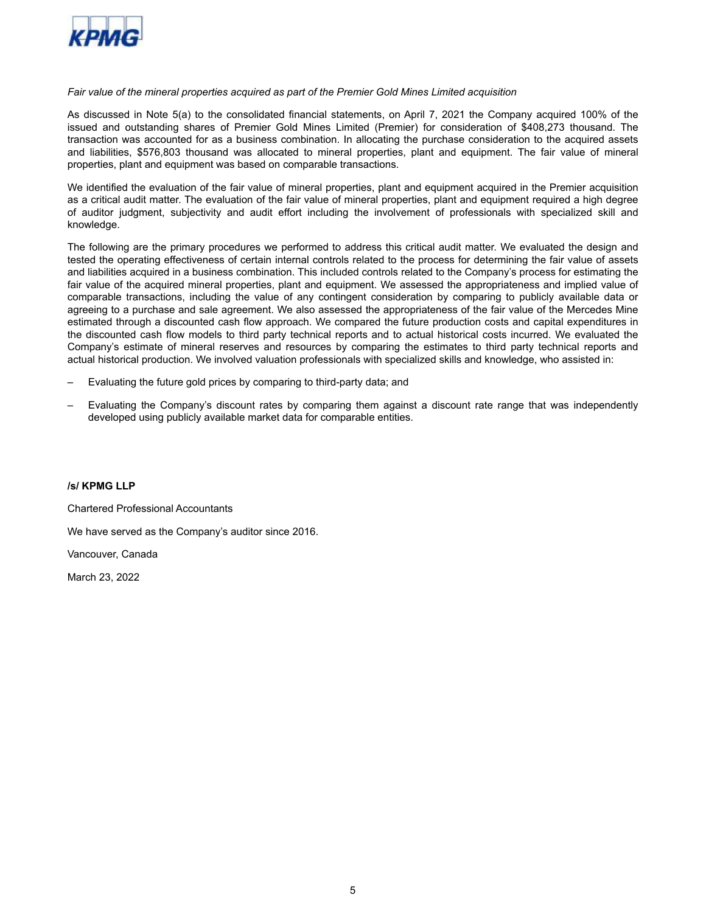

### *Fair value of the mineral properties acquired as part of the Premier Gold Mines Limited acquisition*

As discussed in Note 5(a) to the consolidated financial statements, on April 7, 2021 the Company acquired 100% of the issued and outstanding shares of Premier Gold Mines Limited (Premier) for consideration of \$408,273 thousand. The transaction was accounted for as a business combination. In allocating the purchase consideration to the acquired assets and liabilities, \$576,803 thousand was allocated to mineral properties, plant and equipment. The fair value of mineral properties, plant and equipment was based on comparable transactions.

We identified the evaluation of the fair value of mineral properties, plant and equipment acquired in the Premier acquisition as a critical audit matter. The evaluation of the fair value of mineral properties, plant and equipment required a high degree of auditor judgment, subjectivity and audit effort including the involvement of professionals with specialized skill and knowledge.

The following are the primary procedures we performed to address this critical audit matter. We evaluated the design and tested the operating effectiveness of certain internal controls related to the process for determining the fair value of assets and liabilities acquired in a business combination. This included controls related to the Company's process for estimating the fair value of the acquired mineral properties, plant and equipment. We assessed the appropriateness and implied value of comparable transactions, including the value of any contingent consideration by comparing to publicly available data or agreeing to a purchase and sale agreement. We also assessed the appropriateness of the fair value of the Mercedes Mine estimated through a discounted cash flow approach. We compared the future production costs and capital expenditures in the discounted cash flow models to third party technical reports and to actual historical costs incurred. We evaluated the Company's estimate of mineral reserves and resources by comparing the estimates to third party technical reports and actual historical production. We involved valuation professionals with specialized skills and knowledge, who assisted in:

- Evaluating the future gold prices by comparing to third-party data; and
- Evaluating the Company's discount rates by comparing them against a discount rate range that was independently developed using publicly available market data for comparable entities.

#### **/s/ KPMG LLP**

Chartered Professional Accountants

We have served as the Company's auditor since 2016.

Vancouver, Canada

March 23, 2022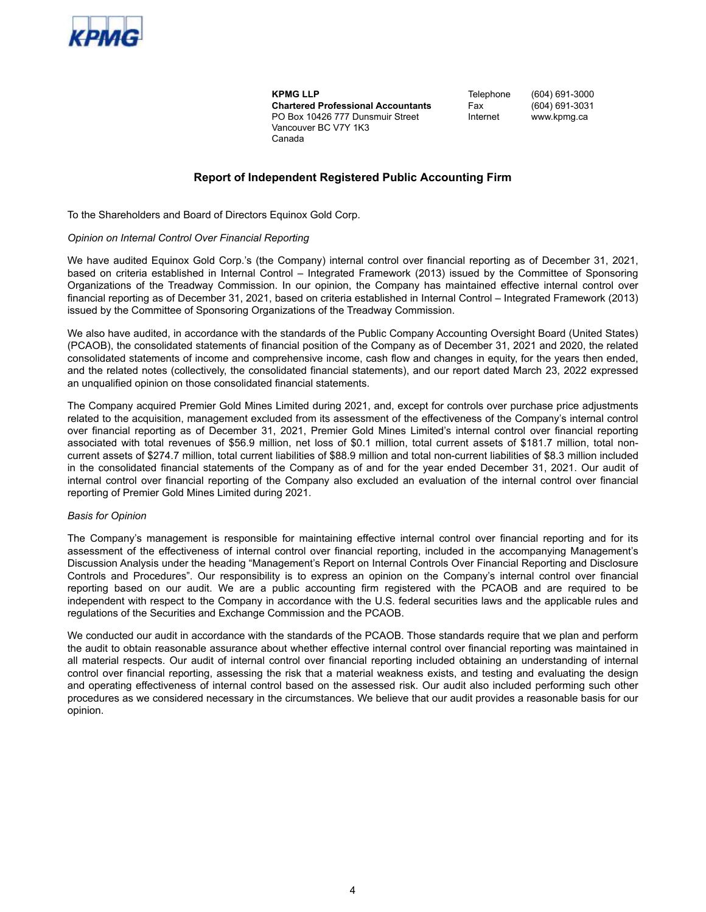<span id="page-5-0"></span>

**KPMG LLP Chartered Professional Accountants** PO Box 10426 777 Dunsmuir Street Vancouver BC V7Y 1K3 Canada

**Telephone** Fax Internet (604) 691-3000 (604) 691-3031 www.kpmg.ca

### **Report of Independent Registered Public Accounting Firm**

To the Shareholders and Board of Directors Equinox Gold Corp.

#### *Opinion on Internal Control Over Financial Reporting*

We have audited Equinox Gold Corp.'s (the Company) internal control over financial reporting as of December 31, 2021, based on criteria established in Internal Control – Integrated Framework (2013) issued by the Committee of Sponsoring Organizations of the Treadway Commission. In our opinion, the Company has maintained effective internal control over financial reporting as of December 31, 2021, based on criteria established in Internal Control – Integrated Framework (2013) issued by the Committee of Sponsoring Organizations of the Treadway Commission.

We also have audited, in accordance with the standards of the Public Company Accounting Oversight Board (United States) (PCAOB), the consolidated statements of financial position of the Company as of December 31, 2021 and 2020, the related consolidated statements of income and comprehensive income, cash flow and changes in equity, for the years then ended, and the related notes (collectively, the consolidated financial statements), and our report dated March 23, 2022 expressed an unqualified opinion on those consolidated financial statements.

The Company acquired Premier Gold Mines Limited during 2021, and, except for controls over purchase price adjustments related to the acquisition, management excluded from its assessment of the effectiveness of the Company's internal control over financial reporting as of December 31, 2021, Premier Gold Mines Limited's internal control over financial reporting associated with total revenues of \$56.9 million, net loss of \$0.1 million, total current assets of \$181.7 million, total noncurrent assets of \$274.7 million, total current liabilities of \$88.9 million and total non-current liabilities of \$8.3 million included in the consolidated financial statements of the Company as of and for the year ended December 31, 2021. Our audit of internal control over financial reporting of the Company also excluded an evaluation of the internal control over financial reporting of Premier Gold Mines Limited during 2021.

#### *Basis for Opinion*

The Company's management is responsible for maintaining effective internal control over financial reporting and for its assessment of the effectiveness of internal control over financial reporting, included in the accompanying Management's Discussion Analysis under the heading "Management's Report on Internal Controls Over Financial Reporting and Disclosure Controls and Procedures". Our responsibility is to express an opinion on the Company's internal control over financial reporting based on our audit. We are a public accounting firm registered with the PCAOB and are required to be independent with respect to the Company in accordance with the U.S. federal securities laws and the applicable rules and regulations of the Securities and Exchange Commission and the PCAOB.

We conducted our audit in accordance with the standards of the PCAOB. Those standards require that we plan and perform the audit to obtain reasonable assurance about whether effective internal control over financial reporting was maintained in all material respects. Our audit of internal control over financial reporting included obtaining an understanding of internal control over financial reporting, assessing the risk that a material weakness exists, and testing and evaluating the design and operating effectiveness of internal control based on the assessed risk. Our audit also included performing such other procedures as we considered necessary in the circumstances. We believe that our audit provides a reasonable basis for our opinion.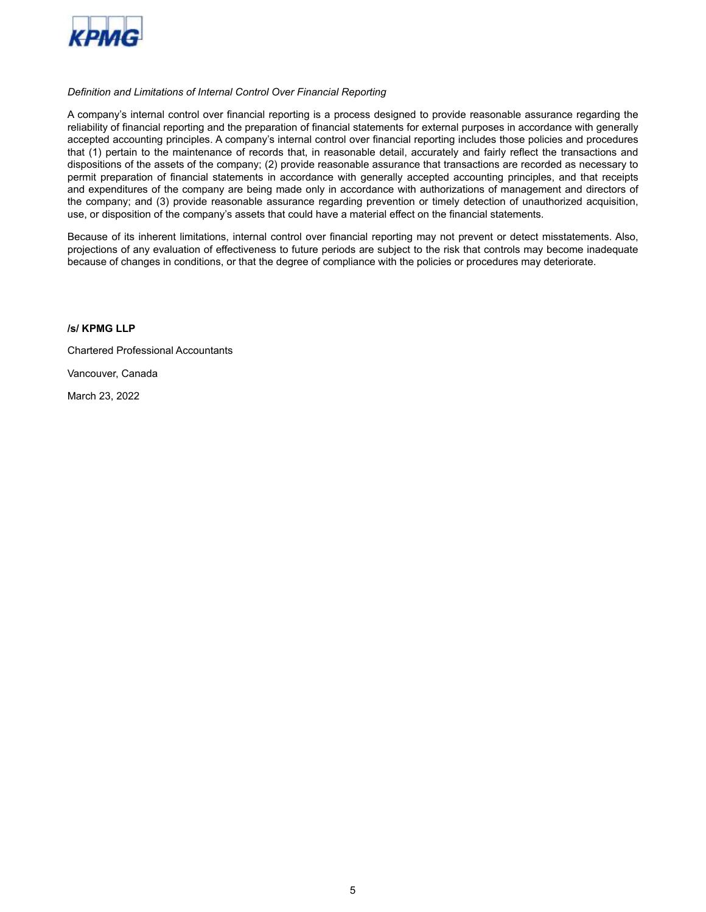

### *Definition and Limitations of Internal Control Over Financial Reporting*

A company's internal control over financial reporting is a process designed to provide reasonable assurance regarding the reliability of financial reporting and the preparation of financial statements for external purposes in accordance with generally accepted accounting principles. A company's internal control over financial reporting includes those policies and procedures that (1) pertain to the maintenance of records that, in reasonable detail, accurately and fairly reflect the transactions and dispositions of the assets of the company; (2) provide reasonable assurance that transactions are recorded as necessary to permit preparation of financial statements in accordance with generally accepted accounting principles, and that receipts and expenditures of the company are being made only in accordance with authorizations of management and directors of the company; and (3) provide reasonable assurance regarding prevention or timely detection of unauthorized acquisition, use, or disposition of the company's assets that could have a material effect on the financial statements.

Because of its inherent limitations, internal control over financial reporting may not prevent or detect misstatements. Also, projections of any evaluation of effectiveness to future periods are subject to the risk that controls may become inadequate because of changes in conditions, or that the degree of compliance with the policies or procedures may deteriorate.

### **/s/ KPMG LLP**

Chartered Professional Accountants

Vancouver, Canada

March 23, 2022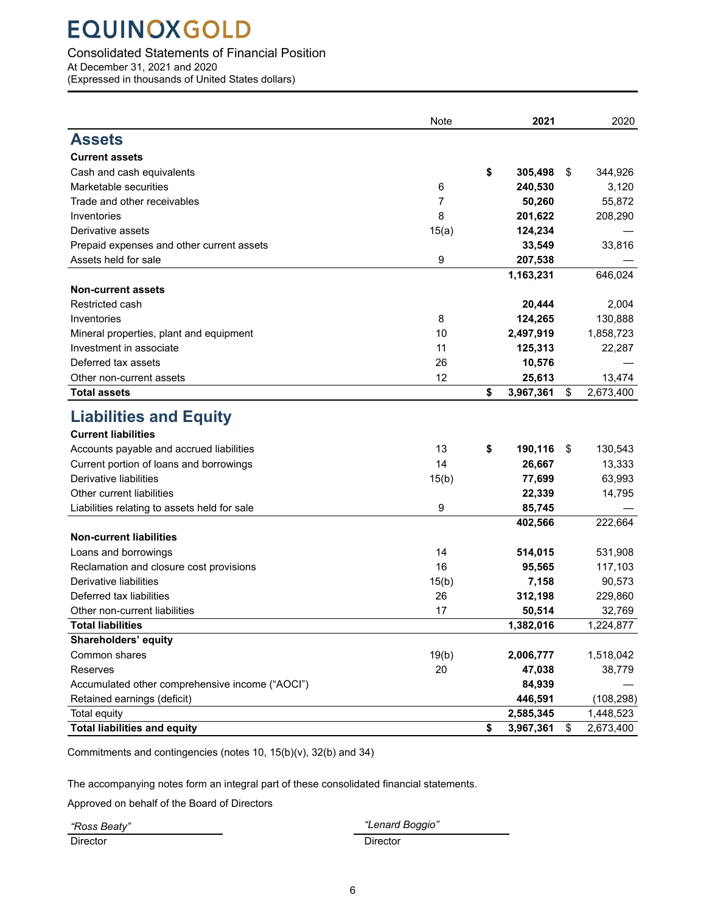### <span id="page-7-0"></span>Consolidated Statements of Financial Position

At December 31, 2021 and 2020

(Expressed in thousands of United States dollars)

|                                                 | Note  | 2021            | 2020            |
|-------------------------------------------------|-------|-----------------|-----------------|
| <b>Assets</b>                                   |       |                 |                 |
| <b>Current assets</b>                           |       |                 |                 |
| Cash and cash equivalents                       |       | \$<br>305,498   | \$<br>344,926   |
| Marketable securities                           | 6     | 240,530         | 3,120           |
| Trade and other receivables                     | 7     | 50,260          | 55,872          |
| Inventories                                     | 8     | 201,622         | 208,290         |
| Derivative assets                               | 15(a) | 124,234         |                 |
| Prepaid expenses and other current assets       |       | 33,549          | 33,816          |
| Assets held for sale                            | 9     | 207,538         |                 |
|                                                 |       | 1,163,231       | 646,024         |
| <b>Non-current assets</b>                       |       |                 |                 |
| Restricted cash                                 |       | 20,444          | 2,004           |
| Inventories                                     | 8     | 124,265         | 130,888         |
| Mineral properties, plant and equipment         | 10    | 2,497,919       | 1,858,723       |
| Investment in associate                         | 11    | 125,313         | 22,287          |
| Deferred tax assets                             | 26    | 10,576          |                 |
| Other non-current assets                        | 12    | 25,613          | 13,474          |
| <b>Total assets</b>                             |       | \$<br>3,967,361 | \$<br>2,673,400 |
| <b>Liabilities and Equity</b>                   |       |                 |                 |
| <b>Current liabilities</b>                      |       |                 |                 |
| Accounts payable and accrued liabilities        | 13    | \$<br>190,116   | \$<br>130,543   |
| Current portion of loans and borrowings         | 14    | 26,667          | 13,333          |
| Derivative liabilities                          | 15(b) | 77,699          | 63,993          |
| Other current liabilities                       |       | 22,339          | 14,795          |
| Liabilities relating to assets held for sale    | 9     | 85,745          |                 |
| <b>Non-current liabilities</b>                  |       | 402,566         | 222,664         |
| Loans and borrowings                            | 14    | 514,015         | 531,908         |
| Reclamation and closure cost provisions         | 16    | 95,565          | 117,103         |
| Derivative liabilities                          | 15(b) | 7,158           | 90,573          |
| Deferred tax liabilities                        | 26    | 312,198         | 229,860         |
| Other non-current liabilities                   | 17    | 50,514          | 32,769          |
| <b>Total liabilities</b>                        |       | 1,382,016       | 1,224,877       |
| Shareholders' equity                            |       |                 |                 |
| Common shares                                   | 19(b) | 2,006,777       | 1,518,042       |
| Reserves                                        | 20    | 47,038          | 38,779          |
| Accumulated other comprehensive income ("AOCI") |       | 84,939          |                 |
| Retained earnings (deficit)                     |       | 446,591         | (108, 298)      |
| <b>Total equity</b>                             |       | 2,585,345       | 1,448,523       |
| <b>Total liabilities and equity</b>             |       | \$<br>3,967,361 | \$<br>2,673,400 |

Commitments and contingencies (notes 10, 15(b)(v), 32(b) and 34)

The accompanying notes form an integral part of these consolidated financial statements.

Approved on behalf of the Board of Directors

*"Ross Beaty" "Lenard Boggio"*

Director Director Director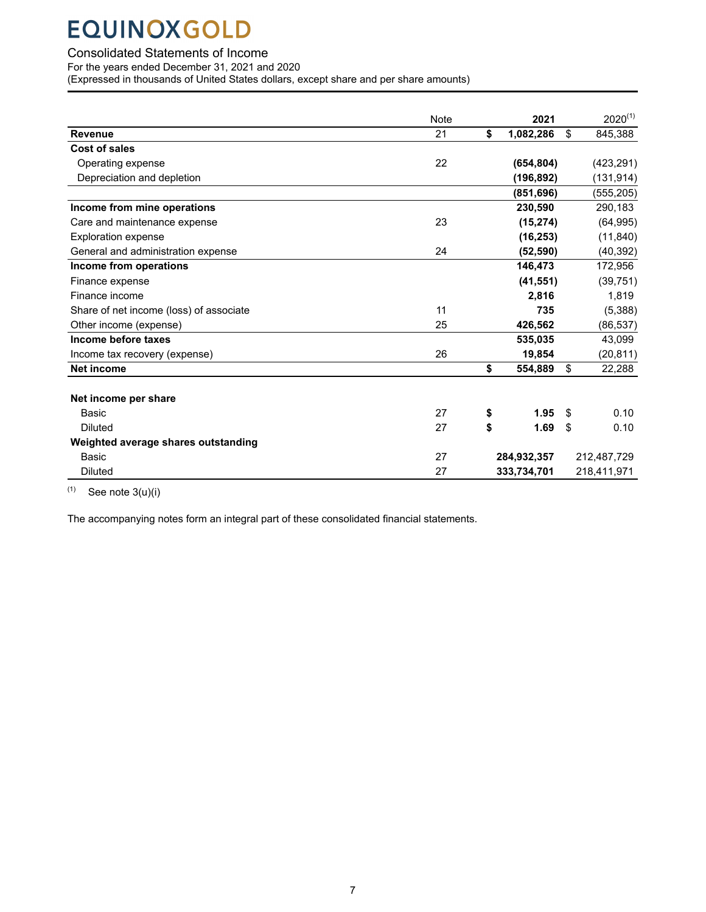### <span id="page-8-0"></span>Consolidated Statements of Income

For the years ended December 31, 2021 and 2020

(Expressed in thousands of United States dollars, except share and per share amounts)

|                                         | <b>Note</b> | 2021            | $2020^{(1)}$  |
|-----------------------------------------|-------------|-----------------|---------------|
| <b>Revenue</b>                          | 21          | \$<br>1,082,286 | \$<br>845,388 |
| Cost of sales                           |             |                 |               |
| Operating expense                       | 22          | (654, 804)      | (423, 291)    |
| Depreciation and depletion              |             | (196, 892)      | (131, 914)    |
|                                         |             | (851, 696)      | (555, 205)    |
| Income from mine operations             |             | 230,590         | 290,183       |
| Care and maintenance expense            | 23          | (15, 274)       | (64, 995)     |
| <b>Exploration expense</b>              |             | (16, 253)       | (11, 840)     |
| General and administration expense      | 24          | (52, 590)       | (40, 392)     |
| Income from operations                  |             | 146,473         | 172,956       |
| Finance expense                         |             | (41, 551)       | (39, 751)     |
| Finance income                          |             | 2,816           | 1,819         |
| Share of net income (loss) of associate | 11          | 735             | (5,388)       |
| Other income (expense)                  | 25          | 426,562         | (86, 537)     |
| Income before taxes                     |             | 535,035         | 43,099        |
| Income tax recovery (expense)           | 26          | 19,854          | (20, 811)     |
| <b>Net income</b>                       |             | \$<br>554,889   | \$<br>22,288  |
|                                         |             |                 |               |
| Net income per share                    |             |                 |               |
| Basic                                   | 27          | \$<br>1.95      | \$<br>0.10    |
| <b>Diluted</b>                          | 27          | \$<br>1.69      | \$<br>0.10    |
| Weighted average shares outstanding     |             |                 |               |
| Basic                                   | 27          | 284,932,357     | 212,487,729   |
| <b>Diluted</b>                          | 27          | 333,734,701     | 218,411,971   |

 $(1)$  See note 3(u)(i)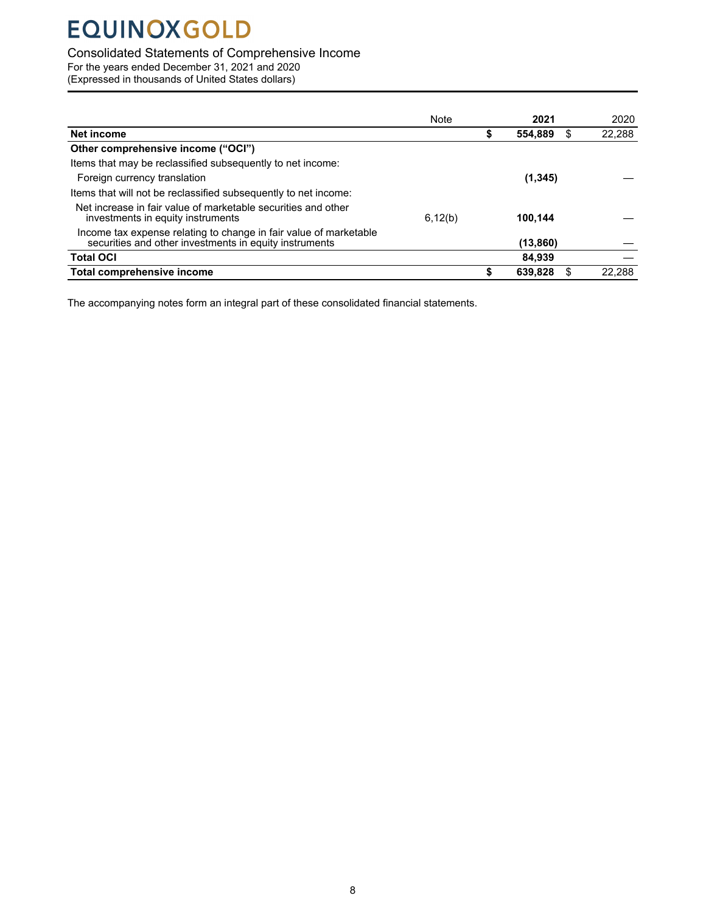### <span id="page-9-0"></span>Consolidated Statements of Comprehensive Income

For the years ended December 31, 2021 and 2020

(Expressed in thousands of United States dollars)

|                                                                                                                             | Note    | 2021      |   | 2020   |
|-----------------------------------------------------------------------------------------------------------------------------|---------|-----------|---|--------|
| Net income                                                                                                                  |         | 554.889   | S | 22,288 |
| Other comprehensive income ("OCI")                                                                                          |         |           |   |        |
| Items that may be reclassified subsequently to net income:                                                                  |         |           |   |        |
| Foreign currency translation                                                                                                |         | (1, 345)  |   |        |
| Items that will not be reclassified subsequently to net income:                                                             |         |           |   |        |
| Net increase in fair value of marketable securities and other<br>investments in equity instruments                          | 6,12(b) | 100.144   |   |        |
| Income tax expense relating to change in fair value of marketable<br>securities and other investments in equity instruments |         | (13, 860) |   |        |
| <b>Total OCI</b>                                                                                                            |         | 84.939    |   |        |
| Total comprehensive income                                                                                                  |         | 639,828   | S | 22.288 |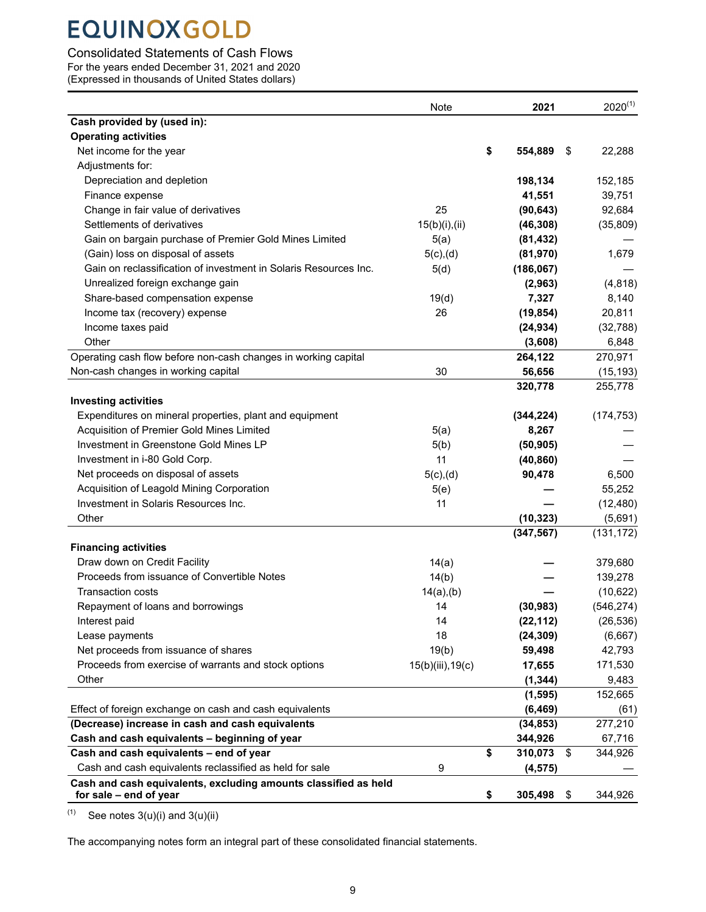### <span id="page-10-0"></span>Consolidated Statements of Cash Flows

For the years ended December 31, 2021 and 2020

(Expressed in thousands of United States dollars)

|                                                                                           | Note              | 2021                | $2020^{(1)}$ |
|-------------------------------------------------------------------------------------------|-------------------|---------------------|--------------|
| Cash provided by (used in):                                                               |                   |                     |              |
| <b>Operating activities</b>                                                               |                   |                     |              |
| Net income for the year                                                                   |                   | \$<br>554,889<br>\$ | 22,288       |
| Adjustments for:                                                                          |                   |                     |              |
| Depreciation and depletion                                                                |                   | 198,134             | 152,185      |
| Finance expense                                                                           |                   | 41,551              | 39,751       |
| Change in fair value of derivatives                                                       | 25                | (90, 643)           | 92,684       |
| Settlements of derivatives                                                                | 15(b)(i),(ii)     | (46, 308)           | (35,809)     |
| Gain on bargain purchase of Premier Gold Mines Limited                                    | 5(a)              | (81, 432)           |              |
| (Gain) loss on disposal of assets                                                         | $5(c)$ , (d)      | (81, 970)           | 1,679        |
| Gain on reclassification of investment in Solaris Resources Inc.                          | 5(d)              | (186, 067)          |              |
| Unrealized foreign exchange gain                                                          |                   | (2,963)             | (4, 818)     |
| Share-based compensation expense                                                          | 19(d)             | 7,327               | 8,140        |
| Income tax (recovery) expense                                                             | 26                | (19, 854)           | 20,811       |
| Income taxes paid                                                                         |                   | (24, 934)           | (32, 788)    |
| Other                                                                                     |                   | (3,608)             | 6,848        |
| Operating cash flow before non-cash changes in working capital                            |                   | 264,122             | 270,971      |
| Non-cash changes in working capital                                                       | 30                | 56,656              | (15, 193)    |
|                                                                                           |                   | 320,778             | 255,778      |
| <b>Investing activities</b>                                                               |                   |                     |              |
| Expenditures on mineral properties, plant and equipment                                   |                   | (344, 224)          | (174, 753)   |
| Acquisition of Premier Gold Mines Limited                                                 | 5(a)              | 8,267               |              |
| Investment in Greenstone Gold Mines LP                                                    |                   | (50, 905)           |              |
| Investment in i-80 Gold Corp.                                                             | 5(b)<br>11        |                     |              |
|                                                                                           |                   | (40, 860)           |              |
| Net proceeds on disposal of assets                                                        | $5(c)$ , (d)      | 90,478              | 6,500        |
| Acquisition of Leagold Mining Corporation                                                 | 5(e)              |                     | 55,252       |
| Investment in Solaris Resources Inc.                                                      | 11                |                     | (12, 480)    |
| Other                                                                                     |                   | (10, 323)           | (5,691)      |
|                                                                                           |                   | (347, 567)          | (131, 172)   |
| <b>Financing activities</b>                                                               |                   |                     |              |
| Draw down on Credit Facility                                                              | 14(a)             |                     | 379,680      |
| Proceeds from issuance of Convertible Notes                                               | 14(b)             |                     | 139,278      |
| <b>Transaction costs</b>                                                                  | $14(a)$ , (b)     |                     | (10,622)     |
| Repayment of loans and borrowings                                                         | 14                | (30, 983)           | (546, 274)   |
| Interest paid                                                                             | 14                | (22, 112)           | (26, 536)    |
| Lease payments                                                                            | 18                | (24, 309)           | (6,667)      |
| Net proceeds from issuance of shares                                                      | 19(b)             | 59,498              | 42,793       |
| Proceeds from exercise of warrants and stock options                                      | 15(b)(iii), 19(c) | 17,655              | 171,530      |
| Other                                                                                     |                   | (1, 344)            | 9,483        |
|                                                                                           |                   | (1, 595)            | 152,665      |
| Effect of foreign exchange on cash and cash equivalents                                   |                   | (6, 469)            | (61)         |
| (Decrease) increase in cash and cash equivalents                                          |                   | (34, 853)           | 277,210      |
| Cash and cash equivalents - beginning of year                                             |                   | 344,926             | 67,716       |
| Cash and cash equivalents - end of year                                                   |                   | \$<br>310,073<br>\$ | 344,926      |
| Cash and cash equivalents reclassified as held for sale                                   | 9                 | (4, 575)            |              |
| Cash and cash equivalents, excluding amounts classified as held<br>for sale - end of year |                   | \$<br>305,498<br>\$ | 344,926      |

 $(1)$  See notes 3(u)(i) and 3(u)(ii)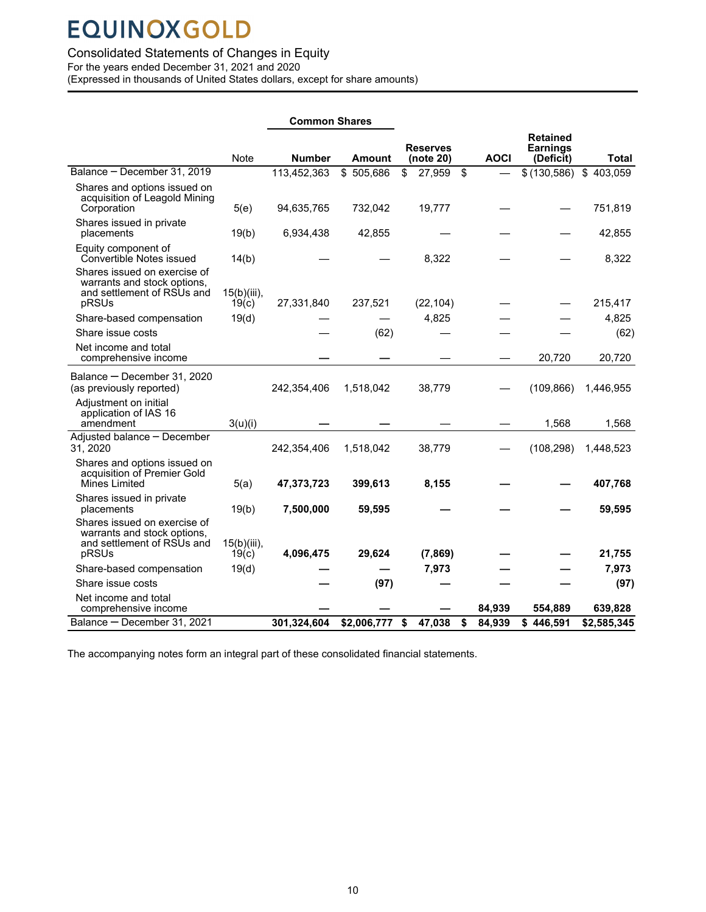### <span id="page-11-0"></span>Consolidated Statements of Changes in Equity

For the years ended December 31, 2021 and 2020

(Expressed in thousands of United States dollars, except for share amounts)

|                                                                                                    |                         |               | <b>Common Shares</b> |    |                              |    |             |                                                 |             |
|----------------------------------------------------------------------------------------------------|-------------------------|---------------|----------------------|----|------------------------------|----|-------------|-------------------------------------------------|-------------|
|                                                                                                    | <b>Note</b>             | <b>Number</b> | Amount               |    | <b>Reserves</b><br>(note 20) |    | <b>AOCI</b> | <b>Retained</b><br><b>Earnings</b><br>(Deficit) | Total       |
| Balance - December 31, 2019                                                                        |                         | 113,452,363   | \$505,686            | \$ | 27,959                       | \$ |             | \$(130,586)                                     | \$403,059   |
| Shares and options issued on<br>acquisition of Leagold Mining<br>Corporation                       | 5(e)                    | 94,635,765    | 732,042              |    | 19,777                       |    |             |                                                 | 751,819     |
| Shares issued in private<br>placements                                                             | 19(b)                   | 6,934,438     | 42,855               |    |                              |    |             |                                                 | 42,855      |
| Equity component of<br>Convertible Notes issued                                                    | 14(b)                   |               |                      |    | 8,322                        |    |             |                                                 | 8,322       |
| Shares issued on exercise of<br>warrants and stock options,<br>and settlement of RSUs and<br>pRSUs | $15(b)(iii)$ ,<br>19(c) | 27,331,840    | 237,521              |    | (22, 104)                    |    |             |                                                 | 215,417     |
| Share-based compensation                                                                           | 19(d)                   |               |                      |    | 4,825                        |    |             |                                                 | 4,825       |
| Share issue costs                                                                                  |                         |               | (62)                 |    |                              |    |             |                                                 | (62)        |
| Net income and total<br>comprehensive income                                                       |                         |               |                      |    |                              |    |             | 20,720                                          | 20,720      |
| Balance - December 31, 2020<br>(as previously reported)                                            |                         | 242,354,406   | 1,518,042            |    | 38,779                       |    |             | (109, 866)                                      | 1,446,955   |
| Adjustment on initial<br>application of IAS 16<br>amendment                                        | 3(u)(i)                 |               |                      |    |                              |    |             | 1,568                                           | 1,568       |
| Adjusted balance - December<br>31, 2020                                                            |                         | 242,354,406   | 1,518,042            |    | 38,779                       |    |             | (108, 298)                                      | 1,448,523   |
| Shares and options issued on<br>acquisition of Premier Gold<br>Mines Limited                       | 5(a)                    | 47,373,723    | 399,613              |    | 8,155                        |    |             |                                                 | 407,768     |
| Shares issued in private<br>placements                                                             | 19(b)                   | 7,500,000     | 59,595               |    |                              |    |             |                                                 | 59,595      |
| Shares issued on exercise of<br>warrants and stock options,<br>and settlement of RSUs and<br>pRSUs | $15(b)(iii)$ ,<br>19(c) | 4,096,475     | 29,624               |    | (7, 869)                     |    |             |                                                 | 21,755      |
| Share-based compensation                                                                           | 19(d)                   |               |                      |    | 7,973                        |    |             |                                                 | 7,973       |
| Share issue costs                                                                                  |                         |               | (97)                 |    |                              |    |             |                                                 | (97)        |
| Net income and total<br>comprehensive income                                                       |                         |               |                      |    |                              |    | 84,939      | 554,889                                         | 639,828     |
| Balance - December 31, 2021                                                                        |                         | 301,324,604   | \$2,006,777          | \$ | 47,038                       | \$ | 84,939      | \$446,591                                       | \$2,585,345 |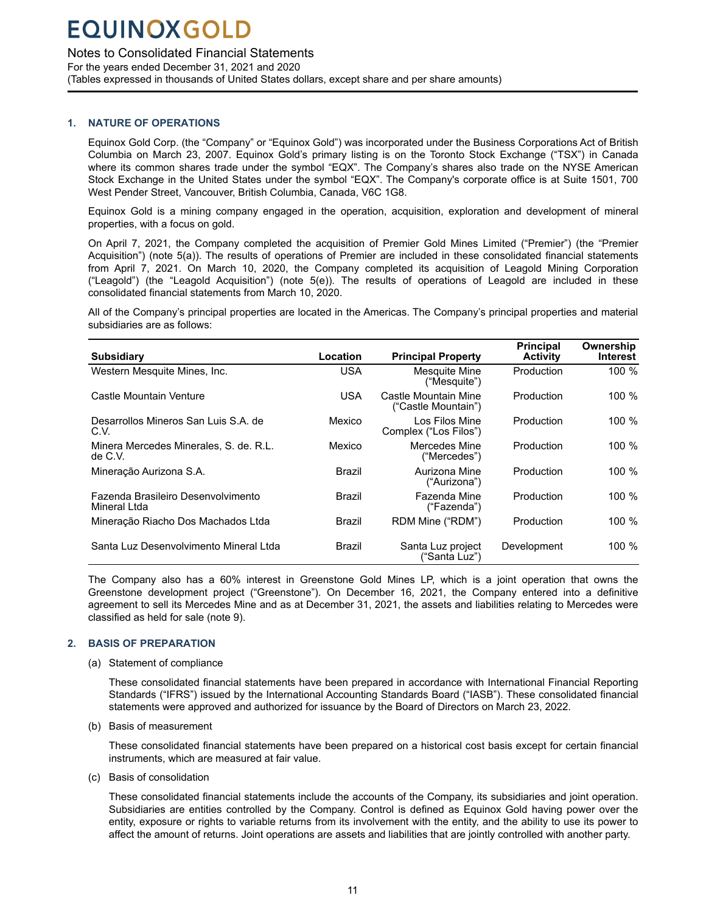### <span id="page-12-0"></span>Notes to Consolidated Financial Statements

For the years ended December 31, 2021 and 2020 (Tables expressed in thousands of United States dollars, except share and per share amounts)

### **1. NATURE OF OPERATIONS**

Equinox Gold Corp. (the "Company" or "Equinox Gold") was incorporated under the Business Corporations Act of British Columbia on March 23, 2007. Equinox Gold's primary listing is on the Toronto Stock Exchange ("TSX") in Canada where its common shares trade under the symbol "EQX". The Company's shares also trade on the NYSE American Stock Exchange in the United States under the symbol "EQX". The Company's corporate office is at Suite 1501, 700 West Pender Street, Vancouver, British Columbia, Canada, V6C 1G8.

Equinox Gold is a mining company engaged in the operation, acquisition, exploration and development of mineral properties, with a focus on gold.

On April 7, 2021, the Company completed the acquisition of Premier Gold Mines Limited ("Premier") (the "Premier Acquisition") (note 5(a)). The results of operations of Premier are included in these consolidated financial statements from April 7, 2021. On March 10, 2020, the Company completed its acquisition of Leagold Mining Corporation ("Leagold") (the "Leagold Acquisition") (note 5(e)). The results of operations of Leagold are included in these consolidated financial statements from March 10, 2020.

All of the Company's principal properties are located in the Americas. The Company's principal properties and material subsidiaries are as follows:

| <b>Subsidiary</b>                                  | Location   | <b>Principal Property</b>                   | <b>Principal</b><br><b>Activity</b> | Ownership<br>Interest |
|----------------------------------------------------|------------|---------------------------------------------|-------------------------------------|-----------------------|
| Western Mesquite Mines, Inc.                       | <b>USA</b> | Mesquite Mine<br>("Mesquite")               | Production                          | 100%                  |
| Castle Mountain Venture                            | <b>USA</b> | Castle Mountain Mine<br>("Castle Mountain") | Production                          | 100 %                 |
| Desarrollos Mineros San Luis S.A. de<br>C.V.       | Mexico     | Los Filos Mine<br>Complex ("Los Filos")     | Production                          | 100 %                 |
| Minera Mercedes Minerales, S. de. R.L.<br>de C.V.  | Mexico     | Mercedes Mine<br>("Mercedes")               | Production                          | 100 %                 |
| Mineração Aurizona S.A.                            | Brazil     | Aurizona Mine<br>("Aurizona")               | Production                          | 100%                  |
| Fazenda Brasileiro Desenvolvimento<br>Mineral Ltda | Brazil     | Fazenda Mine<br>("Fazenda")                 | Production                          | 100 %                 |
| Mineração Riacho Dos Machados Ltda                 | Brazil     | RDM Mine ("RDM")                            | Production                          | 100 %                 |
| Santa Luz Desenvolvimento Mineral Ltda             | Brazil     | Santa Luz project<br>("Santa Luz")          | Development                         | 100 $%$               |

The Company also has a 60% interest in Greenstone Gold Mines LP, which is a joint operation that owns the Greenstone development project ("Greenstone"). On December 16, 2021, the Company entered into a definitive agreement to sell its Mercedes Mine and as at December 31, 2021, the assets and liabilities relating to Mercedes were classified as held for sale (note 9).

### **2. BASIS OF PREPARATION**

(a) Statement of compliance

These consolidated financial statements have been prepared in accordance with International Financial Reporting Standards ("IFRS") issued by the International Accounting Standards Board ("IASB"). These consolidated financial statements were approved and authorized for issuance by the Board of Directors on March 23, 2022.

(b) Basis of measurement

These consolidated financial statements have been prepared on a historical cost basis except for certain financial instruments, which are measured at fair value.

(c) Basis of consolidation

These consolidated financial statements include the accounts of the Company, its subsidiaries and joint operation. Subsidiaries are entities controlled by the Company. Control is defined as Equinox Gold having power over the entity, exposure or rights to variable returns from its involvement with the entity, and the ability to use its power to affect the amount of returns. Joint operations are assets and liabilities that are jointly controlled with another party.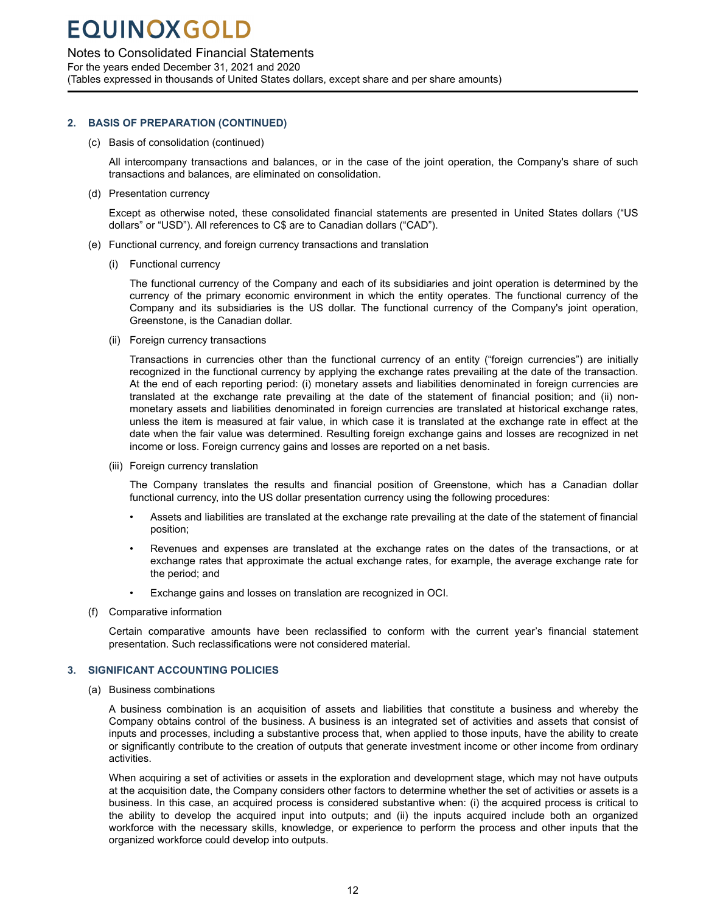### <span id="page-13-0"></span>Notes to Consolidated Financial Statements

For the years ended December 31, 2021 and 2020 (Tables expressed in thousands of United States dollars, except share and per share amounts)

### **2. BASIS OF PREPARATION (CONTINUED)**

(c) Basis of consolidation (continued)

All intercompany transactions and balances, or in the case of the joint operation, the Company's share of such transactions and balances, are eliminated on consolidation.

(d) Presentation currency

Except as otherwise noted, these consolidated financial statements are presented in United States dollars ("US dollars" or "USD"). All references to C\$ are to Canadian dollars ("CAD").

- (e) Functional currency, and foreign currency transactions and translation
	- (i) Functional currency

The functional currency of the Company and each of its subsidiaries and joint operation is determined by the currency of the primary economic environment in which the entity operates. The functional currency of the Company and its subsidiaries is the US dollar. The functional currency of the Company's joint operation, Greenstone, is the Canadian dollar.

(ii) Foreign currency transactions

Transactions in currencies other than the functional currency of an entity ("foreign currencies") are initially recognized in the functional currency by applying the exchange rates prevailing at the date of the transaction. At the end of each reporting period: (i) monetary assets and liabilities denominated in foreign currencies are translated at the exchange rate prevailing at the date of the statement of financial position; and (ii) nonmonetary assets and liabilities denominated in foreign currencies are translated at historical exchange rates, unless the item is measured at fair value, in which case it is translated at the exchange rate in effect at the date when the fair value was determined. Resulting foreign exchange gains and losses are recognized in net income or loss. Foreign currency gains and losses are reported on a net basis.

(iii) Foreign currency translation

The Company translates the results and financial position of Greenstone, which has a Canadian dollar functional currency, into the US dollar presentation currency using the following procedures:

- Assets and liabilities are translated at the exchange rate prevailing at the date of the statement of financial position;
- Revenues and expenses are translated at the exchange rates on the dates of the transactions, or at exchange rates that approximate the actual exchange rates, for example, the average exchange rate for the period; and
- Exchange gains and losses on translation are recognized in OCI.
- (f) Comparative information

Certain comparative amounts have been reclassified to conform with the current year's financial statement presentation. Such reclassifications were not considered material.

### **3. SIGNIFICANT ACCOUNTING POLICIES**

(a) Business combinations

A business combination is an acquisition of assets and liabilities that constitute a business and whereby the Company obtains control of the business. A business is an integrated set of activities and assets that consist of inputs and processes, including a substantive process that, when applied to those inputs, have the ability to create or significantly contribute to the creation of outputs that generate investment income or other income from ordinary activities.

When acquiring a set of activities or assets in the exploration and development stage, which may not have outputs at the acquisition date, the Company considers other factors to determine whether the set of activities or assets is a business. In this case, an acquired process is considered substantive when: (i) the acquired process is critical to the ability to develop the acquired input into outputs; and (ii) the inputs acquired include both an organized workforce with the necessary skills, knowledge, or experience to perform the process and other inputs that the organized workforce could develop into outputs.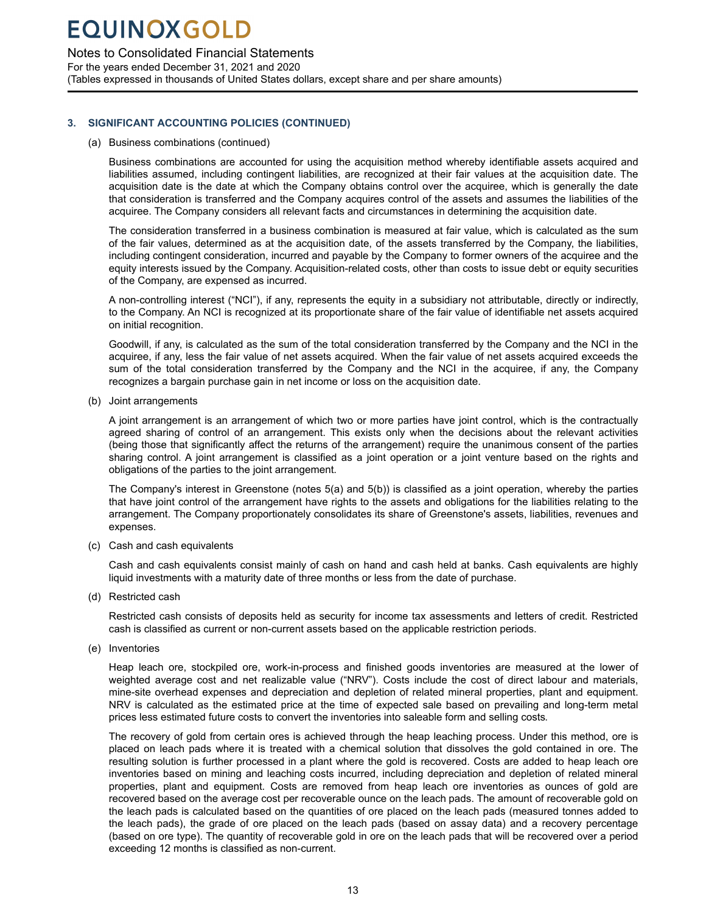Notes to Consolidated Financial Statements

For the years ended December 31, 2021 and 2020 (Tables expressed in thousands of United States dollars, except share and per share amounts)

### **3. SIGNIFICANT ACCOUNTING POLICIES (CONTINUED)**

(a) Business combinations (continued)

Business combinations are accounted for using the acquisition method whereby identifiable assets acquired and liabilities assumed, including contingent liabilities, are recognized at their fair values at the acquisition date. The acquisition date is the date at which the Company obtains control over the acquiree, which is generally the date that consideration is transferred and the Company acquires control of the assets and assumes the liabilities of the acquiree. The Company considers all relevant facts and circumstances in determining the acquisition date.

The consideration transferred in a business combination is measured at fair value, which is calculated as the sum of the fair values, determined as at the acquisition date, of the assets transferred by the Company, the liabilities, including contingent consideration, incurred and payable by the Company to former owners of the acquiree and the equity interests issued by the Company. Acquisition-related costs, other than costs to issue debt or equity securities of the Company, are expensed as incurred.

A non-controlling interest ("NCI"), if any, represents the equity in a subsidiary not attributable, directly or indirectly, to the Company. An NCI is recognized at its proportionate share of the fair value of identifiable net assets acquired on initial recognition.

Goodwill, if any, is calculated as the sum of the total consideration transferred by the Company and the NCI in the acquiree, if any, less the fair value of net assets acquired. When the fair value of net assets acquired exceeds the sum of the total consideration transferred by the Company and the NCI in the acquiree, if any, the Company recognizes a bargain purchase gain in net income or loss on the acquisition date.

(b) Joint arrangements

A joint arrangement is an arrangement of which two or more parties have joint control, which is the contractually agreed sharing of control of an arrangement. This exists only when the decisions about the relevant activities (being those that significantly affect the returns of the arrangement) require the unanimous consent of the parties sharing control. A joint arrangement is classified as a joint operation or a joint venture based on the rights and obligations of the parties to the joint arrangement.

The Company's interest in Greenstone (notes 5(a) and 5(b)) is classified as a joint operation, whereby the parties that have joint control of the arrangement have rights to the assets and obligations for the liabilities relating to the arrangement. The Company proportionately consolidates its share of Greenstone's assets, liabilities, revenues and expenses.

(c) Cash and cash equivalents

Cash and cash equivalents consist mainly of cash on hand and cash held at banks. Cash equivalents are highly liquid investments with a maturity date of three months or less from the date of purchase.

(d) Restricted cash

Restricted cash consists of deposits held as security for income tax assessments and letters of credit. Restricted cash is classified as current or non-current assets based on the applicable restriction periods.

(e) Inventories

Heap leach ore, stockpiled ore, work-in-process and finished goods inventories are measured at the lower of weighted average cost and net realizable value ("NRV"). Costs include the cost of direct labour and materials, mine-site overhead expenses and depreciation and depletion of related mineral properties, plant and equipment. NRV is calculated as the estimated price at the time of expected sale based on prevailing and long-term metal prices less estimated future costs to convert the inventories into saleable form and selling costs.

The recovery of gold from certain ores is achieved through the heap leaching process. Under this method, ore is placed on leach pads where it is treated with a chemical solution that dissolves the gold contained in ore. The resulting solution is further processed in a plant where the gold is recovered. Costs are added to heap leach ore inventories based on mining and leaching costs incurred, including depreciation and depletion of related mineral properties, plant and equipment. Costs are removed from heap leach ore inventories as ounces of gold are recovered based on the average cost per recoverable ounce on the leach pads. The amount of recoverable gold on the leach pads is calculated based on the quantities of ore placed on the leach pads (measured tonnes added to the leach pads), the grade of ore placed on the leach pads (based on assay data) and a recovery percentage (based on ore type). The quantity of recoverable gold in ore on the leach pads that will be recovered over a period exceeding 12 months is classified as non-current.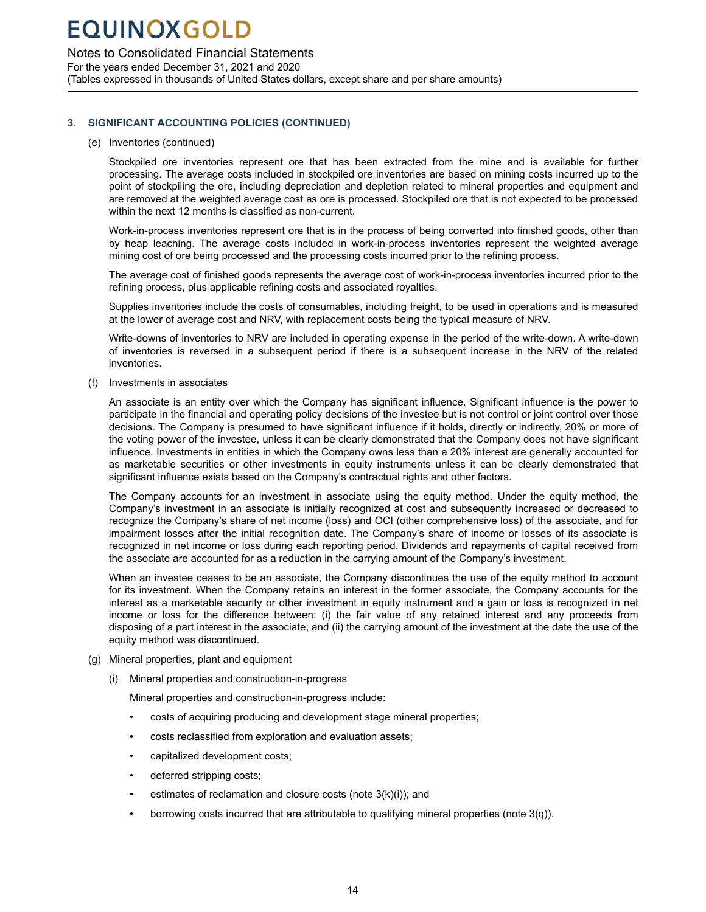Notes to Consolidated Financial Statements

For the years ended December 31, 2021 and 2020 (Tables expressed in thousands of United States dollars, except share and per share amounts)

### **3. SIGNIFICANT ACCOUNTING POLICIES (CONTINUED)**

### (e) Inventories (continued)

Stockpiled ore inventories represent ore that has been extracted from the mine and is available for further processing. The average costs included in stockpiled ore inventories are based on mining costs incurred up to the point of stockpiling the ore, including depreciation and depletion related to mineral properties and equipment and are removed at the weighted average cost as ore is processed. Stockpiled ore that is not expected to be processed within the next 12 months is classified as non-current.

Work-in-process inventories represent ore that is in the process of being converted into finished goods, other than by heap leaching. The average costs included in work-in-process inventories represent the weighted average mining cost of ore being processed and the processing costs incurred prior to the refining process.

The average cost of finished goods represents the average cost of work-in-process inventories incurred prior to the refining process, plus applicable refining costs and associated royalties.

Supplies inventories include the costs of consumables, including freight, to be used in operations and is measured at the lower of average cost and NRV, with replacement costs being the typical measure of NRV.

Write-downs of inventories to NRV are included in operating expense in the period of the write-down. A write-down of inventories is reversed in a subsequent period if there is a subsequent increase in the NRV of the related inventories.

(f) Investments in associates

An associate is an entity over which the Company has significant influence. Significant influence is the power to participate in the financial and operating policy decisions of the investee but is not control or joint control over those decisions. The Company is presumed to have significant influence if it holds, directly or indirectly, 20% or more of the voting power of the investee, unless it can be clearly demonstrated that the Company does not have significant influence. Investments in entities in which the Company owns less than a 20% interest are generally accounted for as marketable securities or other investments in equity instruments unless it can be clearly demonstrated that significant influence exists based on the Company's contractual rights and other factors.

The Company accounts for an investment in associate using the equity method. Under the equity method, the Company's investment in an associate is initially recognized at cost and subsequently increased or decreased to recognize the Company's share of net income (loss) and OCI (other comprehensive loss) of the associate, and for impairment losses after the initial recognition date. The Company's share of income or losses of its associate is recognized in net income or loss during each reporting period. Dividends and repayments of capital received from the associate are accounted for as a reduction in the carrying amount of the Company's investment.

When an investee ceases to be an associate, the Company discontinues the use of the equity method to account for its investment. When the Company retains an interest in the former associate, the Company accounts for the interest as a marketable security or other investment in equity instrument and a gain or loss is recognized in net income or loss for the difference between: (i) the fair value of any retained interest and any proceeds from disposing of a part interest in the associate; and (ii) the carrying amount of the investment at the date the use of the equity method was discontinued.

- (g) Mineral properties, plant and equipment
	- (i) Mineral properties and construction-in-progress

Mineral properties and construction-in-progress include:

- costs of acquiring producing and development stage mineral properties;
- costs reclassified from exploration and evaluation assets;
- capitalized development costs;
- deferred stripping costs;
- estimates of reclamation and closure costs (note 3(k)(i)); and
- borrowing costs incurred that are attributable to qualifying mineral properties (note 3(q)).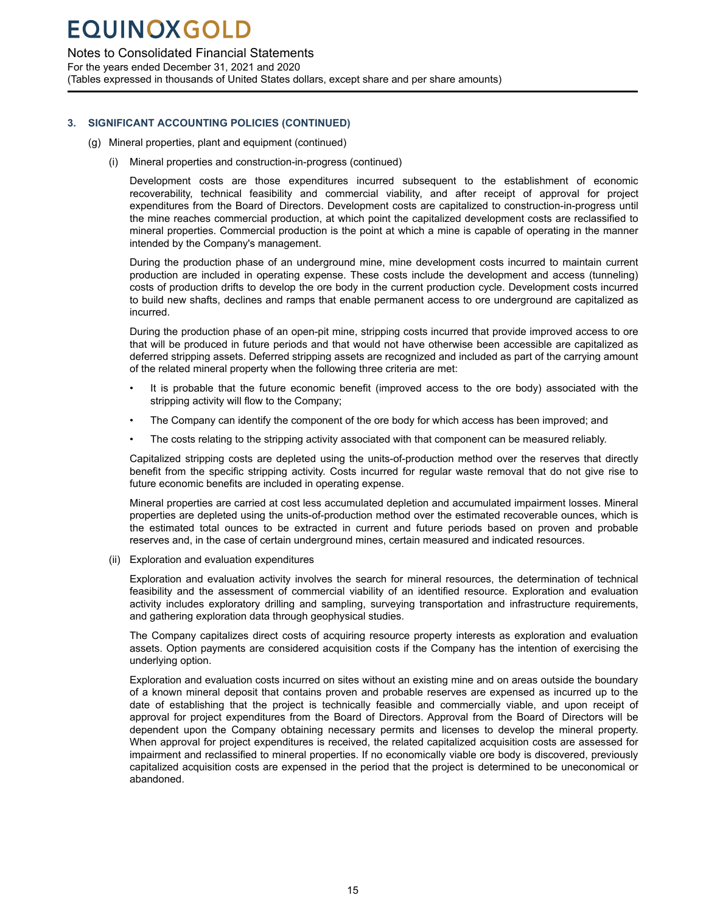### Notes to Consolidated Financial Statements

For the years ended December 31, 2021 and 2020 (Tables expressed in thousands of United States dollars, except share and per share amounts)

### **3. SIGNIFICANT ACCOUNTING POLICIES (CONTINUED)**

- (g) Mineral properties, plant and equipment (continued)
	- (i) Mineral properties and construction-in-progress (continued)

Development costs are those expenditures incurred subsequent to the establishment of economic recoverability, technical feasibility and commercial viability, and after receipt of approval for project expenditures from the Board of Directors. Development costs are capitalized to construction-in-progress until the mine reaches commercial production, at which point the capitalized development costs are reclassified to mineral properties. Commercial production is the point at which a mine is capable of operating in the manner intended by the Company's management.

During the production phase of an underground mine, mine development costs incurred to maintain current production are included in operating expense. These costs include the development and access (tunneling) costs of production drifts to develop the ore body in the current production cycle. Development costs incurred to build new shafts, declines and ramps that enable permanent access to ore underground are capitalized as incurred.

During the production phase of an open-pit mine, stripping costs incurred that provide improved access to ore that will be produced in future periods and that would not have otherwise been accessible are capitalized as deferred stripping assets. Deferred stripping assets are recognized and included as part of the carrying amount of the related mineral property when the following three criteria are met:

- It is probable that the future economic benefit (improved access to the ore body) associated with the stripping activity will flow to the Company;
- The Company can identify the component of the ore body for which access has been improved; and
- The costs relating to the stripping activity associated with that component can be measured reliably.

Capitalized stripping costs are depleted using the units-of-production method over the reserves that directly benefit from the specific stripping activity. Costs incurred for regular waste removal that do not give rise to future economic benefits are included in operating expense.

Mineral properties are carried at cost less accumulated depletion and accumulated impairment losses. Mineral properties are depleted using the units-of-production method over the estimated recoverable ounces, which is the estimated total ounces to be extracted in current and future periods based on proven and probable reserves and, in the case of certain underground mines, certain measured and indicated resources.

(ii) Exploration and evaluation expenditures

Exploration and evaluation activity involves the search for mineral resources, the determination of technical feasibility and the assessment of commercial viability of an identified resource. Exploration and evaluation activity includes exploratory drilling and sampling, surveying transportation and infrastructure requirements, and gathering exploration data through geophysical studies.

The Company capitalizes direct costs of acquiring resource property interests as exploration and evaluation assets. Option payments are considered acquisition costs if the Company has the intention of exercising the underlying option.

Exploration and evaluation costs incurred on sites without an existing mine and on areas outside the boundary of a known mineral deposit that contains proven and probable reserves are expensed as incurred up to the date of establishing that the project is technically feasible and commercially viable, and upon receipt of approval for project expenditures from the Board of Directors. Approval from the Board of Directors will be dependent upon the Company obtaining necessary permits and licenses to develop the mineral property. When approval for project expenditures is received, the related capitalized acquisition costs are assessed for impairment and reclassified to mineral properties. If no economically viable ore body is discovered, previously capitalized acquisition costs are expensed in the period that the project is determined to be uneconomical or abandoned.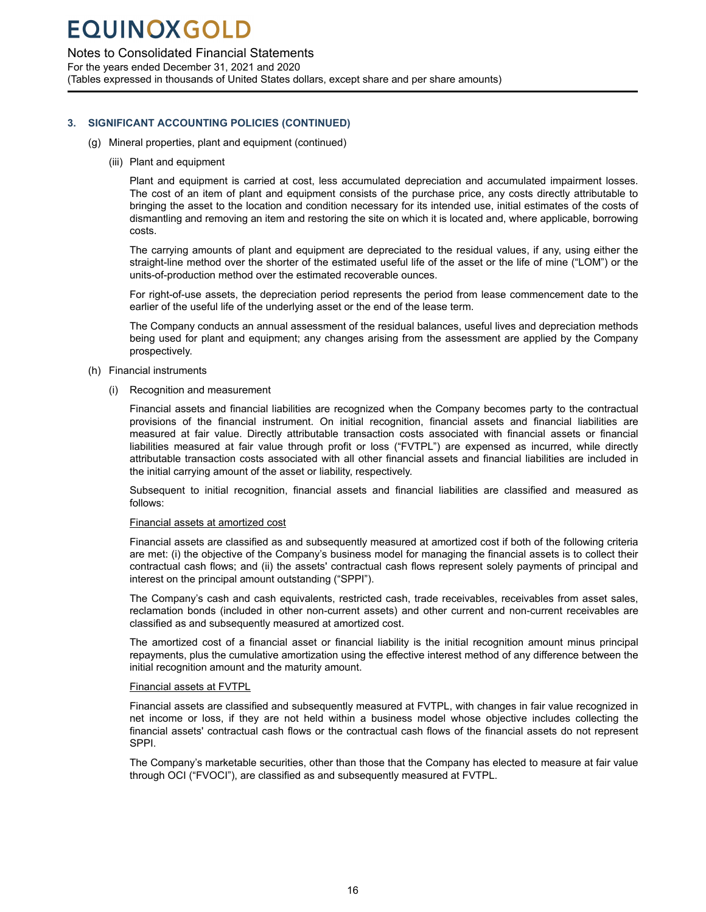### Notes to Consolidated Financial Statements

For the years ended December 31, 2021 and 2020 (Tables expressed in thousands of United States dollars, except share and per share amounts)

### **3. SIGNIFICANT ACCOUNTING POLICIES (CONTINUED)**

- (g) Mineral properties, plant and equipment (continued)
	- (iii) Plant and equipment

Plant and equipment is carried at cost, less accumulated depreciation and accumulated impairment losses. The cost of an item of plant and equipment consists of the purchase price, any costs directly attributable to bringing the asset to the location and condition necessary for its intended use, initial estimates of the costs of dismantling and removing an item and restoring the site on which it is located and, where applicable, borrowing costs.

The carrying amounts of plant and equipment are depreciated to the residual values, if any, using either the straight-line method over the shorter of the estimated useful life of the asset or the life of mine ("LOM") or the units-of-production method over the estimated recoverable ounces.

For right-of-use assets, the depreciation period represents the period from lease commencement date to the earlier of the useful life of the underlying asset or the end of the lease term.

The Company conducts an annual assessment of the residual balances, useful lives and depreciation methods being used for plant and equipment; any changes arising from the assessment are applied by the Company prospectively.

- (h) Financial instruments
	- (i) Recognition and measurement

Financial assets and financial liabilities are recognized when the Company becomes party to the contractual provisions of the financial instrument. On initial recognition, financial assets and financial liabilities are measured at fair value. Directly attributable transaction costs associated with financial assets or financial liabilities measured at fair value through profit or loss ("FVTPL") are expensed as incurred, while directly attributable transaction costs associated with all other financial assets and financial liabilities are included in the initial carrying amount of the asset or liability, respectively.

Subsequent to initial recognition, financial assets and financial liabilities are classified and measured as follows:

### Financial assets at amortized cost

Financial assets are classified as and subsequently measured at amortized cost if both of the following criteria are met: (i) the objective of the Company's business model for managing the financial assets is to collect their contractual cash flows; and (ii) the assets' contractual cash flows represent solely payments of principal and interest on the principal amount outstanding ("SPPI").

The Company's cash and cash equivalents, restricted cash, trade receivables, receivables from asset sales, reclamation bonds (included in other non-current assets) and other current and non-current receivables are classified as and subsequently measured at amortized cost.

The amortized cost of a financial asset or financial liability is the initial recognition amount minus principal repayments, plus the cumulative amortization using the effective interest method of any difference between the initial recognition amount and the maturity amount.

### Financial assets at FVTPL

Financial assets are classified and subsequently measured at FVTPL, with changes in fair value recognized in net income or loss, if they are not held within a business model whose objective includes collecting the financial assets' contractual cash flows or the contractual cash flows of the financial assets do not represent SPPI.

The Company's marketable securities, other than those that the Company has elected to measure at fair value through OCI ("FVOCI"), are classified as and subsequently measured at FVTPL.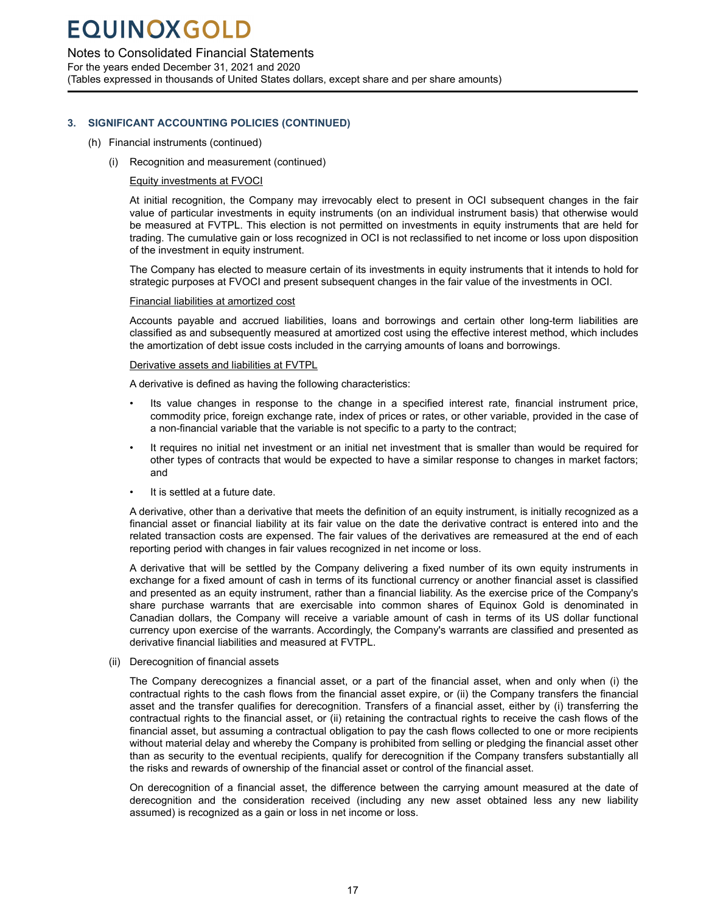### Notes to Consolidated Financial Statements

For the years ended December 31, 2021 and 2020 (Tables expressed in thousands of United States dollars, except share and per share amounts)

### **3. SIGNIFICANT ACCOUNTING POLICIES (CONTINUED)**

- (h) Financial instruments (continued)
	- (i) Recognition and measurement (continued)

#### Equity investments at FVOCI

At initial recognition, the Company may irrevocably elect to present in OCI subsequent changes in the fair value of particular investments in equity instruments (on an individual instrument basis) that otherwise would be measured at FVTPL. This election is not permitted on investments in equity instruments that are held for trading. The cumulative gain or loss recognized in OCI is not reclassified to net income or loss upon disposition of the investment in equity instrument.

The Company has elected to measure certain of its investments in equity instruments that it intends to hold for strategic purposes at FVOCI and present subsequent changes in the fair value of the investments in OCI.

#### Financial liabilities at amortized cost

Accounts payable and accrued liabilities, loans and borrowings and certain other long-term liabilities are classified as and subsequently measured at amortized cost using the effective interest method, which includes the amortization of debt issue costs included in the carrying amounts of loans and borrowings.

#### Derivative assets and liabilities at FVTPL

A derivative is defined as having the following characteristics:

- Its value changes in response to the change in a specified interest rate, financial instrument price, commodity price, foreign exchange rate, index of prices or rates, or other variable, provided in the case of a non-financial variable that the variable is not specific to a party to the contract;
- It requires no initial net investment or an initial net investment that is smaller than would be required for other types of contracts that would be expected to have a similar response to changes in market factors; and
- It is settled at a future date.

A derivative, other than a derivative that meets the definition of an equity instrument, is initially recognized as a financial asset or financial liability at its fair value on the date the derivative contract is entered into and the related transaction costs are expensed. The fair values of the derivatives are remeasured at the end of each reporting period with changes in fair values recognized in net income or loss.

A derivative that will be settled by the Company delivering a fixed number of its own equity instruments in exchange for a fixed amount of cash in terms of its functional currency or another financial asset is classified and presented as an equity instrument, rather than a financial liability. As the exercise price of the Company's share purchase warrants that are exercisable into common shares of Equinox Gold is denominated in Canadian dollars, the Company will receive a variable amount of cash in terms of its US dollar functional currency upon exercise of the warrants. Accordingly, the Company's warrants are classified and presented as derivative financial liabilities and measured at FVTPL.

(ii) Derecognition of financial assets

The Company derecognizes a financial asset, or a part of the financial asset, when and only when (i) the contractual rights to the cash flows from the financial asset expire, or (ii) the Company transfers the financial asset and the transfer qualifies for derecognition. Transfers of a financial asset, either by (i) transferring the contractual rights to the financial asset, or (ii) retaining the contractual rights to receive the cash flows of the financial asset, but assuming a contractual obligation to pay the cash flows collected to one or more recipients without material delay and whereby the Company is prohibited from selling or pledging the financial asset other than as security to the eventual recipients, qualify for derecognition if the Company transfers substantially all the risks and rewards of ownership of the financial asset or control of the financial asset.

On derecognition of a financial asset, the difference between the carrying amount measured at the date of derecognition and the consideration received (including any new asset obtained less any new liability assumed) is recognized as a gain or loss in net income or loss.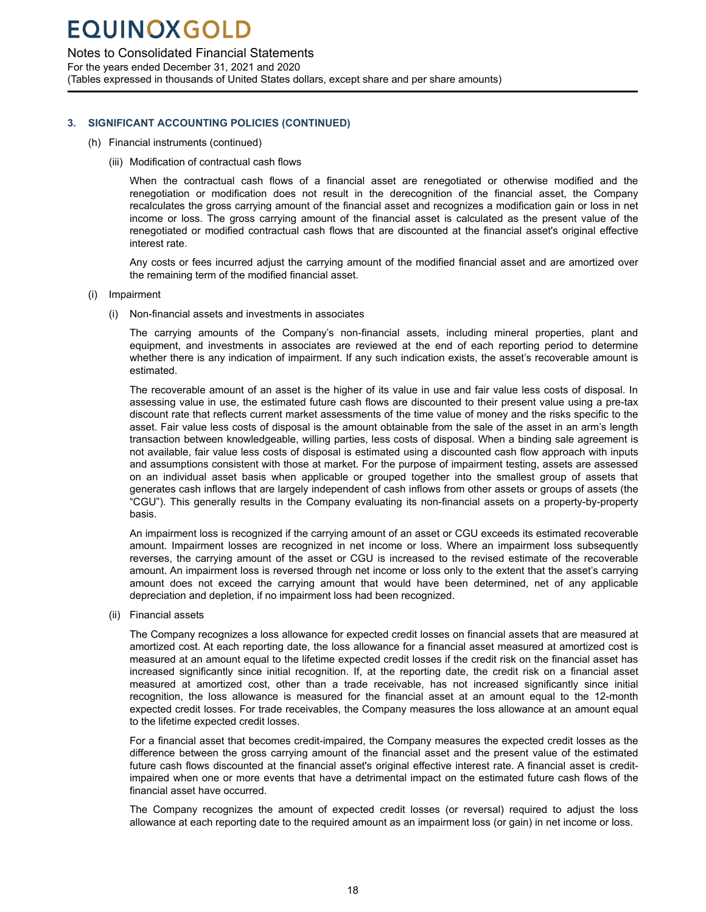### Notes to Consolidated Financial Statements

For the years ended December 31, 2021 and 2020 (Tables expressed in thousands of United States dollars, except share and per share amounts)

### **3. SIGNIFICANT ACCOUNTING POLICIES (CONTINUED)**

- (h) Financial instruments (continued)
	- (iii) Modification of contractual cash flows

When the contractual cash flows of a financial asset are renegotiated or otherwise modified and the renegotiation or modification does not result in the derecognition of the financial asset, the Company recalculates the gross carrying amount of the financial asset and recognizes a modification gain or loss in net income or loss. The gross carrying amount of the financial asset is calculated as the present value of the renegotiated or modified contractual cash flows that are discounted at the financial asset's original effective interest rate.

Any costs or fees incurred adjust the carrying amount of the modified financial asset and are amortized over the remaining term of the modified financial asset.

- (i) Impairment
	- (i) Non-financial assets and investments in associates

The carrying amounts of the Company's non-financial assets, including mineral properties, plant and equipment, and investments in associates are reviewed at the end of each reporting period to determine whether there is any indication of impairment. If any such indication exists, the asset's recoverable amount is estimated.

The recoverable amount of an asset is the higher of its value in use and fair value less costs of disposal. In assessing value in use, the estimated future cash flows are discounted to their present value using a pre-tax discount rate that reflects current market assessments of the time value of money and the risks specific to the asset. Fair value less costs of disposal is the amount obtainable from the sale of the asset in an arm's length transaction between knowledgeable, willing parties, less costs of disposal. When a binding sale agreement is not available, fair value less costs of disposal is estimated using a discounted cash flow approach with inputs and assumptions consistent with those at market. For the purpose of impairment testing, assets are assessed on an individual asset basis when applicable or grouped together into the smallest group of assets that generates cash inflows that are largely independent of cash inflows from other assets or groups of assets (the "CGU"). This generally results in the Company evaluating its non-financial assets on a property-by-property basis.

An impairment loss is recognized if the carrying amount of an asset or CGU exceeds its estimated recoverable amount. Impairment losses are recognized in net income or loss. Where an impairment loss subsequently reverses, the carrying amount of the asset or CGU is increased to the revised estimate of the recoverable amount. An impairment loss is reversed through net income or loss only to the extent that the asset's carrying amount does not exceed the carrying amount that would have been determined, net of any applicable depreciation and depletion, if no impairment loss had been recognized.

(ii) Financial assets

The Company recognizes a loss allowance for expected credit losses on financial assets that are measured at amortized cost. At each reporting date, the loss allowance for a financial asset measured at amortized cost is measured at an amount equal to the lifetime expected credit losses if the credit risk on the financial asset has increased significantly since initial recognition. If, at the reporting date, the credit risk on a financial asset measured at amortized cost, other than a trade receivable, has not increased significantly since initial recognition, the loss allowance is measured for the financial asset at an amount equal to the 12-month expected credit losses. For trade receivables, the Company measures the loss allowance at an amount equal to the lifetime expected credit losses.

For a financial asset that becomes credit-impaired, the Company measures the expected credit losses as the difference between the gross carrying amount of the financial asset and the present value of the estimated future cash flows discounted at the financial asset's original effective interest rate. A financial asset is creditimpaired when one or more events that have a detrimental impact on the estimated future cash flows of the financial asset have occurred.

The Company recognizes the amount of expected credit losses (or reversal) required to adjust the loss allowance at each reporting date to the required amount as an impairment loss (or gain) in net income or loss.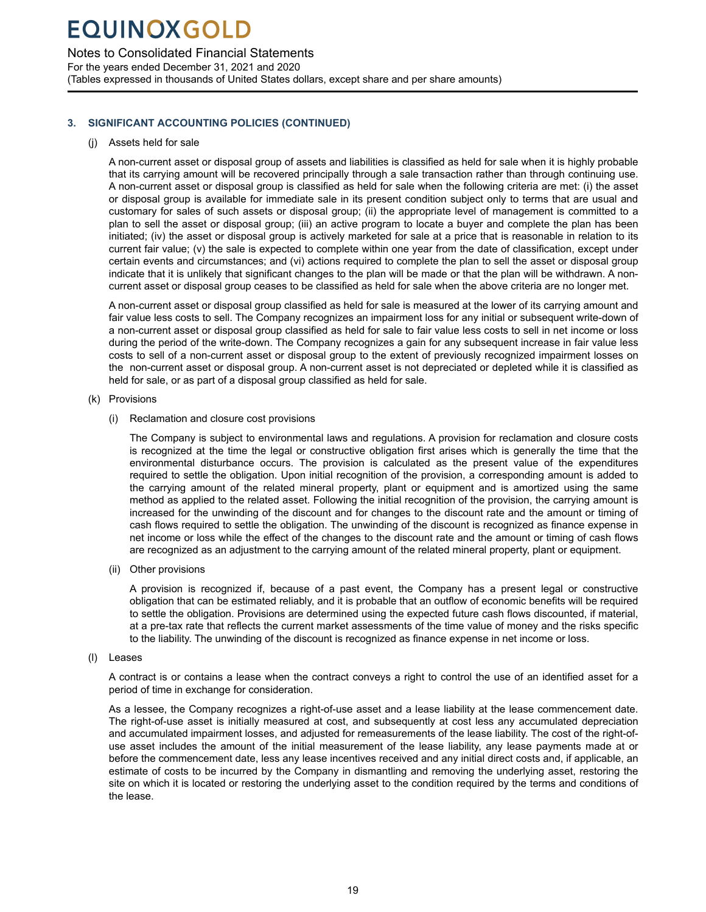### Notes to Consolidated Financial Statements

For the years ended December 31, 2021 and 2020 (Tables expressed in thousands of United States dollars, except share and per share amounts)

### **3. SIGNIFICANT ACCOUNTING POLICIES (CONTINUED)**

### (j) Assets held for sale

A non-current asset or disposal group of assets and liabilities is classified as held for sale when it is highly probable that its carrying amount will be recovered principally through a sale transaction rather than through continuing use. A non-current asset or disposal group is classified as held for sale when the following criteria are met: (i) the asset or disposal group is available for immediate sale in its present condition subject only to terms that are usual and customary for sales of such assets or disposal group; (ii) the appropriate level of management is committed to a plan to sell the asset or disposal group; (iii) an active program to locate a buyer and complete the plan has been initiated; (iv) the asset or disposal group is actively marketed for sale at a price that is reasonable in relation to its current fair value; (v) the sale is expected to complete within one year from the date of classification, except under certain events and circumstances; and (vi) actions required to complete the plan to sell the asset or disposal group indicate that it is unlikely that significant changes to the plan will be made or that the plan will be withdrawn. A noncurrent asset or disposal group ceases to be classified as held for sale when the above criteria are no longer met.

A non-current asset or disposal group classified as held for sale is measured at the lower of its carrying amount and fair value less costs to sell. The Company recognizes an impairment loss for any initial or subsequent write-down of a non-current asset or disposal group classified as held for sale to fair value less costs to sell in net income or loss during the period of the write-down. The Company recognizes a gain for any subsequent increase in fair value less costs to sell of a non-current asset or disposal group to the extent of previously recognized impairment losses on the non-current asset or disposal group. A non-current asset is not depreciated or depleted while it is classified as held for sale, or as part of a disposal group classified as held for sale.

### (k) Provisions

(i) Reclamation and closure cost provisions

The Company is subject to environmental laws and regulations. A provision for reclamation and closure costs is recognized at the time the legal or constructive obligation first arises which is generally the time that the environmental disturbance occurs. The provision is calculated as the present value of the expenditures required to settle the obligation. Upon initial recognition of the provision, a corresponding amount is added to the carrying amount of the related mineral property, plant or equipment and is amortized using the same method as applied to the related asset. Following the initial recognition of the provision, the carrying amount is increased for the unwinding of the discount and for changes to the discount rate and the amount or timing of cash flows required to settle the obligation. The unwinding of the discount is recognized as finance expense in net income or loss while the effect of the changes to the discount rate and the amount or timing of cash flows are recognized as an adjustment to the carrying amount of the related mineral property, plant or equipment.

(ii) Other provisions

A provision is recognized if, because of a past event, the Company has a present legal or constructive obligation that can be estimated reliably, and it is probable that an outflow of economic benefits will be required to settle the obligation. Provisions are determined using the expected future cash flows discounted, if material, at a pre-tax rate that reflects the current market assessments of the time value of money and the risks specific to the liability. The unwinding of the discount is recognized as finance expense in net income or loss.

### (l) Leases

A contract is or contains a lease when the contract conveys a right to control the use of an identified asset for a period of time in exchange for consideration.

As a lessee, the Company recognizes a right-of-use asset and a lease liability at the lease commencement date. The right-of-use asset is initially measured at cost, and subsequently at cost less any accumulated depreciation and accumulated impairment losses, and adjusted for remeasurements of the lease liability. The cost of the right-ofuse asset includes the amount of the initial measurement of the lease liability, any lease payments made at or before the commencement date, less any lease incentives received and any initial direct costs and, if applicable, an estimate of costs to be incurred by the Company in dismantling and removing the underlying asset, restoring the site on which it is located or restoring the underlying asset to the condition required by the terms and conditions of the lease.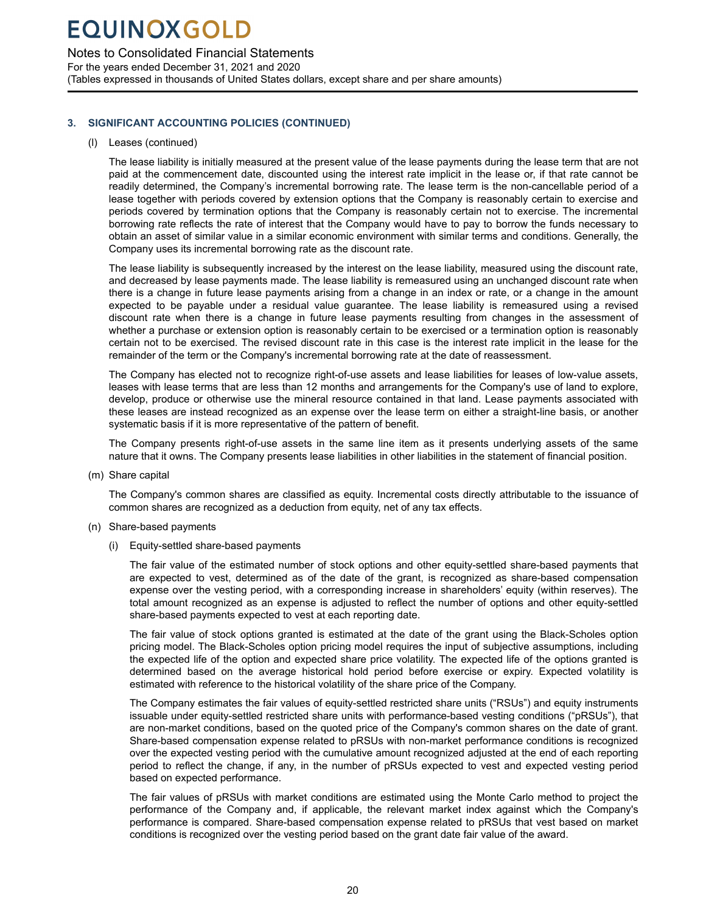Notes to Consolidated Financial Statements

For the years ended December 31, 2021 and 2020 (Tables expressed in thousands of United States dollars, except share and per share amounts)

### **3. SIGNIFICANT ACCOUNTING POLICIES (CONTINUED)**

### (l) Leases (continued)

The lease liability is initially measured at the present value of the lease payments during the lease term that are not paid at the commencement date, discounted using the interest rate implicit in the lease or, if that rate cannot be readily determined, the Company's incremental borrowing rate. The lease term is the non-cancellable period of a lease together with periods covered by extension options that the Company is reasonably certain to exercise and periods covered by termination options that the Company is reasonably certain not to exercise. The incremental borrowing rate reflects the rate of interest that the Company would have to pay to borrow the funds necessary to obtain an asset of similar value in a similar economic environment with similar terms and conditions. Generally, the Company uses its incremental borrowing rate as the discount rate.

The lease liability is subsequently increased by the interest on the lease liability, measured using the discount rate, and decreased by lease payments made. The lease liability is remeasured using an unchanged discount rate when there is a change in future lease payments arising from a change in an index or rate, or a change in the amount expected to be payable under a residual value guarantee. The lease liability is remeasured using a revised discount rate when there is a change in future lease payments resulting from changes in the assessment of whether a purchase or extension option is reasonably certain to be exercised or a termination option is reasonably certain not to be exercised. The revised discount rate in this case is the interest rate implicit in the lease for the remainder of the term or the Company's incremental borrowing rate at the date of reassessment.

The Company has elected not to recognize right-of-use assets and lease liabilities for leases of low-value assets, leases with lease terms that are less than 12 months and arrangements for the Company's use of land to explore, develop, produce or otherwise use the mineral resource contained in that land. Lease payments associated with these leases are instead recognized as an expense over the lease term on either a straight-line basis, or another systematic basis if it is more representative of the pattern of benefit.

The Company presents right-of-use assets in the same line item as it presents underlying assets of the same nature that it owns. The Company presents lease liabilities in other liabilities in the statement of financial position.

(m) Share capital

The Company's common shares are classified as equity. Incremental costs directly attributable to the issuance of common shares are recognized as a deduction from equity, net of any tax effects.

- (n) Share-based payments
	- (i) Equity-settled share-based payments

The fair value of the estimated number of stock options and other equity-settled share-based payments that are expected to vest, determined as of the date of the grant, is recognized as share-based compensation expense over the vesting period, with a corresponding increase in shareholders' equity (within reserves). The total amount recognized as an expense is adjusted to reflect the number of options and other equity-settled share-based payments expected to vest at each reporting date.

The fair value of stock options granted is estimated at the date of the grant using the Black-Scholes option pricing model. The Black-Scholes option pricing model requires the input of subjective assumptions, including the expected life of the option and expected share price volatility. The expected life of the options granted is determined based on the average historical hold period before exercise or expiry. Expected volatility is estimated with reference to the historical volatility of the share price of the Company.

The Company estimates the fair values of equity-settled restricted share units ("RSUs") and equity instruments issuable under equity-settled restricted share units with performance-based vesting conditions ("pRSUs"), that are non-market conditions, based on the quoted price of the Company's common shares on the date of grant. Share-based compensation expense related to pRSUs with non-market performance conditions is recognized over the expected vesting period with the cumulative amount recognized adjusted at the end of each reporting period to reflect the change, if any, in the number of pRSUs expected to vest and expected vesting period based on expected performance.

The fair values of pRSUs with market conditions are estimated using the Monte Carlo method to project the performance of the Company and, if applicable, the relevant market index against which the Company's performance is compared. Share-based compensation expense related to pRSUs that vest based on market conditions is recognized over the vesting period based on the grant date fair value of the award.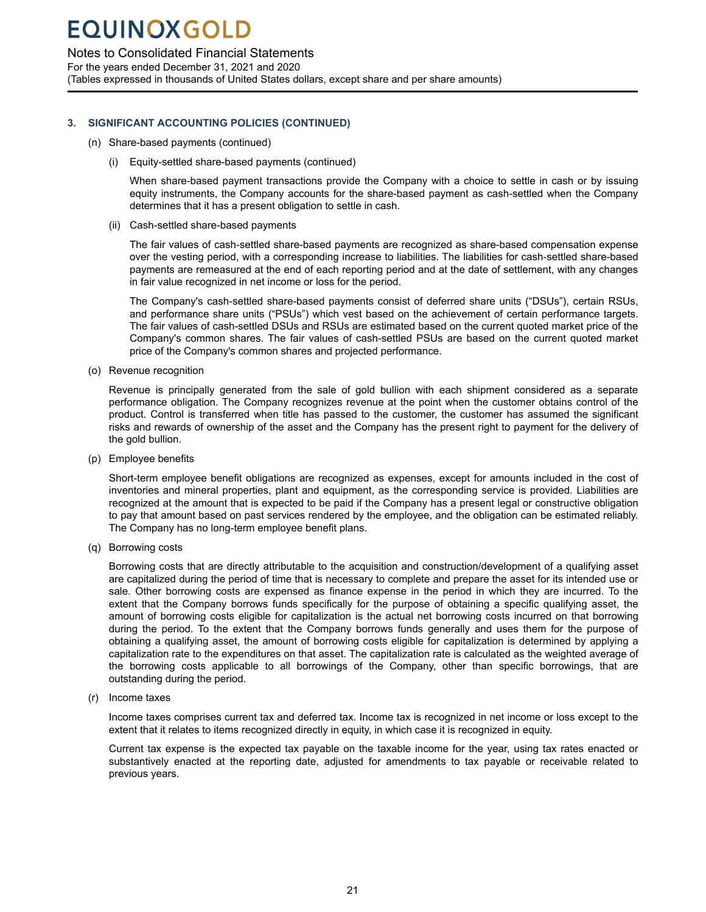### Notes to Consolidated Financial Statements

For the years ended December 31, 2021 and 2020 (Tables expressed in thousands of United States dollars, except share and per share amounts)

### **3. SIGNIFICANT ACCOUNTING POLICIES (CONTINUED)**

- (n) Share-based payments (continued)
	- (i) Equity-settled share-based payments (continued)

When share-based payment transactions provide the Company with a choice to settle in cash or by issuing equity instruments, the Company accounts for the share-based payment as cash-settled when the Company determines that it has a present obligation to settle in cash.

(ii) Cash-settled share-based payments

The fair values of cash-settled share-based payments are recognized as share-based compensation expense over the vesting period, with a corresponding increase to liabilities. The liabilities for cash-settled share-based payments are remeasured at the end of each reporting period and at the date of settlement, with any changes in fair value recognized in net income or loss for the period.

The Company's cash-settled share-based payments consist of deferred share units ("DSUs"), certain RSUs, and performance share units ("PSUs") which vest based on the achievement of certain performance targets. The fair values of cash-settled DSUs and RSUs are estimated based on the current quoted market price of the Company's common shares. The fair values of cash-settled PSUs are based on the current quoted market price of the Company's common shares and projected performance.

(o) Revenue recognition

Revenue is principally generated from the sale of gold bullion with each shipment considered as a separate performance obligation. The Company recognizes revenue at the point when the customer obtains control of the product. Control is transferred when title has passed to the customer, the customer has assumed the significant risks and rewards of ownership of the asset and the Company has the present right to payment for the delivery of the gold bullion.

(p) Employee benefits

Short-term employee benefit obligations are recognized as expenses, except for amounts included in the cost of inventories and mineral properties, plant and equipment, as the corresponding service is provided. Liabilities are recognized at the amount that is expected to be paid if the Company has a present legal or constructive obligation to pay that amount based on past services rendered by the employee, and the obligation can be estimated reliably. The Company has no long-term employee benefit plans.

(q) Borrowing costs

Borrowing costs that are directly attributable to the acquisition and construction/development of a qualifying asset are capitalized during the period of time that is necessary to complete and prepare the asset for its intended use or sale. Other borrowing costs are expensed as finance expense in the period in which they are incurred. To the extent that the Company borrows funds specifically for the purpose of obtaining a specific qualifying asset, the amount of borrowing costs eligible for capitalization is the actual net borrowing costs incurred on that borrowing during the period. To the extent that the Company borrows funds generally and uses them for the purpose of obtaining a qualifying asset, the amount of borrowing costs eligible for capitalization is determined by applying a capitalization rate to the expenditures on that asset. The capitalization rate is calculated as the weighted average of the borrowing costs applicable to all borrowings of the Company, other than specific borrowings, that are outstanding during the period.

(r) Income taxes

Income taxes comprises current tax and deferred tax. Income tax is recognized in net income or loss except to the extent that it relates to items recognized directly in equity, in which case it is recognized in equity.

Current tax expense is the expected tax payable on the taxable income for the year, using tax rates enacted or substantively enacted at the reporting date, adjusted for amendments to tax payable or receivable related to previous years.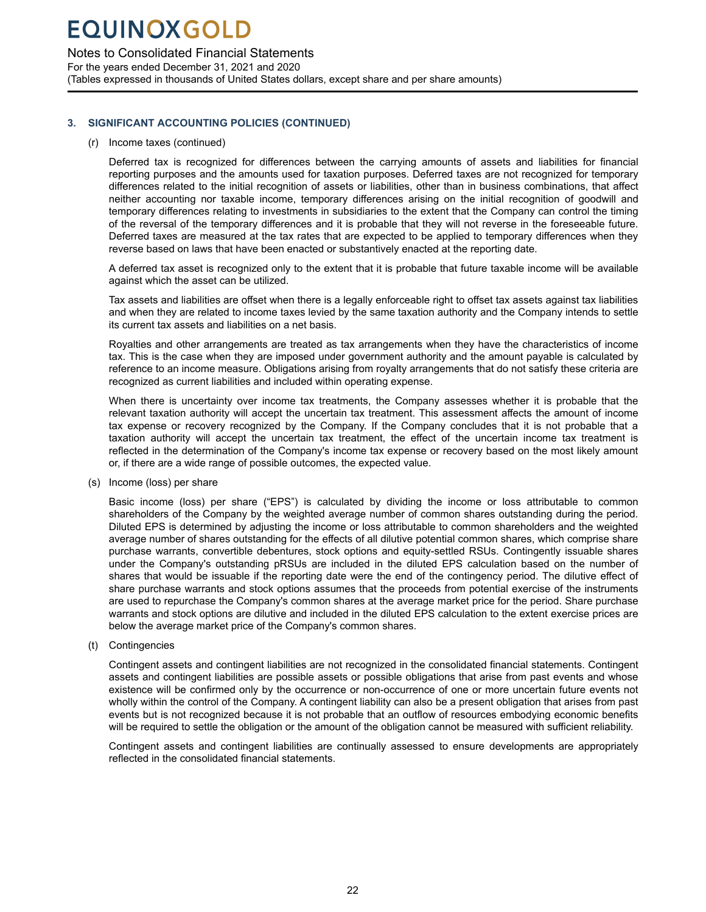### Notes to Consolidated Financial Statements

For the years ended December 31, 2021 and 2020 (Tables expressed in thousands of United States dollars, except share and per share amounts)

### **3. SIGNIFICANT ACCOUNTING POLICIES (CONTINUED)**

#### (r) Income taxes (continued)

Deferred tax is recognized for differences between the carrying amounts of assets and liabilities for financial reporting purposes and the amounts used for taxation purposes. Deferred taxes are not recognized for temporary differences related to the initial recognition of assets or liabilities, other than in business combinations, that affect neither accounting nor taxable income, temporary differences arising on the initial recognition of goodwill and temporary differences relating to investments in subsidiaries to the extent that the Company can control the timing of the reversal of the temporary differences and it is probable that they will not reverse in the foreseeable future. Deferred taxes are measured at the tax rates that are expected to be applied to temporary differences when they reverse based on laws that have been enacted or substantively enacted at the reporting date.

A deferred tax asset is recognized only to the extent that it is probable that future taxable income will be available against which the asset can be utilized.

Tax assets and liabilities are offset when there is a legally enforceable right to offset tax assets against tax liabilities and when they are related to income taxes levied by the same taxation authority and the Company intends to settle its current tax assets and liabilities on a net basis.

Royalties and other arrangements are treated as tax arrangements when they have the characteristics of income tax. This is the case when they are imposed under government authority and the amount payable is calculated by reference to an income measure. Obligations arising from royalty arrangements that do not satisfy these criteria are recognized as current liabilities and included within operating expense.

When there is uncertainty over income tax treatments, the Company assesses whether it is probable that the relevant taxation authority will accept the uncertain tax treatment. This assessment affects the amount of income tax expense or recovery recognized by the Company. If the Company concludes that it is not probable that a taxation authority will accept the uncertain tax treatment, the effect of the uncertain income tax treatment is reflected in the determination of the Company's income tax expense or recovery based on the most likely amount or, if there are a wide range of possible outcomes, the expected value.

(s) Income (loss) per share

Basic income (loss) per share ("EPS") is calculated by dividing the income or loss attributable to common shareholders of the Company by the weighted average number of common shares outstanding during the period. Diluted EPS is determined by adjusting the income or loss attributable to common shareholders and the weighted average number of shares outstanding for the effects of all dilutive potential common shares, which comprise share purchase warrants, convertible debentures, stock options and equity-settled RSUs. Contingently issuable shares under the Company's outstanding pRSUs are included in the diluted EPS calculation based on the number of shares that would be issuable if the reporting date were the end of the contingency period. The dilutive effect of share purchase warrants and stock options assumes that the proceeds from potential exercise of the instruments are used to repurchase the Company's common shares at the average market price for the period. Share purchase warrants and stock options are dilutive and included in the diluted EPS calculation to the extent exercise prices are below the average market price of the Company's common shares.

(t) Contingencies

Contingent assets and contingent liabilities are not recognized in the consolidated financial statements. Contingent assets and contingent liabilities are possible assets or possible obligations that arise from past events and whose existence will be confirmed only by the occurrence or non-occurrence of one or more uncertain future events not wholly within the control of the Company. A contingent liability can also be a present obligation that arises from past events but is not recognized because it is not probable that an outflow of resources embodying economic benefits will be required to settle the obligation or the amount of the obligation cannot be measured with sufficient reliability.

Contingent assets and contingent liabilities are continually assessed to ensure developments are appropriately reflected in the consolidated financial statements.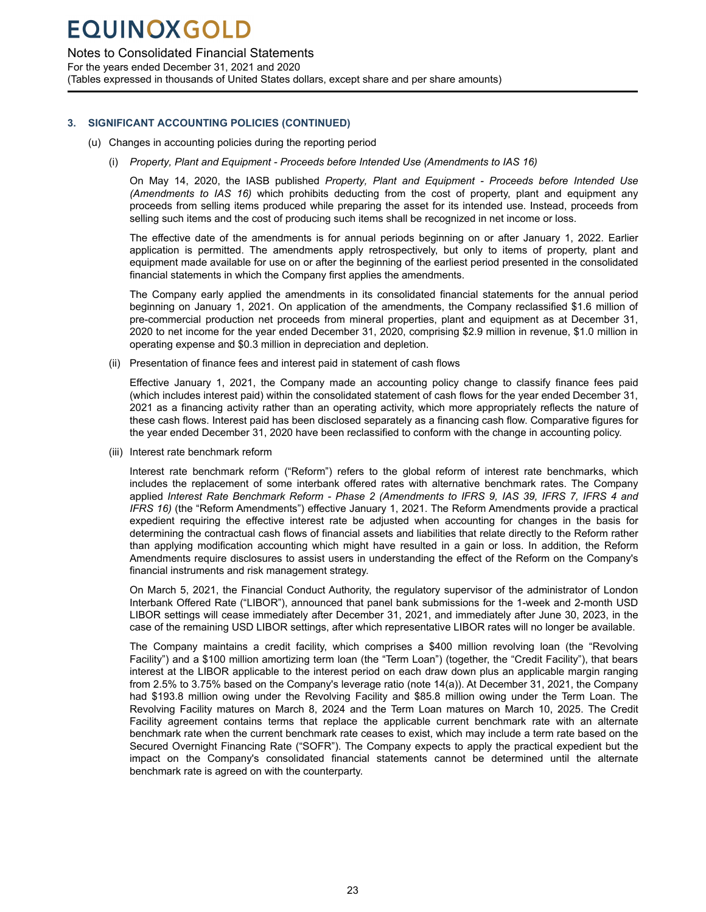### Notes to Consolidated Financial Statements

For the years ended December 31, 2021 and 2020

(Tables expressed in thousands of United States dollars, except share and per share amounts)

### **3. SIGNIFICANT ACCOUNTING POLICIES (CONTINUED)**

- (u) Changes in accounting policies during the reporting period
	- (i) *Property, Plant and Equipment Proceeds before Intended Use (Amendments to IAS 16)*

On May 14, 2020, the IASB published *Property, Plant and Equipment - Proceeds before Intended Use (Amendments to IAS 16)* which prohibits deducting from the cost of property, plant and equipment any proceeds from selling items produced while preparing the asset for its intended use. Instead, proceeds from selling such items and the cost of producing such items shall be recognized in net income or loss.

The effective date of the amendments is for annual periods beginning on or after January 1, 2022. Earlier application is permitted. The amendments apply retrospectively, but only to items of property, plant and equipment made available for use on or after the beginning of the earliest period presented in the consolidated financial statements in which the Company first applies the amendments.

The Company early applied the amendments in its consolidated financial statements for the annual period beginning on January 1, 2021. On application of the amendments, the Company reclassified \$1.6 million of pre-commercial production net proceeds from mineral properties, plant and equipment as at December 31, 2020 to net income for the year ended December 31, 2020, comprising \$2.9 million in revenue, \$1.0 million in operating expense and \$0.3 million in depreciation and depletion.

(ii) Presentation of finance fees and interest paid in statement of cash flows

Effective January 1, 2021, the Company made an accounting policy change to classify finance fees paid (which includes interest paid) within the consolidated statement of cash flows for the year ended December 31, 2021 as a financing activity rather than an operating activity, which more appropriately reflects the nature of these cash flows. Interest paid has been disclosed separately as a financing cash flow. Comparative figures for the year ended December 31, 2020 have been reclassified to conform with the change in accounting policy.

(iii) Interest rate benchmark reform

Interest rate benchmark reform ("Reform") refers to the global reform of interest rate benchmarks, which includes the replacement of some interbank offered rates with alternative benchmark rates. The Company applied *Interest Rate Benchmark Reform - Phase 2 (Amendments to IFRS 9, IAS 39, IFRS 7, IFRS 4 and IFRS 16)* (the "Reform Amendments") effective January 1, 2021. The Reform Amendments provide a practical expedient requiring the effective interest rate be adjusted when accounting for changes in the basis for determining the contractual cash flows of financial assets and liabilities that relate directly to the Reform rather than applying modification accounting which might have resulted in a gain or loss. In addition, the Reform Amendments require disclosures to assist users in understanding the effect of the Reform on the Company's financial instruments and risk management strategy.

On March 5, 2021, the Financial Conduct Authority, the regulatory supervisor of the administrator of London Interbank Offered Rate ("LIBOR"), announced that panel bank submissions for the 1-week and 2-month USD LIBOR settings will cease immediately after December 31, 2021, and immediately after June 30, 2023, in the case of the remaining USD LIBOR settings, after which representative LIBOR rates will no longer be available.

The Company maintains a credit facility, which comprises a \$400 million revolving loan (the "Revolving Facility") and a \$100 million amortizing term loan (the "Term Loan") (together, the "Credit Facility"), that bears interest at the LIBOR applicable to the interest period on each draw down plus an applicable margin ranging from 2.5% to 3.75% based on the Company's leverage ratio (note 14(a)). At December 31, 2021, the Company had \$193.8 million owing under the Revolving Facility and \$85.8 million owing under the Term Loan. The Revolving Facility matures on March 8, 2024 and the Term Loan matures on March 10, 2025. The Credit Facility agreement contains terms that replace the applicable current benchmark rate with an alternate benchmark rate when the current benchmark rate ceases to exist, which may include a term rate based on the Secured Overnight Financing Rate ("SOFR"). The Company expects to apply the practical expedient but the impact on the Company's consolidated financial statements cannot be determined until the alternate benchmark rate is agreed on with the counterparty.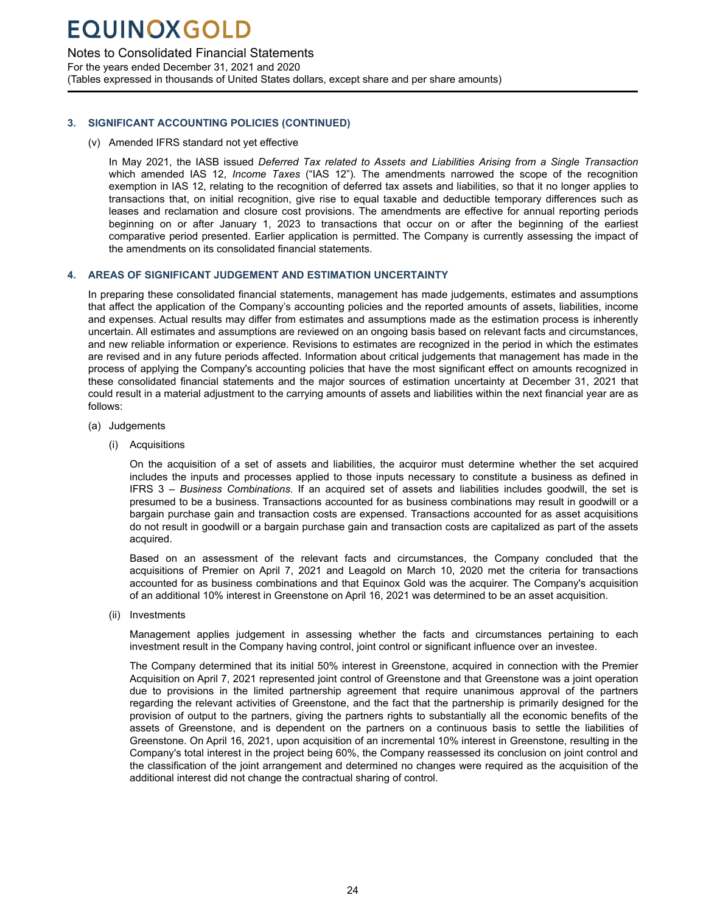### <span id="page-25-0"></span>Notes to Consolidated Financial Statements

For the years ended December 31, 2021 and 2020 (Tables expressed in thousands of United States dollars, except share and per share amounts)

### **3. SIGNIFICANT ACCOUNTING POLICIES (CONTINUED)**

(v) Amended IFRS standard not yet effective

In May 2021, the IASB issued *Deferred Tax related to Assets and Liabilities Arising from a Single Transaction*  which amended IAS 12, *Income Taxes* ("IAS 12")*.* The amendments narrowed the scope of the recognition exemption in IAS 12, relating to the recognition of deferred tax assets and liabilities, so that it no longer applies to transactions that, on initial recognition, give rise to equal taxable and deductible temporary differences such as leases and reclamation and closure cost provisions. The amendments are effective for annual reporting periods beginning on or after January 1, 2023 to transactions that occur on or after the beginning of the earliest comparative period presented. Earlier application is permitted. The Company is currently assessing the impact of the amendments on its consolidated financial statements.

### **4. AREAS OF SIGNIFICANT JUDGEMENT AND ESTIMATION UNCERTAINTY**

In preparing these consolidated financial statements, management has made judgements, estimates and assumptions that affect the application of the Company's accounting policies and the reported amounts of assets, liabilities, income and expenses. Actual results may differ from estimates and assumptions made as the estimation process is inherently uncertain. All estimates and assumptions are reviewed on an ongoing basis based on relevant facts and circumstances, and new reliable information or experience. Revisions to estimates are recognized in the period in which the estimates are revised and in any future periods affected. Information about critical judgements that management has made in the process of applying the Company's accounting policies that have the most significant effect on amounts recognized in these consolidated financial statements and the major sources of estimation uncertainty at December 31, 2021 that could result in a material adjustment to the carrying amounts of assets and liabilities within the next financial year are as follows:

- (a) Judgements
	- (i) Acquisitions

On the acquisition of a set of assets and liabilities, the acquiror must determine whether the set acquired includes the inputs and processes applied to those inputs necessary to constitute a business as defined in IFRS 3 – *Business Combinations*. If an acquired set of assets and liabilities includes goodwill, the set is presumed to be a business. Transactions accounted for as business combinations may result in goodwill or a bargain purchase gain and transaction costs are expensed. Transactions accounted for as asset acquisitions do not result in goodwill or a bargain purchase gain and transaction costs are capitalized as part of the assets acquired.

Based on an assessment of the relevant facts and circumstances, the Company concluded that the acquisitions of Premier on April 7, 2021 and Leagold on March 10, 2020 met the criteria for transactions accounted for as business combinations and that Equinox Gold was the acquirer. The Company's acquisition of an additional 10% interest in Greenstone on April 16, 2021 was determined to be an asset acquisition.

(ii) Investments

Management applies judgement in assessing whether the facts and circumstances pertaining to each investment result in the Company having control, joint control or significant influence over an investee.

The Company determined that its initial 50% interest in Greenstone, acquired in connection with the Premier Acquisition on April 7, 2021 represented joint control of Greenstone and that Greenstone was a joint operation due to provisions in the limited partnership agreement that require unanimous approval of the partners regarding the relevant activities of Greenstone, and the fact that the partnership is primarily designed for the provision of output to the partners, giving the partners rights to substantially all the economic benefits of the assets of Greenstone, and is dependent on the partners on a continuous basis to settle the liabilities of Greenstone. On April 16, 2021, upon acquisition of an incremental 10% interest in Greenstone, resulting in the Company's total interest in the project being 60%, the Company reassessed its conclusion on joint control and the classification of the joint arrangement and determined no changes were required as the acquisition of the additional interest did not change the contractual sharing of control.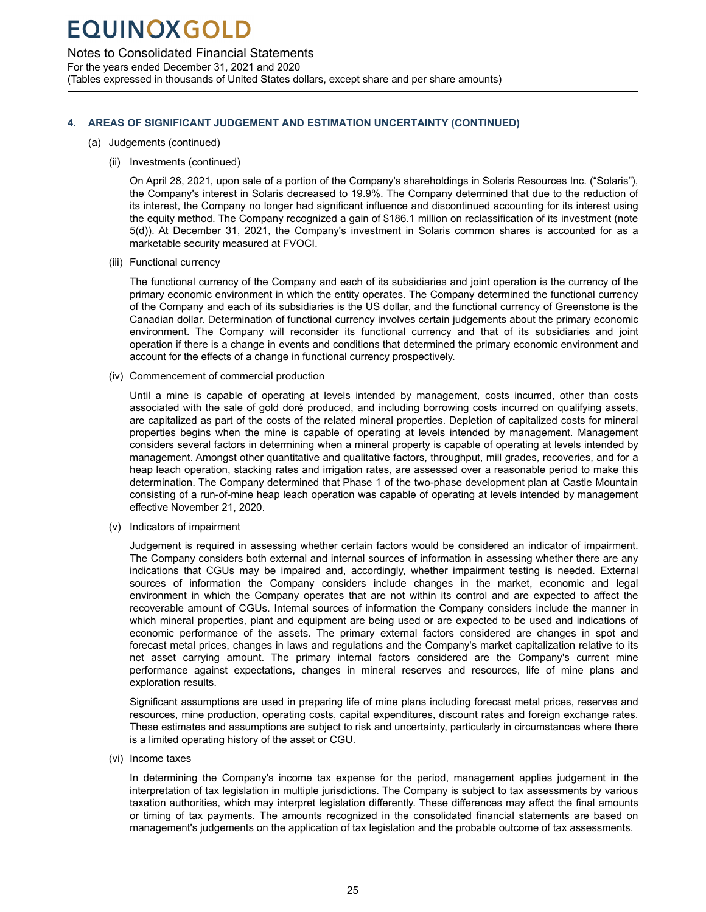Notes to Consolidated Financial Statements

For the years ended December 31, 2021 and 2020 (Tables expressed in thousands of United States dollars, except share and per share amounts)

### **4. AREAS OF SIGNIFICANT JUDGEMENT AND ESTIMATION UNCERTAINTY (CONTINUED)**

- (a) Judgements (continued)
	- (ii) Investments (continued)

On April 28, 2021, upon sale of a portion of the Company's shareholdings in Solaris Resources Inc. ("Solaris"), the Company's interest in Solaris decreased to 19.9%. The Company determined that due to the reduction of its interest, the Company no longer had significant influence and discontinued accounting for its interest using the equity method. The Company recognized a gain of \$186.1 million on reclassification of its investment (note 5(d)). At December 31, 2021, the Company's investment in Solaris common shares is accounted for as a marketable security measured at FVOCI.

(iii) Functional currency

The functional currency of the Company and each of its subsidiaries and joint operation is the currency of the primary economic environment in which the entity operates. The Company determined the functional currency of the Company and each of its subsidiaries is the US dollar, and the functional currency of Greenstone is the Canadian dollar. Determination of functional currency involves certain judgements about the primary economic environment. The Company will reconsider its functional currency and that of its subsidiaries and joint operation if there is a change in events and conditions that determined the primary economic environment and account for the effects of a change in functional currency prospectively.

(iv) Commencement of commercial production

Until a mine is capable of operating at levels intended by management, costs incurred, other than costs associated with the sale of gold doré produced, and including borrowing costs incurred on qualifying assets, are capitalized as part of the costs of the related mineral properties. Depletion of capitalized costs for mineral properties begins when the mine is capable of operating at levels intended by management. Management considers several factors in determining when a mineral property is capable of operating at levels intended by management. Amongst other quantitative and qualitative factors, throughput, mill grades, recoveries, and for a heap leach operation, stacking rates and irrigation rates, are assessed over a reasonable period to make this determination. The Company determined that Phase 1 of the two-phase development plan at Castle Mountain consisting of a run-of-mine heap leach operation was capable of operating at levels intended by management effective November 21, 2020.

(v) Indicators of impairment

Judgement is required in assessing whether certain factors would be considered an indicator of impairment. The Company considers both external and internal sources of information in assessing whether there are any indications that CGUs may be impaired and, accordingly, whether impairment testing is needed. External sources of information the Company considers include changes in the market, economic and legal environment in which the Company operates that are not within its control and are expected to affect the recoverable amount of CGUs. Internal sources of information the Company considers include the manner in which mineral properties, plant and equipment are being used or are expected to be used and indications of economic performance of the assets. The primary external factors considered are changes in spot and forecast metal prices, changes in laws and regulations and the Company's market capitalization relative to its net asset carrying amount. The primary internal factors considered are the Company's current mine performance against expectations, changes in mineral reserves and resources, life of mine plans and exploration results.

Significant assumptions are used in preparing life of mine plans including forecast metal prices, reserves and resources, mine production, operating costs, capital expenditures, discount rates and foreign exchange rates. These estimates and assumptions are subject to risk and uncertainty, particularly in circumstances where there is a limited operating history of the asset or CGU.

(vi) Income taxes

In determining the Company's income tax expense for the period, management applies judgement in the interpretation of tax legislation in multiple jurisdictions. The Company is subject to tax assessments by various taxation authorities, which may interpret legislation differently. These differences may affect the final amounts or timing of tax payments. The amounts recognized in the consolidated financial statements are based on management's judgements on the application of tax legislation and the probable outcome of tax assessments.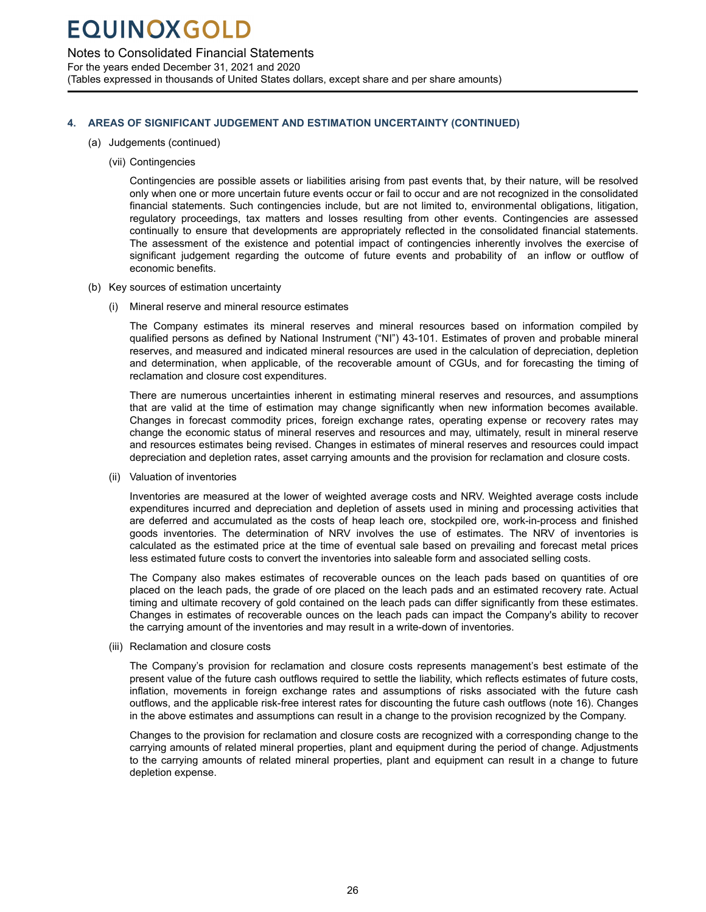Notes to Consolidated Financial Statements

For the years ended December 31, 2021 and 2020 (Tables expressed in thousands of United States dollars, except share and per share amounts)

### **4. AREAS OF SIGNIFICANT JUDGEMENT AND ESTIMATION UNCERTAINTY (CONTINUED)**

- (a) Judgements (continued)
	- (vii) Contingencies

Contingencies are possible assets or liabilities arising from past events that, by their nature, will be resolved only when one or more uncertain future events occur or fail to occur and are not recognized in the consolidated financial statements. Such contingencies include, but are not limited to, environmental obligations, litigation, regulatory proceedings, tax matters and losses resulting from other events. Contingencies are assessed continually to ensure that developments are appropriately reflected in the consolidated financial statements. The assessment of the existence and potential impact of contingencies inherently involves the exercise of significant judgement regarding the outcome of future events and probability of an inflow or outflow of economic benefits.

- (b) Key sources of estimation uncertainty
	- (i) Mineral reserve and mineral resource estimates

The Company estimates its mineral reserves and mineral resources based on information compiled by qualified persons as defined by National Instrument ("NI") 43-101. Estimates of proven and probable mineral reserves, and measured and indicated mineral resources are used in the calculation of depreciation, depletion and determination, when applicable, of the recoverable amount of CGUs, and for forecasting the timing of reclamation and closure cost expenditures.

There are numerous uncertainties inherent in estimating mineral reserves and resources, and assumptions that are valid at the time of estimation may change significantly when new information becomes available. Changes in forecast commodity prices, foreign exchange rates, operating expense or recovery rates may change the economic status of mineral reserves and resources and may, ultimately, result in mineral reserve and resources estimates being revised. Changes in estimates of mineral reserves and resources could impact depreciation and depletion rates, asset carrying amounts and the provision for reclamation and closure costs.

(ii) Valuation of inventories

Inventories are measured at the lower of weighted average costs and NRV. Weighted average costs include expenditures incurred and depreciation and depletion of assets used in mining and processing activities that are deferred and accumulated as the costs of heap leach ore, stockpiled ore, work-in-process and finished goods inventories. The determination of NRV involves the use of estimates. The NRV of inventories is calculated as the estimated price at the time of eventual sale based on prevailing and forecast metal prices less estimated future costs to convert the inventories into saleable form and associated selling costs.

The Company also makes estimates of recoverable ounces on the leach pads based on quantities of ore placed on the leach pads, the grade of ore placed on the leach pads and an estimated recovery rate. Actual timing and ultimate recovery of gold contained on the leach pads can differ significantly from these estimates. Changes in estimates of recoverable ounces on the leach pads can impact the Company's ability to recover the carrying amount of the inventories and may result in a write-down of inventories.

(iii) Reclamation and closure costs

The Company's provision for reclamation and closure costs represents management's best estimate of the present value of the future cash outflows required to settle the liability, which reflects estimates of future costs, inflation, movements in foreign exchange rates and assumptions of risks associated with the future cash outflows, and the applicable risk-free interest rates for discounting the future cash outflows (note 16). Changes in the above estimates and assumptions can result in a change to the provision recognized by the Company.

Changes to the provision for reclamation and closure costs are recognized with a corresponding change to the carrying amounts of related mineral properties, plant and equipment during the period of change. Adjustments to the carrying amounts of related mineral properties, plant and equipment can result in a change to future depletion expense.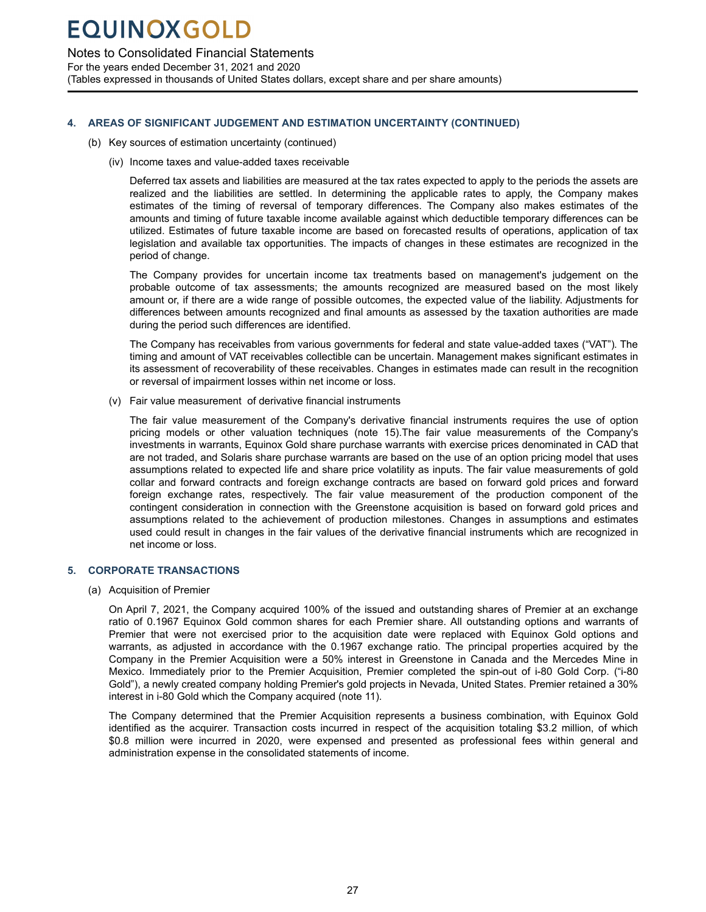### <span id="page-28-0"></span>Notes to Consolidated Financial Statements

For the years ended December 31, 2021 and 2020

(Tables expressed in thousands of United States dollars, except share and per share amounts)

### **4. AREAS OF SIGNIFICANT JUDGEMENT AND ESTIMATION UNCERTAINTY (CONTINUED)**

- (b) Key sources of estimation uncertainty (continued)
	- (iv) Income taxes and value-added taxes receivable

Deferred tax assets and liabilities are measured at the tax rates expected to apply to the periods the assets are realized and the liabilities are settled. In determining the applicable rates to apply, the Company makes estimates of the timing of reversal of temporary differences. The Company also makes estimates of the amounts and timing of future taxable income available against which deductible temporary differences can be utilized. Estimates of future taxable income are based on forecasted results of operations, application of tax legislation and available tax opportunities. The impacts of changes in these estimates are recognized in the period of change.

The Company provides for uncertain income tax treatments based on management's judgement on the probable outcome of tax assessments; the amounts recognized are measured based on the most likely amount or, if there are a wide range of possible outcomes, the expected value of the liability. Adjustments for differences between amounts recognized and final amounts as assessed by the taxation authorities are made during the period such differences are identified.

The Company has receivables from various governments for federal and state value-added taxes ("VAT"). The timing and amount of VAT receivables collectible can be uncertain. Management makes significant estimates in its assessment of recoverability of these receivables. Changes in estimates made can result in the recognition or reversal of impairment losses within net income or loss.

(v) Fair value measurement of derivative financial instruments

The fair value measurement of the Company's derivative financial instruments requires the use of option pricing models or other valuation techniques (note 15).The fair value measurements of the Company's investments in warrants, Equinox Gold share purchase warrants with exercise prices denominated in CAD that are not traded, and Solaris share purchase warrants are based on the use of an option pricing model that uses assumptions related to expected life and share price volatility as inputs. The fair value measurements of gold collar and forward contracts and foreign exchange contracts are based on forward gold prices and forward foreign exchange rates, respectively. The fair value measurement of the production component of the contingent consideration in connection with the Greenstone acquisition is based on forward gold prices and assumptions related to the achievement of production milestones. Changes in assumptions and estimates used could result in changes in the fair values of the derivative financial instruments which are recognized in net income or loss.

### **5. CORPORATE TRANSACTIONS**

(a) Acquisition of Premier

On April 7, 2021, the Company acquired 100% of the issued and outstanding shares of Premier at an exchange ratio of 0.1967 Equinox Gold common shares for each Premier share. All outstanding options and warrants of Premier that were not exercised prior to the acquisition date were replaced with Equinox Gold options and warrants, as adjusted in accordance with the 0.1967 exchange ratio. The principal properties acquired by the Company in the Premier Acquisition were a 50% interest in Greenstone in Canada and the Mercedes Mine in Mexico. Immediately prior to the Premier Acquisition, Premier completed the spin-out of i-80 Gold Corp. ("i-80 Gold"), a newly created company holding Premier's gold projects in Nevada, United States. Premier retained a 30% interest in i-80 Gold which the Company acquired (note 11).

The Company determined that the Premier Acquisition represents a business combination, with Equinox Gold identified as the acquirer. Transaction costs incurred in respect of the acquisition totaling \$3.2 million, of which \$0.8 million were incurred in 2020, were expensed and presented as professional fees within general and administration expense in the consolidated statements of income.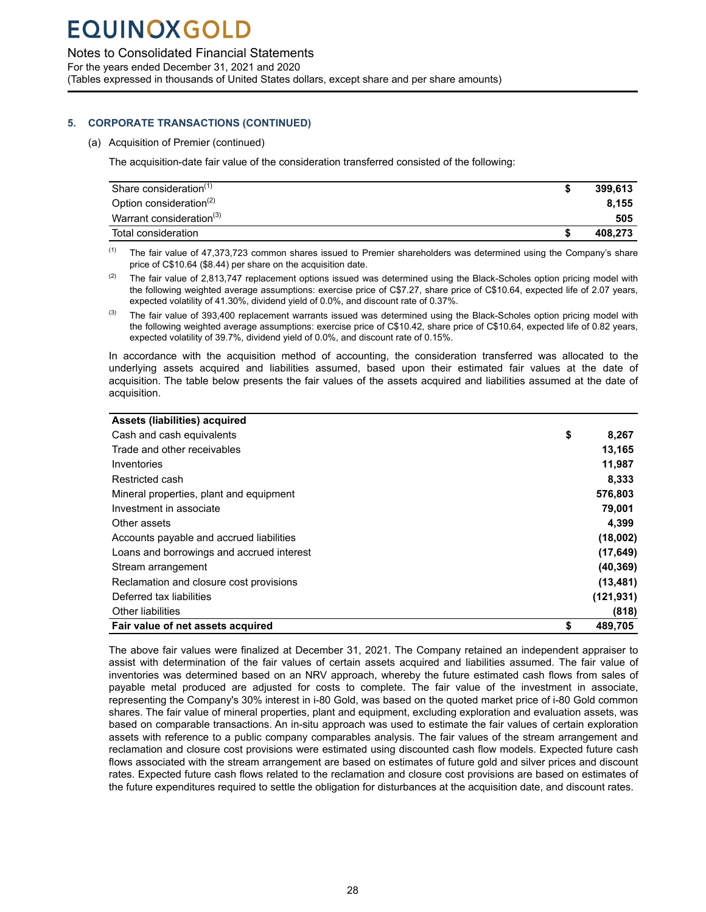### Notes to Consolidated Financial Statements

For the years ended December 31, 2021 and 2020 (Tables expressed in thousands of United States dollars, except share and per share amounts)

### **5. CORPORATE TRANSACTIONS (CONTINUED)**

(a) Acquisition of Premier (continued)

The acquisition-date fair value of the consideration transferred consisted of the following:

| Share consideration <sup>(1)</sup>   | 399.613 |
|--------------------------------------|---------|
| Option consideration <sup>(2)</sup>  | 8.155   |
| Warrant consideration <sup>(3)</sup> | 505     |
| Total consideration                  | 408.273 |

 $(1)$  The fair value of 47,373,723 common shares issued to Premier shareholders was determined using the Company's share price of C\$10.64 (\$8.44) per share on the acquisition date.

- $(2)$  The fair value of 2,813,747 replacement options issued was determined using the Black-Scholes option pricing model with the following weighted average assumptions: exercise price of C\$7.27, share price of C\$10.64, expected life of 2.07 years, expected volatility of 41.30%, dividend yield of 0.0%, and discount rate of 0.37%.
- $^{(3)}$  The fair value of 393,400 replacement warrants issued was determined using the Black-Scholes option pricing model with the following weighted average assumptions: exercise price of C\$10.42, share price of C\$10.64, expected life of 0.82 years, expected volatility of 39.7%, dividend yield of 0.0%, and discount rate of 0.15%.

In accordance with the acquisition method of accounting, the consideration transferred was allocated to the underlying assets acquired and liabilities assumed, based upon their estimated fair values at the date of acquisition. The table below presents the fair values of the assets acquired and liabilities assumed at the date of acquisition.

|  | Assets (liabilities) acquired |
|--|-------------------------------|
|  |                               |

| Fair value of net assets acquired         | \$<br>489,705 |
|-------------------------------------------|---------------|
| <b>Other liabilities</b>                  | (818)         |
| Deferred tax liabilities                  | (121, 931)    |
| Reclamation and closure cost provisions   | (13, 481)     |
| Stream arrangement                        | (40, 369)     |
| Loans and borrowings and accrued interest | (17, 649)     |
| Accounts payable and accrued liabilities  | (18,002)      |
| Other assets                              | 4,399         |
| Investment in associate                   | 79.001        |
| Mineral properties, plant and equipment   | 576,803       |
| Restricted cash                           | 8,333         |
| Inventories                               | 11,987        |
| Trade and other receivables               | 13,165        |
| Cash and cash equivalents                 | \$<br>8.267   |
| ,  , ,                                    |               |

The above fair values were finalized at December 31, 2021. The Company retained an independent appraiser to assist with determination of the fair values of certain assets acquired and liabilities assumed. The fair value of inventories was determined based on an NRV approach, whereby the future estimated cash flows from sales of payable metal produced are adjusted for costs to complete. The fair value of the investment in associate, representing the Company's 30% interest in i-80 Gold, was based on the quoted market price of i-80 Gold common shares. The fair value of mineral properties, plant and equipment, excluding exploration and evaluation assets, was based on comparable transactions. An in-situ approach was used to estimate the fair values of certain exploration assets with reference to a public company comparables analysis. The fair values of the stream arrangement and reclamation and closure cost provisions were estimated using discounted cash flow models. Expected future cash flows associated with the stream arrangement are based on estimates of future gold and silver prices and discount rates. Expected future cash flows related to the reclamation and closure cost provisions are based on estimates of the future expenditures required to settle the obligation for disturbances at the acquisition date, and discount rates.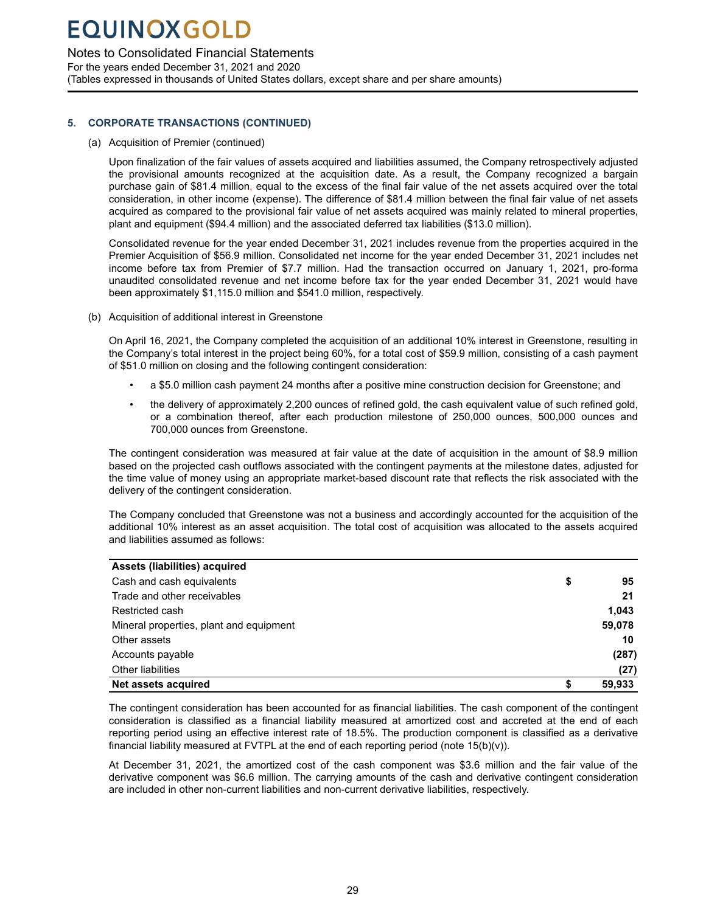### Notes to Consolidated Financial Statements

For the years ended December 31, 2021 and 2020 (Tables expressed in thousands of United States dollars, except share and per share amounts)

### **5. CORPORATE TRANSACTIONS (CONTINUED)**

(a) Acquisition of Premier (continued)

Upon finalization of the fair values of assets acquired and liabilities assumed, the Company retrospectively adjusted the provisional amounts recognized at the acquisition date. As a result, the Company recognized a bargain purchase gain of \$81.4 million, equal to the excess of the final fair value of the net assets acquired over the total consideration, in other income (expense). The difference of \$81.4 million between the final fair value of net assets acquired as compared to the provisional fair value of net assets acquired was mainly related to mineral properties, plant and equipment (\$94.4 million) and the associated deferred tax liabilities (\$13.0 million).

Consolidated revenue for the year ended December 31, 2021 includes revenue from the properties acquired in the Premier Acquisition of \$56.9 million. Consolidated net income for the year ended December 31, 2021 includes net income before tax from Premier of \$7.7 million. Had the transaction occurred on January 1, 2021, pro-forma unaudited consolidated revenue and net income before tax for the year ended December 31, 2021 would have been approximately \$1,115.0 million and \$541.0 million, respectively.

(b) Acquisition of additional interest in Greenstone

On April 16, 2021, the Company completed the acquisition of an additional 10% interest in Greenstone, resulting in the Company's total interest in the project being 60%, for a total cost of \$59.9 million, consisting of a cash payment of \$51.0 million on closing and the following contingent consideration:

- a \$5.0 million cash payment 24 months after a positive mine construction decision for Greenstone; and
- the delivery of approximately 2,200 ounces of refined gold, the cash equivalent value of such refined gold, or a combination thereof, after each production milestone of 250,000 ounces, 500,000 ounces and 700,000 ounces from Greenstone.

The contingent consideration was measured at fair value at the date of acquisition in the amount of \$8.9 million based on the projected cash outflows associated with the contingent payments at the milestone dates, adjusted for the time value of money using an appropriate market-based discount rate that reflects the risk associated with the delivery of the contingent consideration.

The Company concluded that Greenstone was not a business and accordingly accounted for the acquisition of the additional 10% interest as an asset acquisition. The total cost of acquisition was allocated to the assets acquired and liabilities assumed as follows:

| Assets (liabilities) acquired           |    |        |
|-----------------------------------------|----|--------|
| Cash and cash equivalents               | \$ | 95     |
| Trade and other receivables             |    | 21     |
| Restricted cash                         |    | 1,043  |
| Mineral properties, plant and equipment |    | 59,078 |
| Other assets                            |    | 10     |
| Accounts payable                        |    | (287)  |
| <b>Other liabilities</b>                |    | (27)   |
| Net assets acquired                     | S  | 59,933 |

The contingent consideration has been accounted for as financial liabilities. The cash component of the contingent consideration is classified as a financial liability measured at amortized cost and accreted at the end of each reporting period using an effective interest rate of 18.5%. The production component is classified as a derivative financial liability measured at FVTPL at the end of each reporting period (note  $15(b)(v)$ ).

At December 31, 2021, the amortized cost of the cash component was \$3.6 million and the fair value of the derivative component was \$6.6 million. The carrying amounts of the cash and derivative contingent consideration are included in other non-current liabilities and non-current derivative liabilities, respectively.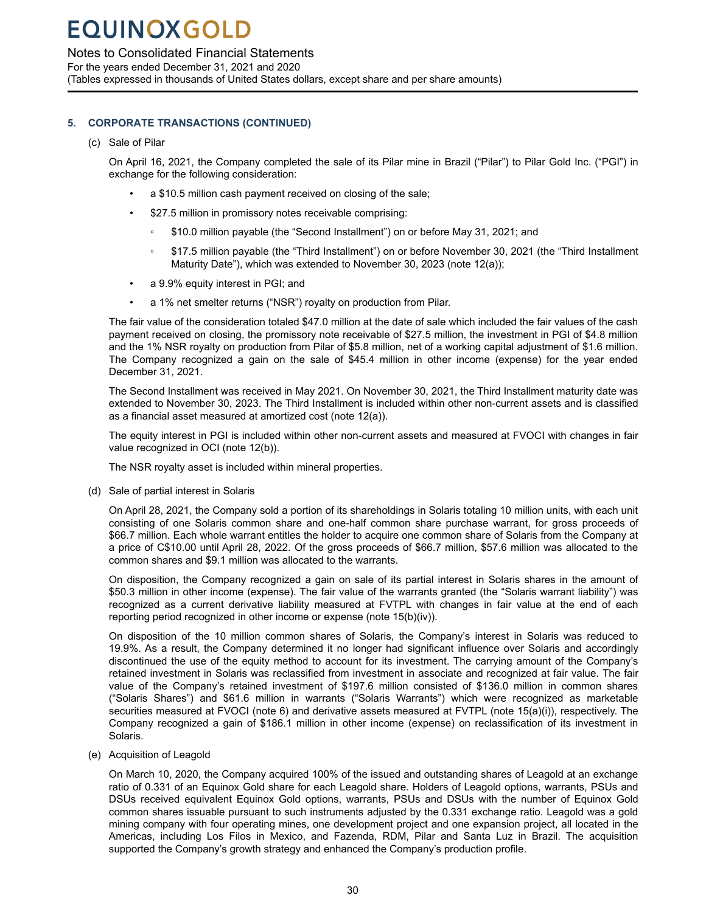### Notes to Consolidated Financial Statements

For the years ended December 31, 2021 and 2020 (Tables expressed in thousands of United States dollars, except share and per share amounts)

### **5. CORPORATE TRANSACTIONS (CONTINUED)**

(c) Sale of Pilar

On April 16, 2021, the Company completed the sale of its Pilar mine in Brazil ("Pilar") to Pilar Gold Inc. ("PGI") in exchange for the following consideration:

- a \$10.5 million cash payment received on closing of the sale;
- \$27.5 million in promissory notes receivable comprising:
	- \$10.0 million payable (the "Second Installment") on or before May 31, 2021; and
	- \$17.5 million payable (the "Third Installment") on or before November 30, 2021 (the "Third Installment Maturity Date"), which was extended to November 30, 2023 (note 12(a));
- a 9.9% equity interest in PGI; and
- a 1% net smelter returns ("NSR") royalty on production from Pilar.

The fair value of the consideration totaled \$47.0 million at the date of sale which included the fair values of the cash payment received on closing, the promissory note receivable of \$27.5 million, the investment in PGI of \$4.8 million and the 1% NSR royalty on production from Pilar of \$5.8 million, net of a working capital adjustment of \$1.6 million. The Company recognized a gain on the sale of \$45.4 million in other income (expense) for the year ended December 31, 2021.

The Second Installment was received in May 2021. On November 30, 2021, the Third Installment maturity date was extended to November 30, 2023. The Third Installment is included within other non-current assets and is classified as a financial asset measured at amortized cost (note 12(a)).

The equity interest in PGI is included within other non-current assets and measured at FVOCI with changes in fair value recognized in OCI (note 12(b)).

The NSR royalty asset is included within mineral properties.

(d) Sale of partial interest in Solaris

On April 28, 2021, the Company sold a portion of its shareholdings in Solaris totaling 10 million units, with each unit consisting of one Solaris common share and one-half common share purchase warrant, for gross proceeds of \$66.7 million. Each whole warrant entitles the holder to acquire one common share of Solaris from the Company at a price of C\$10.00 until April 28, 2022. Of the gross proceeds of \$66.7 million, \$57.6 million was allocated to the common shares and \$9.1 million was allocated to the warrants.

On disposition, the Company recognized a gain on sale of its partial interest in Solaris shares in the amount of \$50.3 million in other income (expense). The fair value of the warrants granted (the "Solaris warrant liability") was recognized as a current derivative liability measured at FVTPL with changes in fair value at the end of each reporting period recognized in other income or expense (note 15(b)(iv)).

On disposition of the 10 million common shares of Solaris, the Company's interest in Solaris was reduced to 19.9%. As a result, the Company determined it no longer had significant influence over Solaris and accordingly discontinued the use of the equity method to account for its investment. The carrying amount of the Company's retained investment in Solaris was reclassified from investment in associate and recognized at fair value. The fair value of the Company's retained investment of \$197.6 million consisted of \$136.0 million in common shares ("Solaris Shares") and \$61.6 million in warrants ("Solaris Warrants") which were recognized as marketable securities measured at FVOCI (note 6) and derivative assets measured at FVTPL (note 15(a)(i)), respectively. The Company recognized a gain of \$186.1 million in other income (expense) on reclassification of its investment in Solaris.

(e) Acquisition of Leagold

On March 10, 2020, the Company acquired 100% of the issued and outstanding shares of Leagold at an exchange ratio of 0.331 of an Equinox Gold share for each Leagold share. Holders of Leagold options, warrants, PSUs and DSUs received equivalent Equinox Gold options, warrants, PSUs and DSUs with the number of Equinox Gold common shares issuable pursuant to such instruments adjusted by the 0.331 exchange ratio. Leagold was a gold mining company with four operating mines, one development project and one expansion project, all located in the Americas, including Los Filos in Mexico, and Fazenda, RDM, Pilar and Santa Luz in Brazil. The acquisition supported the Company's growth strategy and enhanced the Company's production profile.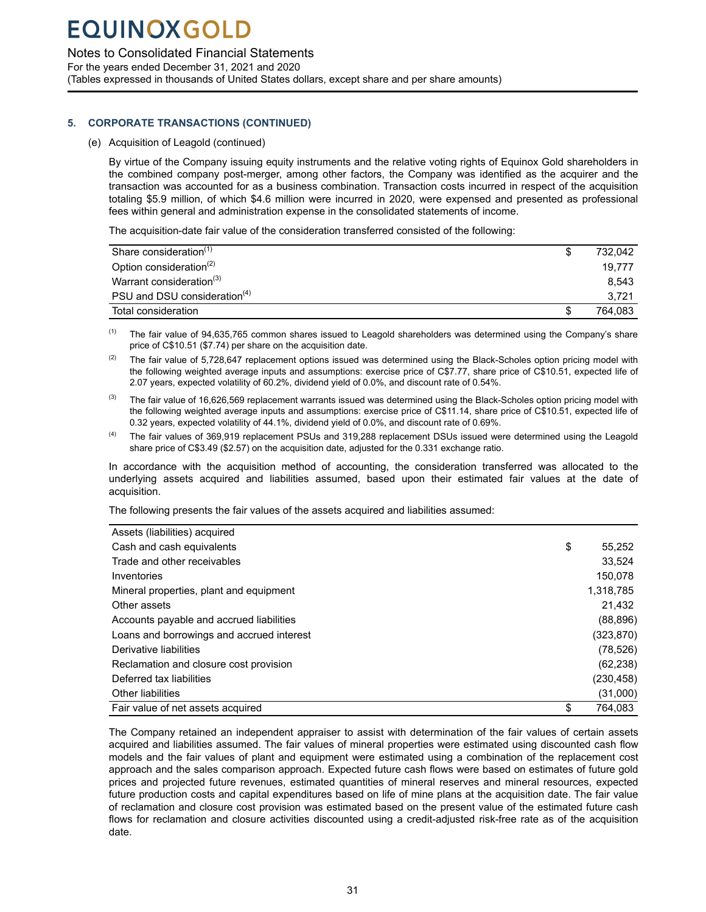### Notes to Consolidated Financial Statements

For the years ended December 31, 2021 and 2020 (Tables expressed in thousands of United States dollars, except share and per share amounts)

### **5. CORPORATE TRANSACTIONS (CONTINUED)**

(e) Acquisition of Leagold (continued)

By virtue of the Company issuing equity instruments and the relative voting rights of Equinox Gold shareholders in the combined company post-merger, among other factors, the Company was identified as the acquirer and the transaction was accounted for as a business combination. Transaction costs incurred in respect of the acquisition totaling \$5.9 million, of which \$4.6 million were incurred in 2020, were expensed and presented as professional fees within general and administration expense in the consolidated statements of income.

The acquisition-date fair value of the consideration transferred consisted of the following:

| Share consideration <sup>(1)</sup>       | 732.042 |
|------------------------------------------|---------|
| Option consideration <sup>(2)</sup>      | 19.777  |
| Warrant consideration <sup>(3)</sup>     | 8.543   |
| PSU and DSU consideration <sup>(4)</sup> | 3.721   |
| Total consideration                      | 764.083 |

 $<sup>(1)</sup>$  The fair value of 94,635,765 common shares issued to Leagold shareholders was determined using the Company's share</sup> price of C\$10.51 (\$7.74) per share on the acquisition date.

- (2) The fair value of 5,728,647 replacement options issued was determined using the Black-Scholes option pricing model with the following weighted average inputs and assumptions: exercise price of C\$7.77, share price of C\$10.51, expected life of 2.07 years, expected volatility of 60.2%, dividend yield of 0.0%, and discount rate of 0.54%.
- <sup>(3)</sup> The fair value of 16,626,569 replacement warrants issued was determined using the Black-Scholes option pricing model with the following weighted average inputs and assumptions: exercise price of C\$11.14, share price of C\$10.51, expected life of 0.32 years, expected volatility of 44.1%, dividend yield of 0.0%, and discount rate of 0.69%.
- (4) The fair values of 369,919 replacement PSUs and 319,288 replacement DSUs issued were determined using the Leagold share price of C\$3.49 (\$2.57) on the acquisition date, adjusted for the 0.331 exchange ratio.

In accordance with the acquisition method of accounting, the consideration transferred was allocated to the underlying assets acquired and liabilities assumed, based upon their estimated fair values at the date of acquisition.

The following presents the fair values of the assets acquired and liabilities assumed:

| Assets (liabilities) acquired             |               |
|-------------------------------------------|---------------|
| Cash and cash equivalents                 | \$<br>55,252  |
| Trade and other receivables               | 33.524        |
| Inventories                               | 150.078       |
| Mineral properties, plant and equipment   | 1,318,785     |
| Other assets                              | 21,432        |
| Accounts payable and accrued liabilities  | (88, 896)     |
| Loans and borrowings and accrued interest | (323, 870)    |
| Derivative liabilities                    | (78, 526)     |
| Reclamation and closure cost provision    | (62, 238)     |
| Deferred tax liabilities                  | (230, 458)    |
| <b>Other liabilities</b>                  | (31,000)      |
| Fair value of net assets acquired         | \$<br>764.083 |

The Company retained an independent appraiser to assist with determination of the fair values of certain assets acquired and liabilities assumed. The fair values of mineral properties were estimated using discounted cash flow models and the fair values of plant and equipment were estimated using a combination of the replacement cost approach and the sales comparison approach. Expected future cash flows were based on estimates of future gold prices and projected future revenues, estimated quantities of mineral reserves and mineral resources, expected future production costs and capital expenditures based on life of mine plans at the acquisition date. The fair value of reclamation and closure cost provision was estimated based on the present value of the estimated future cash flows for reclamation and closure activities discounted using a credit-adjusted risk-free rate as of the acquisition date.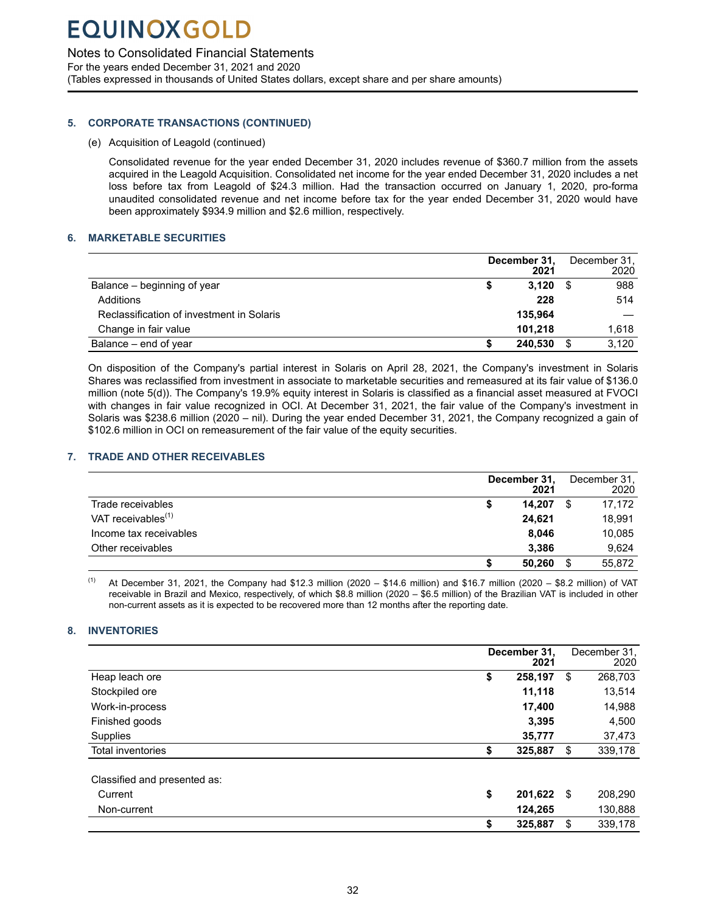### <span id="page-33-0"></span>Notes to Consolidated Financial Statements

For the years ended December 31, 2021 and 2020 (Tables expressed in thousands of United States dollars, except share and per share amounts)

### **5. CORPORATE TRANSACTIONS (CONTINUED)**

(e) Acquisition of Leagold (continued)

Consolidated revenue for the year ended December 31, 2020 includes revenue of \$360.7 million from the assets acquired in the Leagold Acquisition. Consolidated net income for the year ended December 31, 2020 includes a net loss before tax from Leagold of \$24.3 million. Had the transaction occurred on January 1, 2020, pro-forma unaudited consolidated revenue and net income before tax for the year ended December 31, 2020 would have been approximately \$934.9 million and \$2.6 million, respectively.

### **6. MARKETABLE SECURITIES**

|                                           |   | December 31,<br>2021 |    | December 31,<br>2020 |
|-------------------------------------------|---|----------------------|----|----------------------|
| Balance – beginning of year               |   | 3.120                | -S | 988                  |
| Additions                                 |   | 228                  |    | 514                  |
| Reclassification of investment in Solaris |   | 135.964              |    |                      |
| Change in fair value                      |   | 101.218              |    | 1.618                |
| Balance – end of year                     | S | 240.530              | S  | 3.120                |

On disposition of the Company's partial interest in Solaris on April 28, 2021, the Company's investment in Solaris Shares was reclassified from investment in associate to marketable securities and remeasured at its fair value of \$136.0 million (note 5(d)). The Company's 19.9% equity interest in Solaris is classified as a financial asset measured at FVOCI with changes in fair value recognized in OCI. At December 31, 2021, the fair value of the Company's investment in Solaris was \$238.6 million (2020 – nil). During the year ended December 31, 2021, the Company recognized a gain of \$102.6 million in OCI on remeasurement of the fair value of the equity securities.

### **7. TRADE AND OTHER RECEIVABLES**

|                                |   | December 31,<br>2021 | December 31,<br>2020 |
|--------------------------------|---|----------------------|----------------------|
| Trade receivables              | 5 | 14.207               | 17,172               |
| VAT receivables <sup>(1)</sup> |   | 24,621               | 18,991               |
| Income tax receivables         |   | 8.046                | 10,085               |
| Other receivables              |   | 3,386                | 9.624                |
|                                | S | 50,260               | 55,872               |

 $(1)$  At December 31, 2021, the Company had \$12.3 million (2020 – \$14.6 million) and \$16.7 million (2020 – \$8.2 million) of VAT receivable in Brazil and Mexico, respectively, of which \$8.8 million (2020 – \$6.5 million) of the Brazilian VAT is included in other non-current assets as it is expected to be recovered more than 12 months after the reporting date.

### **8. INVENTORIES**

|                              | December 31.<br>2021 | December 31.<br>2020 |
|------------------------------|----------------------|----------------------|
| Heap leach ore               | \$<br>258,197        | \$<br>268,703        |
| Stockpiled ore               | 11,118               | 13,514               |
| Work-in-process              | 17,400               | 14,988               |
| Finished goods               | 3,395                | 4,500                |
| Supplies                     | 35,777               | 37,473               |
| <b>Total inventories</b>     | \$<br>325,887        | \$<br>339,178        |
| Classified and presented as: |                      |                      |
| Current                      | \$<br>201,622 \$     | 208,290              |
| Non-current                  | 124,265              | 130,888              |
|                              | \$<br>325,887        | \$<br>339,178        |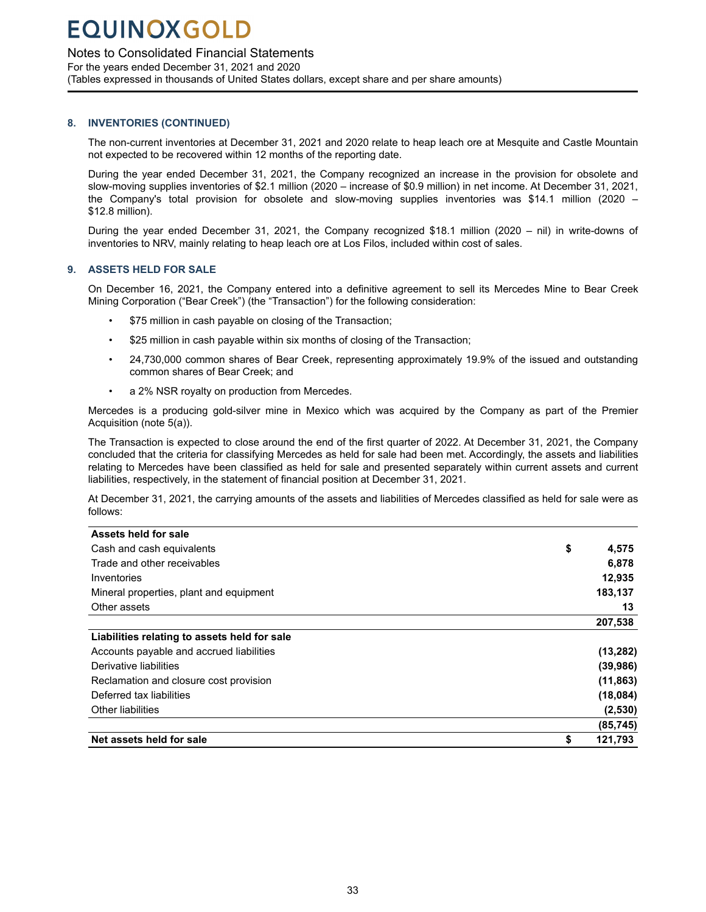### <span id="page-34-0"></span>Notes to Consolidated Financial Statements

For the years ended December 31, 2021 and 2020 (Tables expressed in thousands of United States dollars, except share and per share amounts)

### **8. INVENTORIES (CONTINUED)**

The non-current inventories at December 31, 2021 and 2020 relate to heap leach ore at Mesquite and Castle Mountain not expected to be recovered within 12 months of the reporting date.

During the year ended December 31, 2021, the Company recognized an increase in the provision for obsolete and slow-moving supplies inventories of \$2.1 million (2020 – increase of \$0.9 million) in net income. At December 31, 2021, the Company's total provision for obsolete and slow-moving supplies inventories was \$14.1 million (2020 – \$12.8 million).

During the year ended December 31, 2021, the Company recognized \$18.1 million (2020 – nil) in write-downs of inventories to NRV, mainly relating to heap leach ore at Los Filos, included within cost of sales.

### **9. ASSETS HELD FOR SALE**

On December 16, 2021, the Company entered into a definitive agreement to sell its Mercedes Mine to Bear Creek Mining Corporation ("Bear Creek") (the "Transaction") for the following consideration:

- \$75 million in cash payable on closing of the Transaction;
- \$25 million in cash payable within six months of closing of the Transaction;
- 24,730,000 common shares of Bear Creek, representing approximately 19.9% of the issued and outstanding common shares of Bear Creek; and
- a 2% NSR royalty on production from Mercedes.

Mercedes is a producing gold-silver mine in Mexico which was acquired by the Company as part of the Premier Acquisition (note 5(a)).

The Transaction is expected to close around the end of the first quarter of 2022. At December 31, 2021, the Company concluded that the criteria for classifying Mercedes as held for sale had been met. Accordingly, the assets and liabilities relating to Mercedes have been classified as held for sale and presented separately within current assets and current liabilities, respectively, in the statement of financial position at December 31, 2021.

At December 31, 2021, the carrying amounts of the assets and liabilities of Mercedes classified as held for sale were as follows:

| Net assets held for sale                     | 121.793     |
|----------------------------------------------|-------------|
|                                              | (85, 745)   |
| <b>Other liabilities</b>                     | (2,530)     |
| Deferred tax liabilities                     | (18,084)    |
| Reclamation and closure cost provision       | (11, 863)   |
| Derivative liabilities                       | (39,986)    |
| Accounts payable and accrued liabilities     | (13, 282)   |
| Liabilities relating to assets held for sale |             |
|                                              | 207,538     |
| Other assets                                 | 13          |
| Mineral properties, plant and equipment      | 183,137     |
| Inventories                                  | 12,935      |
| Trade and other receivables                  | 6,878       |
| Cash and cash equivalents                    | \$<br>4,575 |
| Assets held for sale                         |             |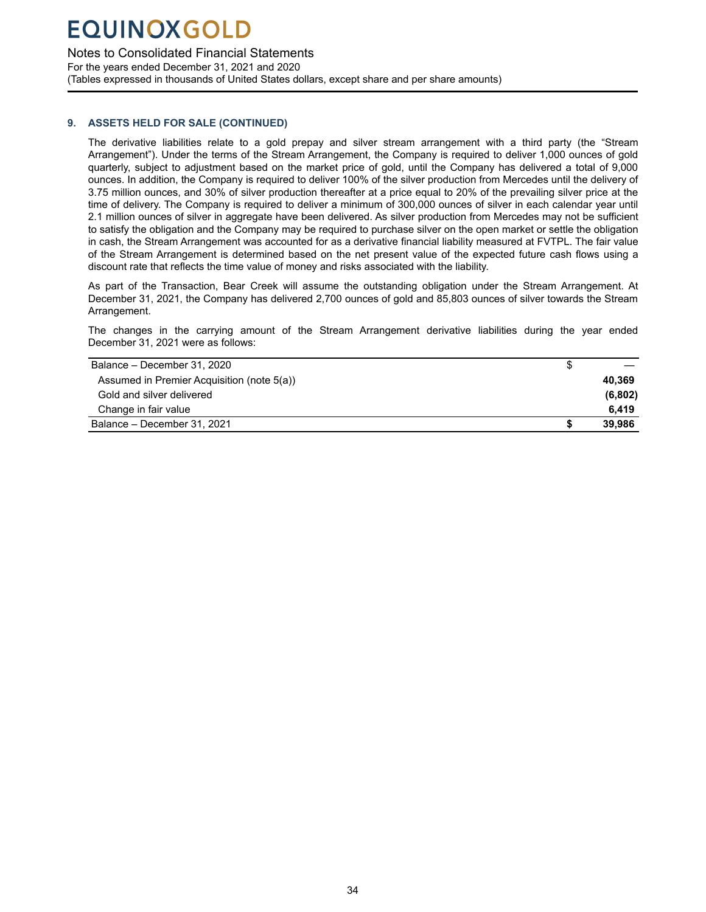### Notes to Consolidated Financial Statements

For the years ended December 31, 2021 and 2020 (Tables expressed in thousands of United States dollars, except share and per share amounts)

### **9. ASSETS HELD FOR SALE (CONTINUED)**

The derivative liabilities relate to a gold prepay and silver stream arrangement with a third party (the "Stream Arrangement"). Under the terms of the Stream Arrangement, the Company is required to deliver 1,000 ounces of gold quarterly, subject to adjustment based on the market price of gold, until the Company has delivered a total of 9,000 ounces. In addition, the Company is required to deliver 100% of the silver production from Mercedes until the delivery of 3.75 million ounces, and 30% of silver production thereafter at a price equal to 20% of the prevailing silver price at the time of delivery. The Company is required to deliver a minimum of 300,000 ounces of silver in each calendar year until 2.1 million ounces of silver in aggregate have been delivered. As silver production from Mercedes may not be sufficient to satisfy the obligation and the Company may be required to purchase silver on the open market or settle the obligation in cash, the Stream Arrangement was accounted for as a derivative financial liability measured at FVTPL. The fair value of the Stream Arrangement is determined based on the net present value of the expected future cash flows using a discount rate that reflects the time value of money and risks associated with the liability.

As part of the Transaction, Bear Creek will assume the outstanding obligation under the Stream Arrangement. At December 31, 2021, the Company has delivered 2,700 ounces of gold and 85,803 ounces of silver towards the Stream Arrangement.

The changes in the carrying amount of the Stream Arrangement derivative liabilities during the year ended December 31, 2021 were as follows:

| Balance - December 31, 2020                |         |
|--------------------------------------------|---------|
| Assumed in Premier Acquisition (note 5(a)) | 40.369  |
| Gold and silver delivered                  | (6,802) |
| Change in fair value                       | 6.419   |
| Balance - December 31, 2021                | 39.986  |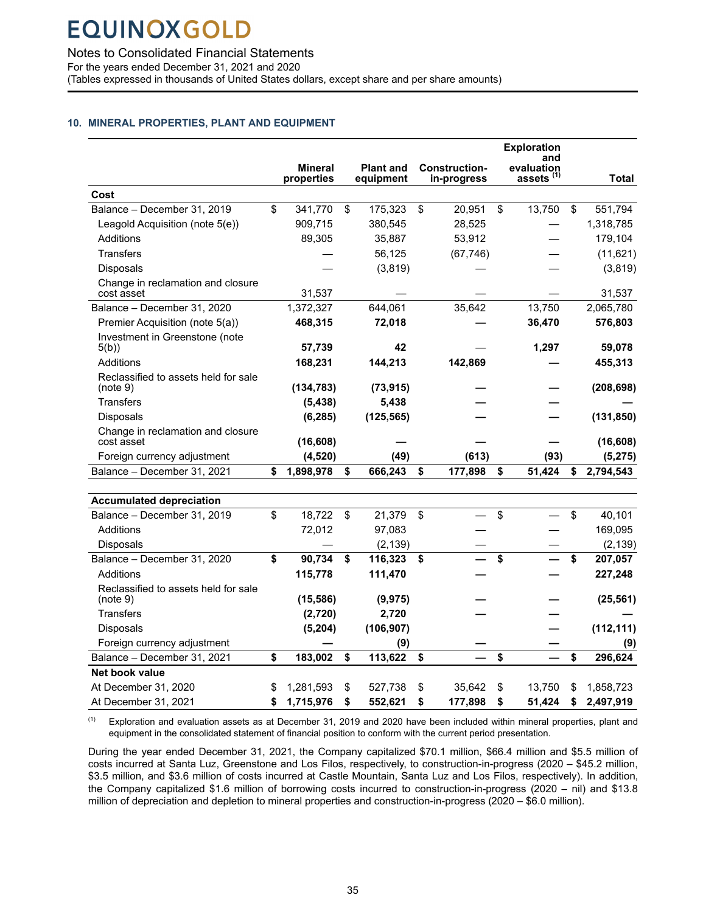<span id="page-36-0"></span>Notes to Consolidated Financial Statements

For the years ended December 31, 2021 and 2020

Reclassified to assets held for sale<br>(note 9)

**Net book value**

(Tables expressed in thousands of United States dollars, except share and per share amounts)

### **10. MINERAL PROPERTIES, PLANT AND EQUIPMENT**

|                                                  |                              |                               |                                     | <b>Exploration</b>                         |               |              |
|--------------------------------------------------|------------------------------|-------------------------------|-------------------------------------|--------------------------------------------|---------------|--------------|
|                                                  | <b>Mineral</b><br>properties | <b>Plant and</b><br>equipment | <b>Construction-</b><br>in-progress | and<br>evaluation<br>assets <sup>(1)</sup> |               | <b>Total</b> |
| Cost                                             |                              |                               |                                     |                                            |               |              |
| Balance - December 31, 2019                      | \$<br>341,770                | \$<br>175,323                 | \$<br>20,951                        | \$<br>13,750                               | $\mathsf{\$}$ | 551,794      |
| Leagold Acquisition (note 5(e))                  | 909,715                      | 380,545                       | 28,525                              |                                            |               | 1,318,785    |
| Additions                                        | 89,305                       | 35,887                        | 53,912                              |                                            |               | 179,104      |
| <b>Transfers</b>                                 |                              | 56,125                        | (67, 746)                           |                                            |               | (11, 621)    |
| Disposals                                        |                              | (3,819)                       |                                     |                                            |               | (3,819)      |
| Change in reclamation and closure<br>cost asset  | 31,537                       |                               |                                     |                                            |               | 31,537       |
| Balance - December 31, 2020                      | 1,372,327                    | 644,061                       | 35,642                              | 13,750                                     |               | 2,065,780    |
| Premier Acquisition (note 5(a))                  | 468,315                      | 72,018                        |                                     | 36,470                                     |               | 576,803      |
| Investment in Greenstone (note<br>5(b)           | 57,739                       | 42                            |                                     | 1,297                                      |               | 59,078       |
| Additions                                        | 168,231                      | 144,213                       | 142,869                             |                                            |               | 455,313      |
| Reclassified to assets held for sale<br>(note 9) | (134, 783)                   | (73, 915)                     |                                     |                                            |               | (208, 698)   |
| <b>Transfers</b>                                 | (5, 438)                     | 5,438                         |                                     |                                            |               |              |
| Disposals                                        | (6, 285)                     | (125, 565)                    |                                     |                                            |               | (131, 850)   |
| Change in reclamation and closure<br>cost asset  | (16, 608)                    |                               |                                     |                                            |               | (16, 608)    |
| Foreign currency adjustment                      | (4, 520)                     | (49)                          | (613)                               | (93)                                       |               | (5, 275)     |
| Balance - December 31, 2021                      | \$<br>1,898,978              | \$<br>666,243                 | \$<br>177,898                       | \$<br>51,424                               | \$            | 2,794,543    |
|                                                  |                              |                               |                                     |                                            |               |              |
| <b>Accumulated depreciation</b>                  |                              |                               |                                     |                                            |               |              |
| Balance - December 31, 2019                      | \$<br>18,722                 | \$<br>21,379                  | \$                                  | \$                                         | \$            | 40,101       |
| Additions                                        | 72,012                       | 97,083                        |                                     |                                            |               | 169,095      |
| Disposals                                        |                              | (2, 139)                      |                                     |                                            |               | (2, 139)     |
| Balance - December 31, 2020                      | \$<br>90,734                 | \$<br>116,323                 | \$                                  | \$                                         | \$            | 207,057      |
| <b>Additions</b>                                 | 115,778                      | 111,470                       |                                     |                                            |               | 227,248      |

 $(1)$  Exploration and evaluation assets as at December 31, 2019 and 2020 have been included within mineral properties, plant and equipment in the consolidated statement of financial position to conform with the current period presentation.

At December 31, 2020 \$ 1,281,593 \$ 527,738 \$ 35,642 \$ 13,750 \$ 1,858,723 At December 31, 2021 **\$ 1,715,976 \$ 552,621 \$ 177,898 \$ 51,424 \$ 2,497,919** 

(note 9) **(15,586) (9,975) — — (25,561)**  Transfers **(2,720) 2,720 — — —**  Disposals **(5,204) (106,907) — (112,111)**  Foreign currency adjustment  $-$  (9)  $-$  (9) Balance – December 31, 2021 **\$ 183,002 \$ 113,622 \$ — \$ — \$ 296,624** 

During the year ended December 31, 2021, the Company capitalized \$70.1 million, \$66.4 million and \$5.5 million of costs incurred at Santa Luz, Greenstone and Los Filos, respectively, to construction-in-progress (2020 – \$45.2 million, \$3.5 million, and \$3.6 million of costs incurred at Castle Mountain, Santa Luz and Los Filos, respectively). In addition, the Company capitalized \$1.6 million of borrowing costs incurred to construction-in-progress (2020 – nil) and \$13.8 million of depreciation and depletion to mineral properties and construction-in-progress (2020 – \$6.0 million).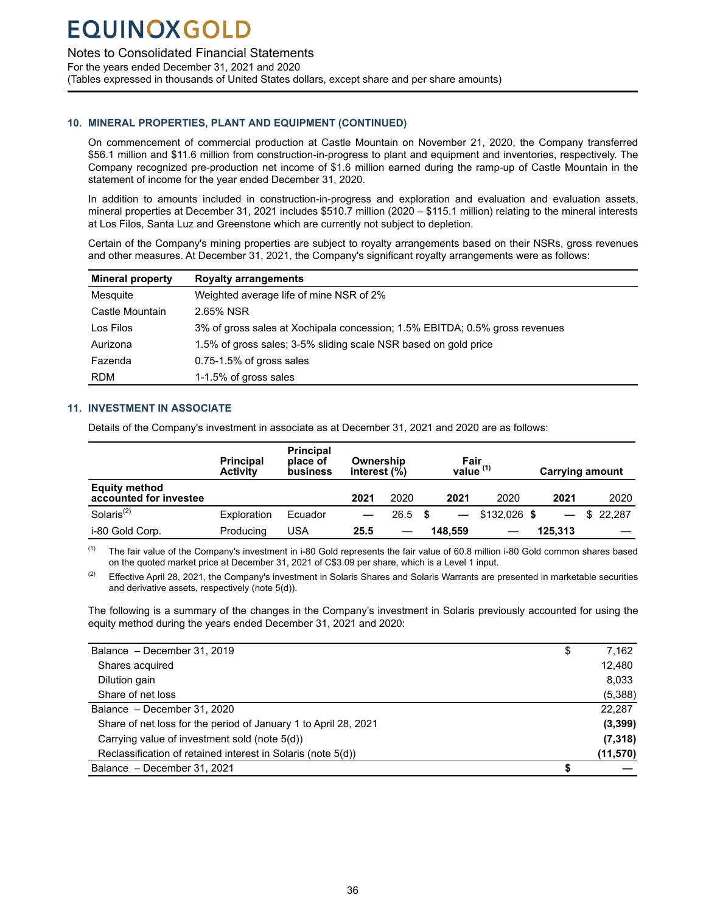<span id="page-37-0"></span>Notes to Consolidated Financial Statements

For the years ended December 31, 2021 and 2020 (Tables expressed in thousands of United States dollars, except share and per share amounts)

### **10. MINERAL PROPERTIES, PLANT AND EQUIPMENT (CONTINUED)**

On commencement of commercial production at Castle Mountain on November 21, 2020, the Company transferred \$56.1 million and \$11.6 million from construction-in-progress to plant and equipment and inventories, respectively. The Company recognized pre-production net income of \$1.6 million earned during the ramp-up of Castle Mountain in the statement of income for the year ended December 31, 2020.

In addition to amounts included in construction-in-progress and exploration and evaluation and evaluation assets, mineral properties at December 31, 2021 includes \$510.7 million (2020 – \$115.1 million) relating to the mineral interests at Los Filos, Santa Luz and Greenstone which are currently not subject to depletion.

Certain of the Company's mining properties are subject to royalty arrangements based on their NSRs, gross revenues and other measures. At December 31, 2021, the Company's significant royalty arrangements were as follows:

| <b>Mineral property</b> | <b>Royalty arrangements</b>                                                 |
|-------------------------|-----------------------------------------------------------------------------|
| Mesquite                | Weighted average life of mine NSR of 2%                                     |
| Castle Mountain         | 2.65% NSR                                                                   |
| Los Filos               | 3% of gross sales at Xochipala concession; 1.5% EBITDA; 0.5% gross revenues |
| Aurizona                | 1.5% of gross sales; 3-5% sliding scale NSR based on gold price             |
| Fazenda                 | $0.75 - 1.5\%$ of gross sales                                               |
| <b>RDM</b>              | 1-1.5% of gross sales                                                       |

### **11. INVESTMENT IN ASSOCIATE**

Details of the Company's investment in associate as at December 31, 2021 and 2020 are as follows:

|                                                | <b>Principal</b><br><b>Activity</b> | <b>Principal</b><br>place of<br>business | Ownership<br>interest $(\%)$ |           | Fair<br>value $(1)$ |                  |         | <b>Carrying amount</b> |
|------------------------------------------------|-------------------------------------|------------------------------------------|------------------------------|-----------|---------------------|------------------|---------|------------------------|
| <b>Equity method</b><br>accounted for investee |                                     |                                          | 2021                         | 2020      | 2021                | 2020             | 2021    | 2020                   |
| Solaris <sup>(2)</sup>                         | Exploration                         | Ecuador                                  |                              | $26.5$ \$ |                     | $-$ \$132,026 \$ |         | \$22.287               |
| i-80 Gold Corp.                                | Producing                           | USA                                      | 25.5                         |           | 148.559             |                  | 125.313 |                        |

 $(1)$  The fair value of the Company's investment in i-80 Gold represents the fair value of 60.8 million i-80 Gold common shares based on the quoted market price at December 31, 2021 of C\$3.09 per share, which is a Level 1 input.

<sup>(2)</sup> Effective April 28, 2021, the Company's investment in Solaris Shares and Solaris Warrants are presented in marketable securities and derivative assets, respectively (note 5(d)).

The following is a summary of the changes in the Company's investment in Solaris previously accounted for using the equity method during the years ended December 31, 2021 and 2020:

| Balance - December 31, 2019                                     | \$<br>7,162 |
|-----------------------------------------------------------------|-------------|
| Shares acquired                                                 | 12,480      |
| Dilution gain                                                   | 8,033       |
| Share of net loss                                               | (5,388)     |
| Balance - December 31, 2020                                     | 22,287      |
| Share of net loss for the period of January 1 to April 28, 2021 | (3, 399)    |
| Carrying value of investment sold (note 5(d))                   | (7, 318)    |
| Reclassification of retained interest in Solaris (note 5(d))    | (11, 570)   |
| Balance - December 31, 2021                                     |             |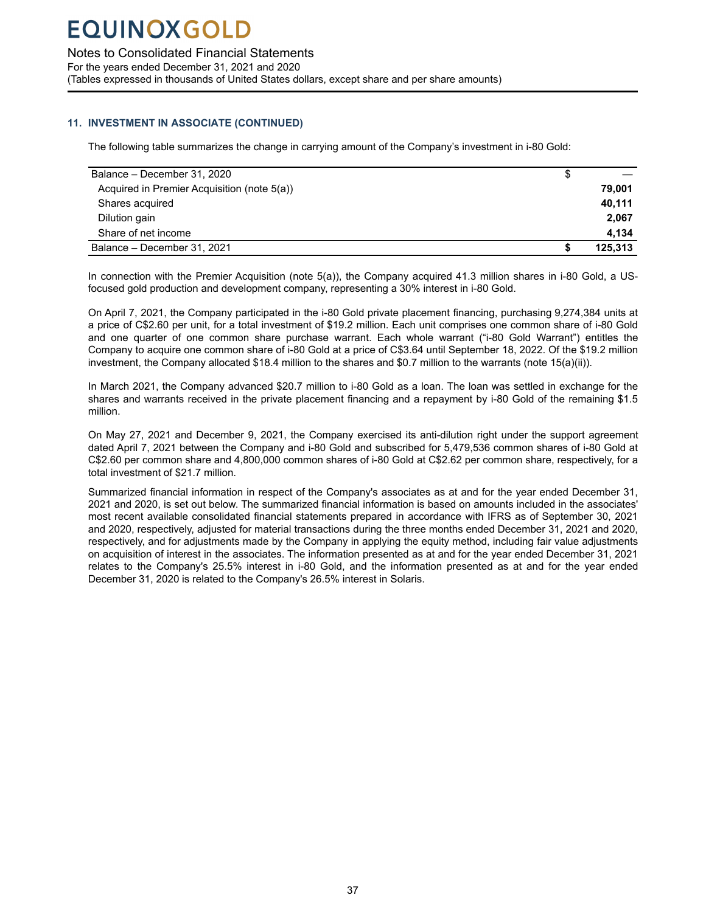Notes to Consolidated Financial Statements

For the years ended December 31, 2021 and 2020 (Tables expressed in thousands of United States dollars, except share and per share amounts)

### **11. INVESTMENT IN ASSOCIATE (CONTINUED)**

The following table summarizes the change in carrying amount of the Company's investment in i-80 Gold:

| Balance - December 31, 2020                 | S |         |
|---------------------------------------------|---|---------|
| Acquired in Premier Acquisition (note 5(a)) |   | 79,001  |
| Shares acquired                             |   | 40,111  |
| Dilution gain                               |   | 2,067   |
| Share of net income                         |   | 4.134   |
| Balance - December 31, 2021                 |   | 125.313 |

In connection with the Premier Acquisition (note 5(a)), the Company acquired 41.3 million shares in i-80 Gold, a USfocused gold production and development company, representing a 30% interest in i-80 Gold.

On April 7, 2021, the Company participated in the i-80 Gold private placement financing, purchasing 9,274,384 units at a price of C\$2.60 per unit, for a total investment of \$19.2 million. Each unit comprises one common share of i-80 Gold and one quarter of one common share purchase warrant. Each whole warrant ("i-80 Gold Warrant") entitles the Company to acquire one common share of i-80 Gold at a price of C\$3.64 until September 18, 2022. Of the \$19.2 million investment, the Company allocated \$18.4 million to the shares and \$0.7 million to the warrants (note 15(a)(ii)).

In March 2021, the Company advanced \$20.7 million to i-80 Gold as a loan. The loan was settled in exchange for the shares and warrants received in the private placement financing and a repayment by i-80 Gold of the remaining \$1.5 million.

On May 27, 2021 and December 9, 2021, the Company exercised its anti-dilution right under the support agreement dated April 7, 2021 between the Company and i-80 Gold and subscribed for 5,479,536 common shares of i-80 Gold at C\$2.60 per common share and 4,800,000 common shares of i-80 Gold at C\$2.62 per common share, respectively, for a total investment of \$21.7 million.

Summarized financial information in respect of the Company's associates as at and for the year ended December 31, 2021 and 2020, is set out below. The summarized financial information is based on amounts included in the associates' most recent available consolidated financial statements prepared in accordance with IFRS as of September 30, 2021 and 2020, respectively, adjusted for material transactions during the three months ended December 31, 2021 and 2020, respectively, and for adjustments made by the Company in applying the equity method, including fair value adjustments on acquisition of interest in the associates. The information presented as at and for the year ended December 31, 2021 relates to the Company's 25.5% interest in i-80 Gold, and the information presented as at and for the year ended December 31, 2020 is related to the Company's 26.5% interest in Solaris.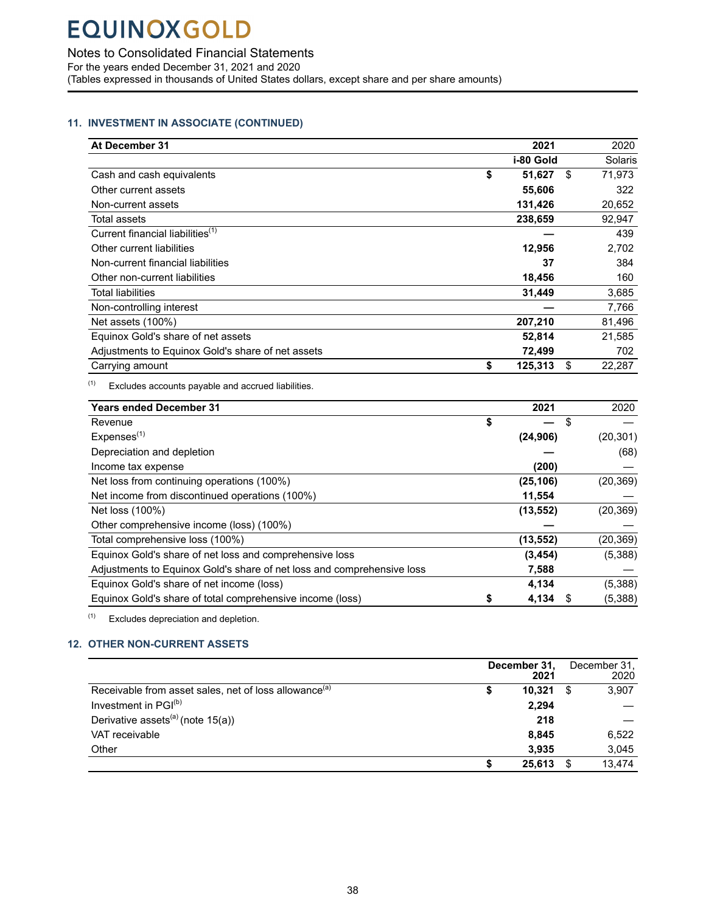<span id="page-39-0"></span>Notes to Consolidated Financial Statements

For the years ended December 31, 2021 and 2020

(Tables expressed in thousands of United States dollars, except share and per share amounts)

### **11. INVESTMENT IN ASSOCIATE (CONTINUED)**

| At December 31                                    | 2021          | 2020         |
|---------------------------------------------------|---------------|--------------|
|                                                   | i-80 Gold     | Solaris      |
| Cash and cash equivalents                         | \$<br>51,627  | \$<br>71,973 |
| Other current assets                              | 55,606        | 322          |
| Non-current assets                                | 131,426       | 20,652       |
| Total assets                                      | 238,659       | 92,947       |
| Current financial liabilities <sup>(1)</sup>      |               | 439          |
| Other current liabilities                         | 12,956        | 2,702        |
| Non-current financial liabilities                 | 37            | 384          |
| Other non-current liabilities                     | 18,456        | 160          |
| <b>Total liabilities</b>                          | 31,449        | 3,685        |
| Non-controlling interest                          |               | 7,766        |
| Net assets (100%)                                 | 207,210       | 81,496       |
| Equinox Gold's share of net assets                | 52,814        | 21,585       |
| Adjustments to Equinox Gold's share of net assets | 72,499        | 702          |
| Carrying amount                                   | \$<br>125,313 | \$<br>22,287 |

 $(1)$  Excludes accounts payable and accrued liabilities.

| <b>Years ended December 31</b>                                         | 2021        |   | 2020      |
|------------------------------------------------------------------------|-------------|---|-----------|
| Revenue                                                                | \$          | S |           |
| Expenses <sup>(1)</sup>                                                | (24, 906)   |   | (20, 301) |
| Depreciation and depletion                                             |             |   | (68)      |
| Income tax expense                                                     | (200)       |   |           |
| Net loss from continuing operations (100%)                             | (25, 106)   |   | (20, 369) |
| Net income from discontinued operations (100%)                         | 11,554      |   |           |
| Net loss (100%)                                                        | (13, 552)   |   | (20, 369) |
| Other comprehensive income (loss) (100%)                               |             |   |           |
| Total comprehensive loss (100%)                                        | (13, 552)   |   | (20, 369) |
| Equinox Gold's share of net loss and comprehensive loss                | (3, 454)    |   | (5,388)   |
| Adjustments to Equinox Gold's share of net loss and comprehensive loss | 7,588       |   |           |
| Equinox Gold's share of net income (loss)                              | 4,134       |   | (5,388)   |
| Equinox Gold's share of total comprehensive income (loss)              | \$<br>4,134 |   | (5,388)   |

 $(1)$  Excludes depreciation and depletion.

### **12. OTHER NON-CURRENT ASSETS**

|                                                                   |   | December 31,<br>2021 |    | December 31,<br>2020 |
|-------------------------------------------------------------------|---|----------------------|----|----------------------|
| Receivable from asset sales, net of loss allowance <sup>(a)</sup> | 5 | 10.321               | -S | 3.907                |
| Investment in PGI <sup>(b)</sup>                                  |   | 2.294                |    |                      |
| Derivative assets <sup>(a)</sup> (note $15(a)$ )                  |   | 218                  |    |                      |
| VAT receivable                                                    |   | 8,845                |    | 6,522                |
| Other                                                             |   | 3.935                |    | 3.045                |
|                                                                   |   | 25.613               |    | 13.474               |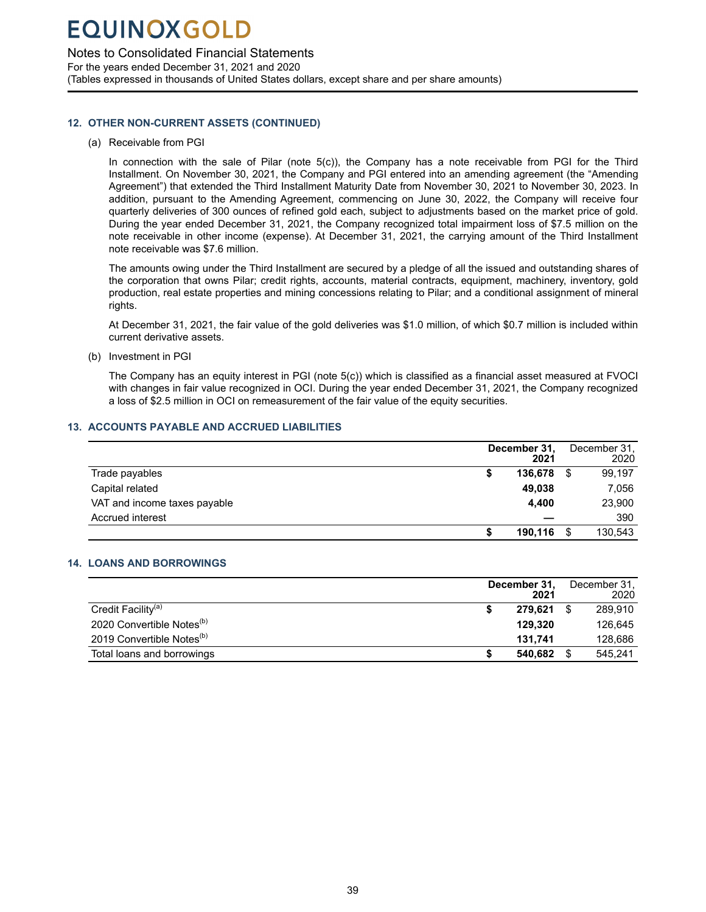### <span id="page-40-0"></span>Notes to Consolidated Financial Statements

For the years ended December 31, 2021 and 2020 (Tables expressed in thousands of United States dollars, except share and per share amounts)

### **12. OTHER NON-CURRENT ASSETS (CONTINUED)**

(a) Receivable from PGI

In connection with the sale of Pilar (note 5(c)), the Company has a note receivable from PGI for the Third Installment. On November 30, 2021, the Company and PGI entered into an amending agreement (the "Amending Agreement") that extended the Third Installment Maturity Date from November 30, 2021 to November 30, 2023. In addition, pursuant to the Amending Agreement, commencing on June 30, 2022, the Company will receive four quarterly deliveries of 300 ounces of refined gold each, subject to adjustments based on the market price of gold. During the year ended December 31, 2021, the Company recognized total impairment loss of \$7.5 million on the note receivable in other income (expense). At December 31, 2021, the carrying amount of the Third Installment note receivable was \$7.6 million.

The amounts owing under the Third Installment are secured by a pledge of all the issued and outstanding shares of the corporation that owns Pilar; credit rights, accounts, material contracts, equipment, machinery, inventory, gold production, real estate properties and mining concessions relating to Pilar; and a conditional assignment of mineral rights.

At December 31, 2021, the fair value of the gold deliveries was \$1.0 million, of which \$0.7 million is included within current derivative assets.

(b) Investment in PGI

The Company has an equity interest in PGI (note 5(c)) which is classified as a financial asset measured at FVOCI with changes in fair value recognized in OCI. During the year ended December 31, 2021, the Company recognized a loss of \$2.5 million in OCI on remeasurement of the fair value of the equity securities.

### **13. ACCOUNTS PAYABLE AND ACCRUED LIABILITIES**

|                              |   | December 31,<br>2021 |   | December 31,<br>2020 |
|------------------------------|---|----------------------|---|----------------------|
| Trade payables               | Φ | 136,678              | S | 99,197               |
| Capital related              |   | 49.038               |   | 7,056                |
| VAT and income taxes payable |   | 4.400                |   | 23,900               |
| Accrued interest             |   |                      |   | 390                  |
|                              |   | 190.116              | S | 130,543              |

### **14. LOANS AND BORROWINGS**

|                                       | December 31,<br>2021 | December 31,<br>2020 |
|---------------------------------------|----------------------|----------------------|
| Credit Facility <sup>(a)</sup>        | 279.621              | 289.910              |
| 2020 Convertible Notes <sup>(b)</sup> | 129.320              | 126.645              |
| 2019 Convertible Notes <sup>(b)</sup> | 131.741              | 128.686              |
| Total loans and borrowings            | 540.682              | 545.241              |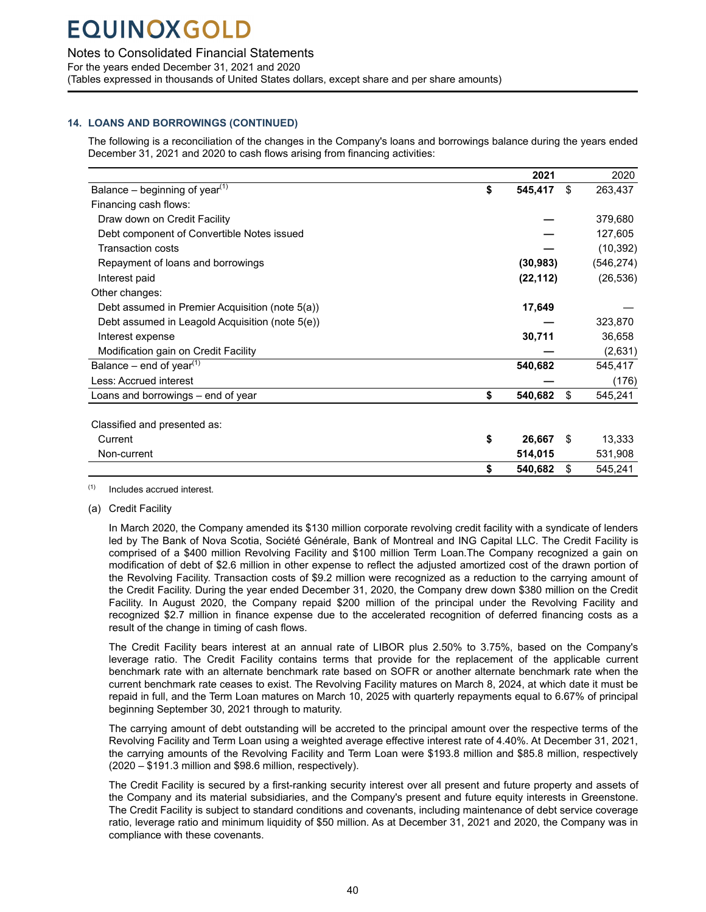Notes to Consolidated Financial Statements

For the years ended December 31, 2021 and 2020

(Tables expressed in thousands of United States dollars, except share and per share amounts)

### **14. LOANS AND BORROWINGS (CONTINUED)**

The following is a reconciliation of the changes in the Company's loans and borrowings balance during the years ended December 31, 2021 and 2020 to cash flows arising from financing activities:

|                                                 | 2021          |    | 2020       |
|-------------------------------------------------|---------------|----|------------|
| Balance – beginning of year <sup>(1)</sup>      | \$<br>545,417 | \$ | 263,437    |
| Financing cash flows:                           |               |    |            |
| Draw down on Credit Facility                    |               |    | 379,680    |
| Debt component of Convertible Notes issued      |               |    | 127,605    |
| <b>Transaction costs</b>                        |               |    | (10, 392)  |
| Repayment of loans and borrowings               | (30, 983)     |    | (546, 274) |
| Interest paid                                   | (22, 112)     |    | (26, 536)  |
| Other changes:                                  |               |    |            |
| Debt assumed in Premier Acquisition (note 5(a)) | 17,649        |    |            |
| Debt assumed in Leagold Acquisition (note 5(e)) |               |    | 323,870    |
| Interest expense                                | 30,711        |    | 36,658     |
| Modification gain on Credit Facility            |               |    | (2,631)    |
| Balance – end of year <sup>(1)</sup>            | 540,682       |    | 545,417    |
| Less: Accrued interest                          |               |    | (176)      |
| Loans and borrowings – end of year              | \$<br>540,682 | \$ | 545,241    |
|                                                 |               |    |            |
| Classified and presented as:                    |               |    |            |
| Current                                         | \$<br>26,667  | -S | 13,333     |
| Non-current                                     | 514,015       |    | 531,908    |
|                                                 | \$<br>540,682 | \$ | 545,241    |

(1) Includes accrued interest.

(a) Credit Facility

In March 2020, the Company amended its \$130 million corporate revolving credit facility with a syndicate of lenders led by The Bank of Nova Scotia, Société Générale, Bank of Montreal and ING Capital LLC. The Credit Facility is comprised of a \$400 million Revolving Facility and \$100 million Term Loan.The Company recognized a gain on modification of debt of \$2.6 million in other expense to reflect the adjusted amortized cost of the drawn portion of the Revolving Facility. Transaction costs of \$9.2 million were recognized as a reduction to the carrying amount of the Credit Facility. During the year ended December 31, 2020, the Company drew down \$380 million on the Credit Facility. In August 2020, the Company repaid \$200 million of the principal under the Revolving Facility and recognized \$2.7 million in finance expense due to the accelerated recognition of deferred financing costs as a result of the change in timing of cash flows.

The Credit Facility bears interest at an annual rate of LIBOR plus 2.50% to 3.75%, based on the Company's leverage ratio. The Credit Facility contains terms that provide for the replacement of the applicable current benchmark rate with an alternate benchmark rate based on SOFR or another alternate benchmark rate when the current benchmark rate ceases to exist. The Revolving Facility matures on March 8, 2024, at which date it must be repaid in full, and the Term Loan matures on March 10, 2025 with quarterly repayments equal to 6.67% of principal beginning September 30, 2021 through to maturity.

The carrying amount of debt outstanding will be accreted to the principal amount over the respective terms of the Revolving Facility and Term Loan using a weighted average effective interest rate of 4.40%. At December 31, 2021, the carrying amounts of the Revolving Facility and Term Loan were \$193.8 million and \$85.8 million, respectively (2020 – \$191.3 million and \$98.6 million, respectively).

The Credit Facility is secured by a first-ranking security interest over all present and future property and assets of the Company and its material subsidiaries, and the Company's present and future equity interests in Greenstone. The Credit Facility is subject to standard conditions and covenants, including maintenance of debt service coverage ratio, leverage ratio and minimum liquidity of \$50 million. As at December 31, 2021 and 2020, the Company was in compliance with these covenants.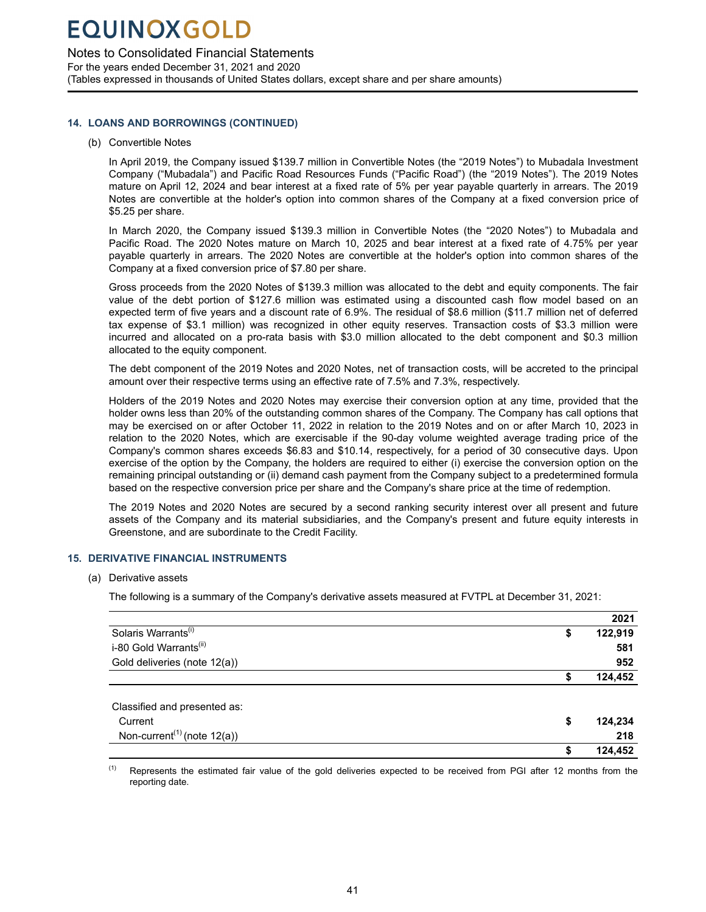<span id="page-42-0"></span>Notes to Consolidated Financial Statements

For the years ended December 31, 2021 and 2020 (Tables expressed in thousands of United States dollars, except share and per share amounts)

### **14. LOANS AND BORROWINGS (CONTINUED)**

### (b) Convertible Notes

In April 2019, the Company issued \$139.7 million in Convertible Notes (the "2019 Notes") to Mubadala Investment Company ("Mubadala") and Pacific Road Resources Funds ("Pacific Road") (the "2019 Notes"). The 2019 Notes mature on April 12, 2024 and bear interest at a fixed rate of 5% per year payable quarterly in arrears. The 2019 Notes are convertible at the holder's option into common shares of the Company at a fixed conversion price of \$5.25 per share.

In March 2020, the Company issued \$139.3 million in Convertible Notes (the "2020 Notes") to Mubadala and Pacific Road. The 2020 Notes mature on March 10, 2025 and bear interest at a fixed rate of 4.75% per year payable quarterly in arrears. The 2020 Notes are convertible at the holder's option into common shares of the Company at a fixed conversion price of \$7.80 per share.

Gross proceeds from the 2020 Notes of \$139.3 million was allocated to the debt and equity components. The fair value of the debt portion of \$127.6 million was estimated using a discounted cash flow model based on an expected term of five years and a discount rate of 6.9%. The residual of \$8.6 million (\$11.7 million net of deferred tax expense of \$3.1 million) was recognized in other equity reserves. Transaction costs of \$3.3 million were incurred and allocated on a pro-rata basis with \$3.0 million allocated to the debt component and \$0.3 million allocated to the equity component.

The debt component of the 2019 Notes and 2020 Notes, net of transaction costs, will be accreted to the principal amount over their respective terms using an effective rate of 7.5% and 7.3%, respectively.

Holders of the 2019 Notes and 2020 Notes may exercise their conversion option at any time, provided that the holder owns less than 20% of the outstanding common shares of the Company. The Company has call options that may be exercised on or after October 11, 2022 in relation to the 2019 Notes and on or after March 10, 2023 in relation to the 2020 Notes, which are exercisable if the 90-day volume weighted average trading price of the Company's common shares exceeds \$6.83 and \$10.14, respectively, for a period of 30 consecutive days. Upon exercise of the option by the Company, the holders are required to either (i) exercise the conversion option on the remaining principal outstanding or (ii) demand cash payment from the Company subject to a predetermined formula based on the respective conversion price per share and the Company's share price at the time of redemption.

The 2019 Notes and 2020 Notes are secured by a second ranking security interest over all present and future assets of the Company and its material subsidiaries, and the Company's present and future equity interests in Greenstone, and are subordinate to the Credit Facility.

### **15. DERIVATIVE FINANCIAL INSTRUMENTS**

(a) Derivative assets

The following is a summary of the Company's derivative assets measured at FVTPL at December 31, 2021:

|                                                      |    | 2021    |
|------------------------------------------------------|----|---------|
| Solaris Warrants <sup>(i)</sup>                      | S  | 122,919 |
| i-80 Gold Warrants <sup>(ii)</sup>                   |    | 581     |
| Gold deliveries (note 12(a))                         |    | 952     |
|                                                      |    | 124,452 |
|                                                      |    |         |
| Classified and presented as:                         |    |         |
| Current                                              | S  | 124,234 |
| Non-current <sup><math>(1)</math></sup> (note 12(a)) |    | 218     |
|                                                      | \$ | 124,452 |

 $<sup>(1)</sup>$  Represents the estimated fair value of the gold deliveries expected to be received from PGI after 12 months from the</sup> reporting date.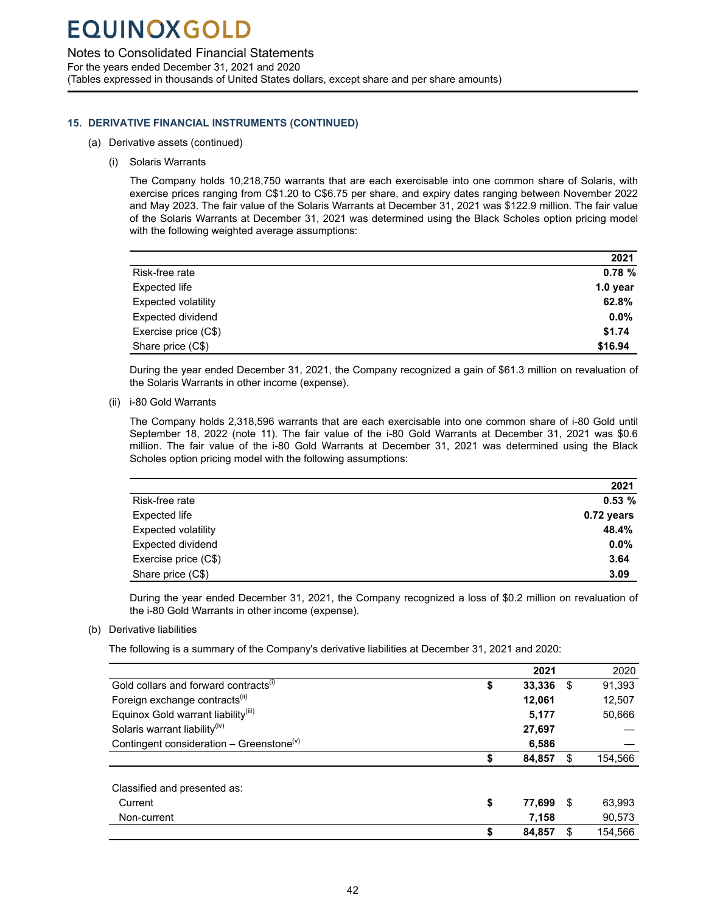Notes to Consolidated Financial Statements

For the years ended December 31, 2021 and 2020 (Tables expressed in thousands of United States dollars, except share and per share amounts)

### **15. DERIVATIVE FINANCIAL INSTRUMENTS (CONTINUED)**

- (a) Derivative assets (continued)
	- (i) Solaris Warrants

The Company holds 10,218,750 warrants that are each exercisable into one common share of Solaris, with exercise prices ranging from C\$1.20 to C\$6.75 per share, and expiry dates ranging between November 2022 and May 2023. The fair value of the Solaris Warrants at December 31, 2021 was \$122.9 million. The fair value of the Solaris Warrants at December 31, 2021 was determined using the Black Scholes option pricing model with the following weighted average assumptions:

|                            | 2021       |
|----------------------------|------------|
| Risk-free rate             | 0.78%      |
| Expected life              | $1.0$ year |
| <b>Expected volatility</b> | 62.8%      |
| Expected dividend          | $0.0\%$    |
| Exercise price (C\$)       | \$1.74     |
| Share price (C\$)          | \$16.94    |

During the year ended December 31, 2021, the Company recognized a gain of \$61.3 million on revaluation of the Solaris Warrants in other income (expense).

(ii) i-80 Gold Warrants

The Company holds 2,318,596 warrants that are each exercisable into one common share of i-80 Gold until September 18, 2022 (note 11). The fair value of the i-80 Gold Warrants at December 31, 2021 was \$0.6 million. The fair value of the i-80 Gold Warrants at December 31, 2021 was determined using the Black Scholes option pricing model with the following assumptions:

|                            | 2021         |
|----------------------------|--------------|
| Risk-free rate             | 0.53%        |
| Expected life              | $0.72$ years |
| <b>Expected volatility</b> | 48.4%        |
| Expected dividend          | $0.0\%$      |
| Exercise price (C\$)       | 3.64         |
| Share price (C\$)          | 3.09         |

During the year ended December 31, 2021, the Company recognized a loss of \$0.2 million on revaluation of the i-80 Gold Warrants in other income (expense).

### (b) Derivative liabilities

The following is a summary of the Company's derivative liabilities at December 31, 2021 and 2020:

|                                                      | 2021         |     | 2020    |
|------------------------------------------------------|--------------|-----|---------|
| Gold collars and forward contracts <sup>(i)</sup>    | \$<br>33,336 | \$  | 91,393  |
| Foreign exchange contracts <sup>(ii)</sup>           | 12,061       |     | 12,507  |
| Equinox Gold warrant liability <sup>(iii)</sup>      | 5,177        |     | 50,666  |
| Solaris warrant liability <sup>(iv)</sup>            | 27,697       |     |         |
| Contingent consideration - Greenstone <sup>(v)</sup> | 6,586        |     |         |
|                                                      | \$<br>84,857 | \$. | 154,566 |
| Classified and presented as:                         |              |     |         |
| Current                                              | \$<br>77,699 | \$. | 63,993  |
| Non-current                                          | 7,158        |     | 90,573  |
|                                                      | \$<br>84,857 |     | 154,566 |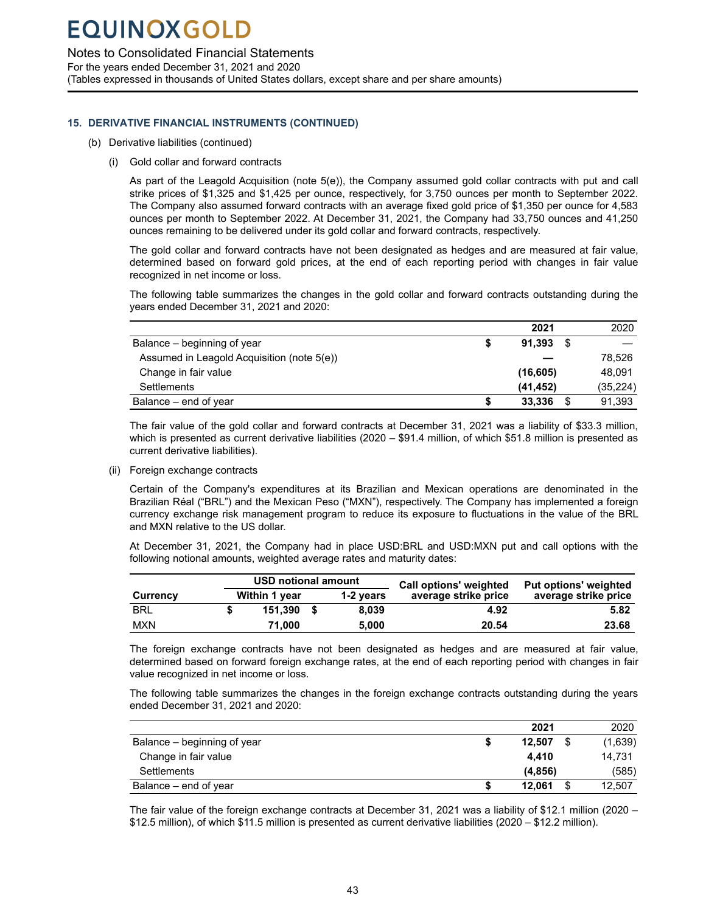### Notes to Consolidated Financial Statements

For the years ended December 31, 2021 and 2020 (Tables expressed in thousands of United States dollars, except share and per share amounts)

### **15. DERIVATIVE FINANCIAL INSTRUMENTS (CONTINUED)**

- (b) Derivative liabilities (continued)
	- (i) Gold collar and forward contracts

As part of the Leagold Acquisition (note 5(e)), the Company assumed gold collar contracts with put and call strike prices of \$1,325 and \$1,425 per ounce, respectively, for 3,750 ounces per month to September 2022. The Company also assumed forward contracts with an average fixed gold price of \$1,350 per ounce for 4,583 ounces per month to September 2022. At December 31, 2021, the Company had 33,750 ounces and 41,250 ounces remaining to be delivered under its gold collar and forward contracts, respectively.

The gold collar and forward contracts have not been designated as hedges and are measured at fair value, determined based on forward gold prices, at the end of each reporting period with changes in fair value recognized in net income or loss.

The following table summarizes the changes in the gold collar and forward contracts outstanding during the years ended December 31, 2021 and 2020:

|                                            |   | 2021      |      | 2020      |
|--------------------------------------------|---|-----------|------|-----------|
| Balance – beginning of year                |   | 91.393    | - \$ |           |
| Assumed in Leagold Acquisition (note 5(e)) |   |           |      | 78.526    |
| Change in fair value                       |   | (16, 605) |      | 48.091    |
| <b>Settlements</b>                         |   | (41, 452) |      | (35, 224) |
| Balance – end of year                      | S | 33.336    | \$   | 91,393    |

The fair value of the gold collar and forward contracts at December 31, 2021 was a liability of \$33.3 million, which is presented as current derivative liabilities (2020 – \$91.4 million, of which \$51.8 million is presented as current derivative liabilities).

(ii) Foreign exchange contracts

Certain of the Company's expenditures at its Brazilian and Mexican operations are denominated in the Brazilian Réal ("BRL") and the Mexican Peso ("MXN"), respectively. The Company has implemented a foreign currency exchange risk management program to reduce its exposure to fluctuations in the value of the BRL and MXN relative to the US dollar.

At December 31, 2021, the Company had in place USD:BRL and USD:MXN put and call options with the following notional amounts, weighted average rates and maturity dates:

|            | <b>USD notional amount</b> |           | <b>Call options' weighted</b> | Put options' weighted |  |  |  |
|------------|----------------------------|-----------|-------------------------------|-----------------------|--|--|--|
| Currency   | Within 1 year              | 1-2 vears | average strike price          | average strike price  |  |  |  |
| <b>BRL</b> | 151.390 \$                 | 8.039     | 4.92                          | 5.82                  |  |  |  |
| <b>MXN</b> | 71.000                     | 5.000     | 20.54                         | 23.68                 |  |  |  |

The foreign exchange contracts have not been designated as hedges and are measured at fair value, determined based on forward foreign exchange rates, at the end of each reporting period with changes in fair value recognized in net income or loss.

The following table summarizes the changes in the foreign exchange contracts outstanding during the years ended December 31, 2021 and 2020:

|                             | 2021         | 2020    |
|-----------------------------|--------------|---------|
| Balance – beginning of year | 12.507       | (1,639) |
| Change in fair value        | 4.410        | 14.731  |
| Settlements                 | (4, 856)     | (585)   |
| Balance – end of year       | \$<br>12.061 | 12,507  |

The fair value of the foreign exchange contracts at December 31, 2021 was a liability of \$12.1 million (2020 – \$12.5 million), of which \$11.5 million is presented as current derivative liabilities (2020 – \$12.2 million).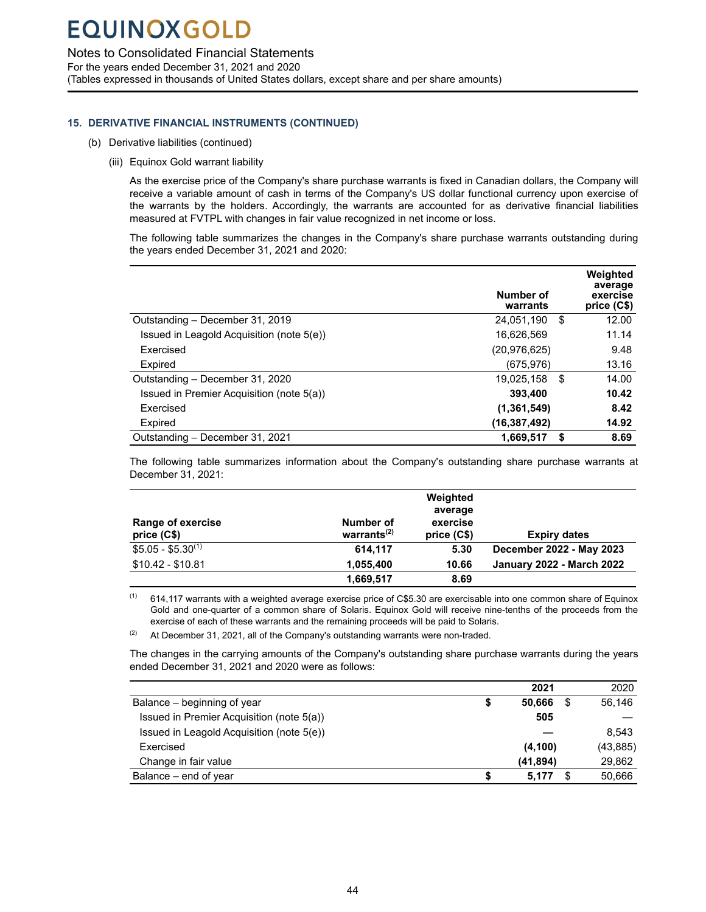### Notes to Consolidated Financial Statements

For the years ended December 31, 2021 and 2020 (Tables expressed in thousands of United States dollars, except share and per share amounts)

### **15. DERIVATIVE FINANCIAL INSTRUMENTS (CONTINUED)**

- (b) Derivative liabilities (continued)
	- (iii) Equinox Gold warrant liability

As the exercise price of the Company's share purchase warrants is fixed in Canadian dollars, the Company will receive a variable amount of cash in terms of the Company's US dollar functional currency upon exercise of the warrants by the holders. Accordingly, the warrants are accounted for as derivative financial liabilities measured at FVTPL with changes in fair value recognized in net income or loss.

The following table summarizes the changes in the Company's share purchase warrants outstanding during the years ended December 31, 2021 and 2020:

|                                           | Number of<br>warrants | Weighted<br>average<br>exercise<br>price (C\$) |
|-------------------------------------------|-----------------------|------------------------------------------------|
| Outstanding - December 31, 2019           | \$<br>24.051.190      | 12.00                                          |
| Issued in Leagold Acquisition (note 5(e)) | 16.626.569            | 11.14                                          |
| Exercised                                 | (20,976,625)          | 9.48                                           |
| Expired                                   | (675, 976)            | 13.16                                          |
| Outstanding - December 31, 2020           | 19,025,158<br>\$      | 14.00                                          |
| Issued in Premier Acquisition (note 5(a)) | 393,400               | 10.42                                          |
| Exercised                                 | (1,361,549)           | 8.42                                           |
| Expired                                   | (16, 387, 492)        | 14.92                                          |
| Outstanding - December 31, 2021           | 1.669.517<br>S        | 8.69                                           |

The following table summarizes information about the Company's outstanding share purchase warrants at December 31, 2021:

|                          |                | Weighted    |                                  |
|--------------------------|----------------|-------------|----------------------------------|
|                          |                | average     |                                  |
| <b>Range of exercise</b> | Number of      | exercise    |                                  |
| price (C\$)              | warrants $(2)$ | price (C\$) | <b>Expiry dates</b>              |
| $$5.05 - $5.30^{(1)}$    | 614.117        | 5.30        | December 2022 - May 2023         |
| $$10.42 - $10.81$        | 1,055,400      | 10.66       | <b>January 2022 - March 2022</b> |
|                          | 1,669,517      | 8.69        |                                  |

 $(1)$  614,117 warrants with a weighted average exercise price of C\$5.30 are exercisable into one common share of Equinox Gold and one-quarter of a common share of Solaris. Equinox Gold will receive nine-tenths of the proceeds from the exercise of each of these warrants and the remaining proceeds will be paid to Solaris.

 $(2)$  At December 31, 2021, all of the Company's outstanding warrants were non-traded.

The changes in the carrying amounts of the Company's outstanding share purchase warrants during the years ended December 31, 2021 and 2020 were as follows:

|                                           | 2021         |      | 2020      |
|-------------------------------------------|--------------|------|-----------|
| Balance – beginning of year               | \$<br>50.666 | - \$ | 56.146    |
| Issued in Premier Acquisition (note 5(a)) | 505          |      |           |
| Issued in Leagold Acquisition (note 5(e)) |              |      | 8.543     |
| Exercised                                 | (4, 100)     |      | (43, 885) |
| Change in fair value                      | (41, 894)    |      | 29,862    |
| Balance – end of year                     | 5.177        | S    | 50,666    |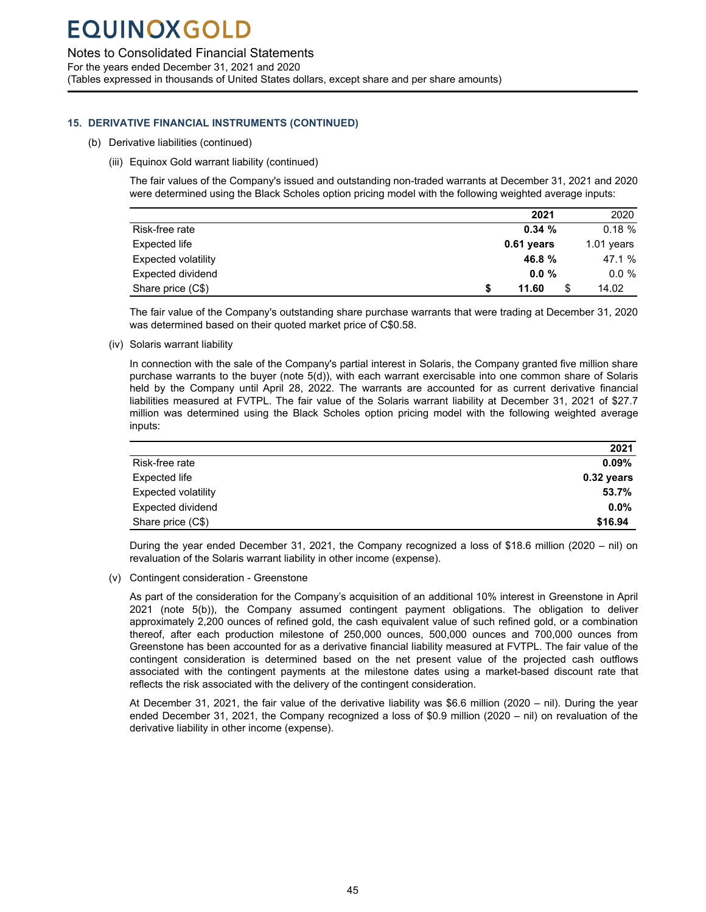Notes to Consolidated Financial Statements

For the years ended December 31, 2021 and 2020 (Tables expressed in thousands of United States dollars, except share and per share amounts)

### **15. DERIVATIVE FINANCIAL INSTRUMENTS (CONTINUED)**

- (b) Derivative liabilities (continued)
	- (iii) Equinox Gold warrant liability (continued)

The fair values of the Company's issued and outstanding non-traded warrants at December 31, 2021 and 2020 were determined using the Black Scholes option pricing model with the following weighted average inputs:

|                            | 2021         | 2020         |
|----------------------------|--------------|--------------|
| Risk-free rate             | 0.34%        | 0.18%        |
| Expected life              | $0.61$ years | $1.01$ years |
| <b>Expected volatility</b> | 46.8 %       | 47.1 %       |
| Expected dividend          | 0.0%         | $0.0 \%$     |
| Share price (C\$)          | 11.60        | 14.02        |

The fair value of the Company's outstanding share purchase warrants that were trading at December 31, 2020 was determined based on their quoted market price of C\$0.58.

(iv) Solaris warrant liability

In connection with the sale of the Company's partial interest in Solaris, the Company granted five million share purchase warrants to the buyer (note 5(d)), with each warrant exercisable into one common share of Solaris held by the Company until April 28, 2022. The warrants are accounted for as current derivative financial liabilities measured at FVTPL. The fair value of the Solaris warrant liability at December 31, 2021 of \$27.7 million was determined using the Black Scholes option pricing model with the following weighted average inputs:

|                            | 2021         |
|----------------------------|--------------|
| Risk-free rate             | $0.09\%$     |
| Expected life              | $0.32$ years |
| <b>Expected volatility</b> | 53.7%        |
| Expected dividend          | $0.0\%$      |
| Share price (C\$)          | \$16.94      |

During the year ended December 31, 2021, the Company recognized a loss of \$18.6 million (2020 – nil) on revaluation of the Solaris warrant liability in other income (expense).

(v) Contingent consideration - Greenstone

As part of the consideration for the Company's acquisition of an additional 10% interest in Greenstone in April 2021 (note 5(b)), the Company assumed contingent payment obligations. The obligation to deliver approximately 2,200 ounces of refined gold, the cash equivalent value of such refined gold, or a combination thereof, after each production milestone of 250,000 ounces, 500,000 ounces and 700,000 ounces from Greenstone has been accounted for as a derivative financial liability measured at FVTPL. The fair value of the contingent consideration is determined based on the net present value of the projected cash outflows associated with the contingent payments at the milestone dates using a market-based discount rate that reflects the risk associated with the delivery of the contingent consideration.

At December 31, 2021, the fair value of the derivative liability was \$6.6 million (2020 – nil). During the year ended December 31, 2021, the Company recognized a loss of \$0.9 million (2020 – nil) on revaluation of the derivative liability in other income (expense).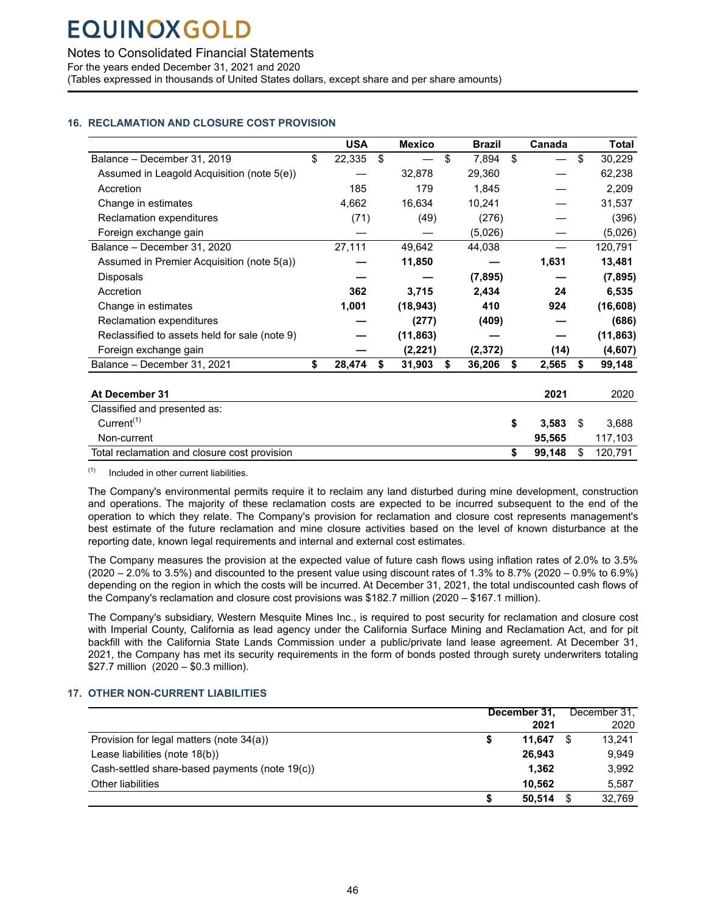<span id="page-47-0"></span>Notes to Consolidated Financial Statements

For the years ended December 31, 2021 and 2020

(Tables expressed in thousands of United States dollars, except share and per share amounts)

### **16. RECLAMATION AND CLOSURE COST PROVISION**

|                                               | <b>USA</b>   | <b>Mexico</b> | <b>Brazil</b> | Canada       |    | Total     |
|-----------------------------------------------|--------------|---------------|---------------|--------------|----|-----------|
| Balance - December 31, 2019                   | \$<br>22,335 | \$            | \$<br>7,894   | \$           | \$ | 30,229    |
| Assumed in Leagold Acquisition (note 5(e))    |              | 32,878        | 29,360        |              |    | 62,238    |
| Accretion                                     | 185          | 179           | 1,845         |              |    | 2,209     |
| Change in estimates                           | 4,662        | 16,634        | 10,241        |              |    | 31,537    |
| Reclamation expenditures                      | (71)         | (49)          | (276)         |              |    | (396)     |
| Foreign exchange gain                         |              |               | (5,026)       |              |    | (5,026)   |
| Balance - December 31, 2020                   | 27,111       | 49,642        | 44,038        |              |    | 120,791   |
| Assumed in Premier Acquisition (note 5(a))    |              | 11,850        |               | 1,631        |    | 13,481    |
| Disposals                                     |              |               | (7, 895)      |              |    | (7, 895)  |
| Accretion                                     | 362          | 3,715         | 2,434         | 24           |    | 6,535     |
| Change in estimates                           | 1,001        | (18, 943)     | 410           | 924          |    | (16, 608) |
| Reclamation expenditures                      |              | (277)         | (409)         |              |    | (686)     |
| Reclassified to assets held for sale (note 9) |              | (11, 863)     |               |              |    | (11, 863) |
| Foreign exchange gain                         |              | (2, 221)      | (2, 372)      | (14)         |    | (4,607)   |
| Balance - December 31, 2021                   | \$<br>28,474 | \$<br>31,903  | \$<br>36,206  | \$<br>2,565  | \$ | 99,148    |
|                                               |              |               |               |              |    |           |
| At December 31                                |              |               |               | 2021         |    | 2020      |
| Classified and presented as:                  |              |               |               |              |    |           |
| Current <sup>(1)</sup>                        |              |               |               | \$<br>3,583  | S  | 3,688     |
| Non-current                                   |              |               |               | 95,565       |    | 117,103   |
| Total reclamation and closure cost provision  |              |               |               | \$<br>99,148 | \$ | 120,791   |

 $(1)$  Included in other current liabilities.

The Company's environmental permits require it to reclaim any land disturbed during mine development, construction and operations. The majority of these reclamation costs are expected to be incurred subsequent to the end of the operation to which they relate. The Company's provision for reclamation and closure cost represents management's best estimate of the future reclamation and mine closure activities based on the level of known disturbance at the reporting date, known legal requirements and internal and external cost estimates.

The Company measures the provision at the expected value of future cash flows using inflation rates of 2.0% to 3.5% (2020 – 2.0% to 3.5%) and discounted to the present value using discount rates of 1.3% to 8.7% (2020 – 0.9% to 6.9%) depending on the region in which the costs will be incurred. At December 31, 2021, the total undiscounted cash flows of the Company's reclamation and closure cost provisions was \$182.7 million (2020 – \$167.1 million).

The Company's subsidiary, Western Mesquite Mines Inc., is required to post security for reclamation and closure cost with Imperial County, California as lead agency under the California Surface Mining and Reclamation Act, and for pit backfill with the California State Lands Commission under a public/private land lease agreement. At December 31, 2021, the Company has met its security requirements in the form of bonds posted through surety underwriters totaling \$27.7 million (2020 – \$0.3 million).

### **17. OTHER NON-CURRENT LIABILITIES**

|                                                | December 31, |    | December 31. |
|------------------------------------------------|--------------|----|--------------|
|                                                | 2021         |    | 2020         |
| Provision for legal matters (note 34(a))       | 11.647       | S  | 13.241       |
| Lease liabilities (note 18(b))                 | 26.943       |    | 9.949        |
| Cash-settled share-based payments (note 19(c)) | 1,362        |    | 3,992        |
| Other liabilities                              | 10.562       |    | 5,587        |
|                                                | 50.514       | S. | 32.769       |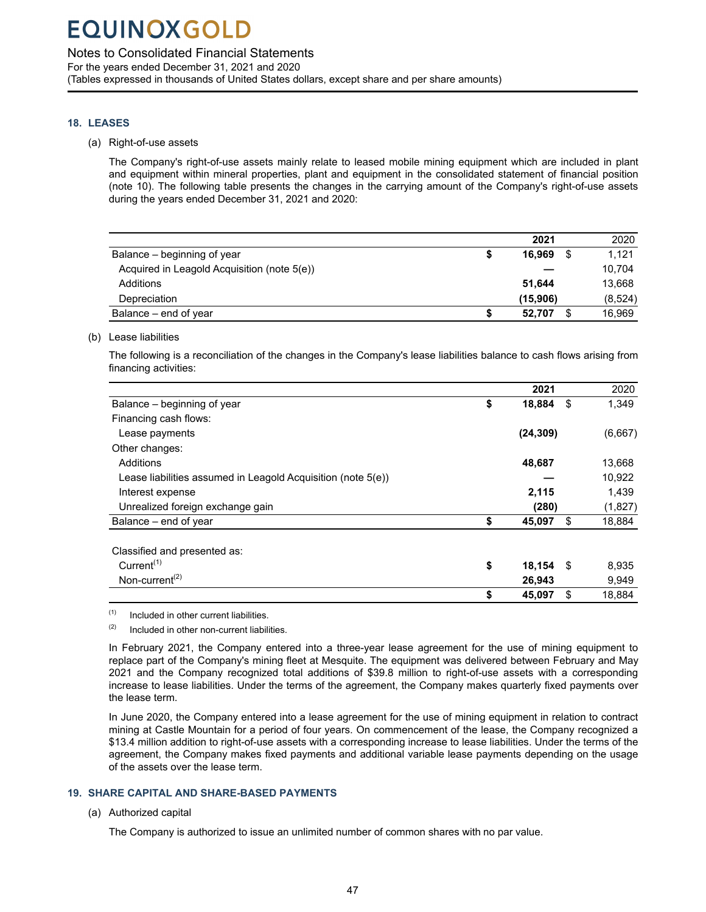### <span id="page-48-0"></span>Notes to Consolidated Financial Statements

For the years ended December 31, 2021 and 2020 (Tables expressed in thousands of United States dollars, except share and per share amounts)

### **18. LEASES**

(a) Right-of-use assets

The Company's right-of-use assets mainly relate to leased mobile mining equipment which are included in plant and equipment within mineral properties, plant and equipment in the consolidated statement of financial position (note 10). The following table presents the changes in the carrying amount of the Company's right-of-use assets during the years ended December 31, 2021 and 2020:

|                                             |   | 2021     |      | 2020    |
|---------------------------------------------|---|----------|------|---------|
| Balance – beginning of year                 | S | 16.969   | - \$ | 1.121   |
| Acquired in Leagold Acquisition (note 5(e)) |   |          |      | 10.704  |
| Additions                                   |   | 51.644   |      | 13,668  |
| Depreciation                                |   | (15,906) |      | (8,524) |
| Balance – end of year                       |   | 52.707   | \$.  | 16,969  |

(b) Lease liabilities

The following is a reconciliation of the changes in the Company's lease liabilities balance to cash flows arising from financing activities:

|                                                              | 2021         |      | 2020    |
|--------------------------------------------------------------|--------------|------|---------|
| Balance – beginning of year                                  | \$<br>18,884 | \$   | 1,349   |
| Financing cash flows:                                        |              |      |         |
| Lease payments                                               | (24, 309)    |      | (6,667) |
| Other changes:                                               |              |      |         |
| Additions                                                    | 48,687       |      | 13,668  |
| Lease liabilities assumed in Leagold Acquisition (note 5(e)) |              |      | 10,922  |
| Interest expense                                             | 2,115        |      | 1,439   |
| Unrealized foreign exchange gain                             | (280)        |      | (1,827) |
| Balance – end of year                                        | \$<br>45,097 | \$   | 18,884  |
| Classified and presented as:                                 |              |      |         |
| Current <sup><math>(1)</math></sup>                          | \$<br>18,154 | - \$ | 8,935   |
| Non-current <sup><math>(2)</math></sup>                      | 26,943       |      | 9,949   |
|                                                              | \$<br>45,097 | \$   | 18,884  |
|                                                              |              |      |         |

 $(1)$  Included in other current liabilities.

 $(2)$  Included in other non-current liabilities.

In February 2021, the Company entered into a three-year lease agreement for the use of mining equipment to replace part of the Company's mining fleet at Mesquite. The equipment was delivered between February and May 2021 and the Company recognized total additions of \$39.8 million to right-of-use assets with a corresponding increase to lease liabilities. Under the terms of the agreement, the Company makes quarterly fixed payments over the lease term.

In June 2020, the Company entered into a lease agreement for the use of mining equipment in relation to contract mining at Castle Mountain for a period of four years. On commencement of the lease, the Company recognized a \$13.4 million addition to right-of-use assets with a corresponding increase to lease liabilities. Under the terms of the agreement, the Company makes fixed payments and additional variable lease payments depending on the usage of the assets over the lease term.

### **19. SHARE CAPITAL AND SHARE-BASED PAYMENTS**

(a) Authorized capital

The Company is authorized to issue an unlimited number of common shares with no par value.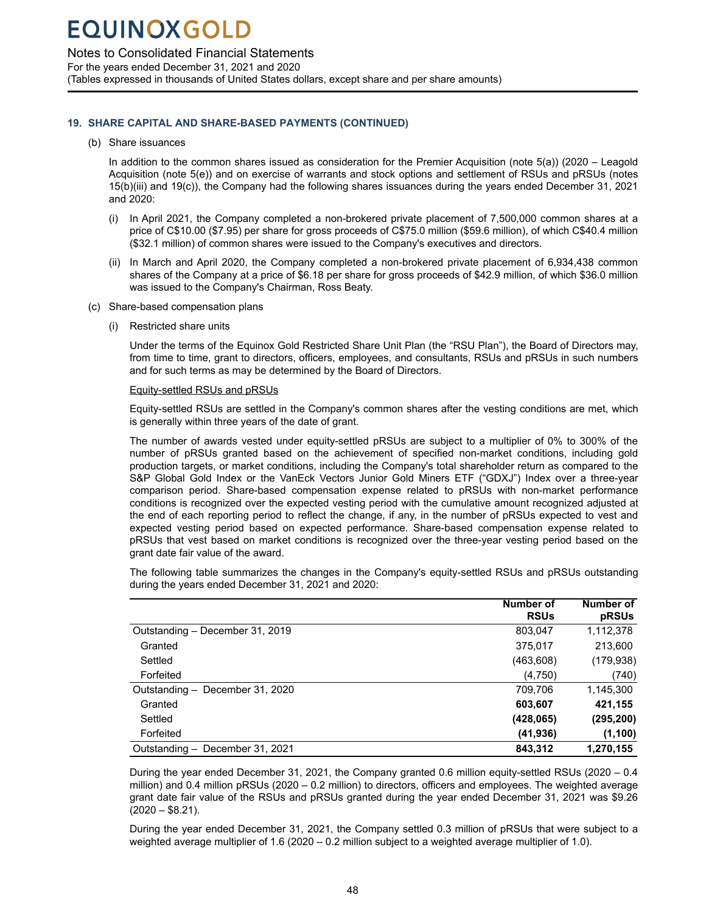Notes to Consolidated Financial Statements

For the years ended December 31, 2021 and 2020 (Tables expressed in thousands of United States dollars, except share and per share amounts)

### **19. SHARE CAPITAL AND SHARE-BASED PAYMENTS (CONTINUED)**

#### (b) Share issuances

In addition to the common shares issued as consideration for the Premier Acquisition (note 5(a)) (2020 – Leagold Acquisition (note 5(e)) and on exercise of warrants and stock options and settlement of RSUs and pRSUs (notes 15(b)(iii) and 19(c)), the Company had the following shares issuances during the years ended December 31, 2021 and 2020:

- (i) In April 2021, the Company completed a non-brokered private placement of 7,500,000 common shares at a price of C\$10.00 (\$7.95) per share for gross proceeds of C\$75.0 million (\$59.6 million), of which C\$40.4 million (\$32.1 million) of common shares were issued to the Company's executives and directors.
- (ii) In March and April 2020, the Company completed a non-brokered private placement of 6,934,438 common shares of the Company at a price of \$6.18 per share for gross proceeds of \$42.9 million, of which \$36.0 million was issued to the Company's Chairman, Ross Beaty.

#### (c) Share-based compensation plans

(i) Restricted share units

Under the terms of the Equinox Gold Restricted Share Unit Plan (the "RSU Plan"), the Board of Directors may, from time to time, grant to directors, officers, employees, and consultants, RSUs and pRSUs in such numbers and for such terms as may be determined by the Board of Directors.

#### Equity-settled RSUs and pRSUs

Equity-settled RSUs are settled in the Company's common shares after the vesting conditions are met, which is generally within three years of the date of grant.

The number of awards vested under equity-settled pRSUs are subject to a multiplier of 0% to 300% of the number of pRSUs granted based on the achievement of specified non-market conditions, including gold production targets, or market conditions, including the Company's total shareholder return as compared to the S&P Global Gold Index or the VanEck Vectors Junior Gold Miners ETF ("GDXJ") Index over a three-year comparison period. Share-based compensation expense related to pRSUs with non-market performance conditions is recognized over the expected vesting period with the cumulative amount recognized adjusted at the end of each reporting period to reflect the change, if any, in the number of pRSUs expected to vest and expected vesting period based on expected performance. Share-based compensation expense related to pRSUs that vest based on market conditions is recognized over the three-year vesting period based on the grant date fair value of the award.

The following table summarizes the changes in the Company's equity-settled RSUs and pRSUs outstanding during the years ended December 31, 2021 and 2020:

|                                 | Number of   | <b>Number of</b> |
|---------------------------------|-------------|------------------|
|                                 | <b>RSUs</b> | pRSUs            |
| Outstanding - December 31, 2019 | 803,047     | 1,112,378        |
| Granted                         | 375.017     | 213,600          |
| Settled                         | (463,608)   | (179, 938)       |
| Forfeited                       | (4,750)     | (740)            |
| Outstanding - December 31, 2020 | 709,706     | 1,145,300        |
| Granted                         | 603.607     | 421,155          |
| Settled                         | (428, 065)  | (295,200)        |
| Forfeited                       | (41, 936)   | (1, 100)         |
| Outstanding - December 31, 2021 | 843.312     | 1.270.155        |

During the year ended December 31, 2021, the Company granted 0.6 million equity-settled RSUs (2020 – 0.4 million) and 0.4 million pRSUs (2020 – 0.2 million) to directors, officers and employees. The weighted average grant date fair value of the RSUs and pRSUs granted during the year ended December 31, 2021 was \$9.26  $(2020 - $8.21)$ .

During the year ended December 31, 2021, the Company settled 0.3 million of pRSUs that were subject to a weighted average multiplier of 1.6 (2020 – 0.2 million subject to a weighted average multiplier of 1.0).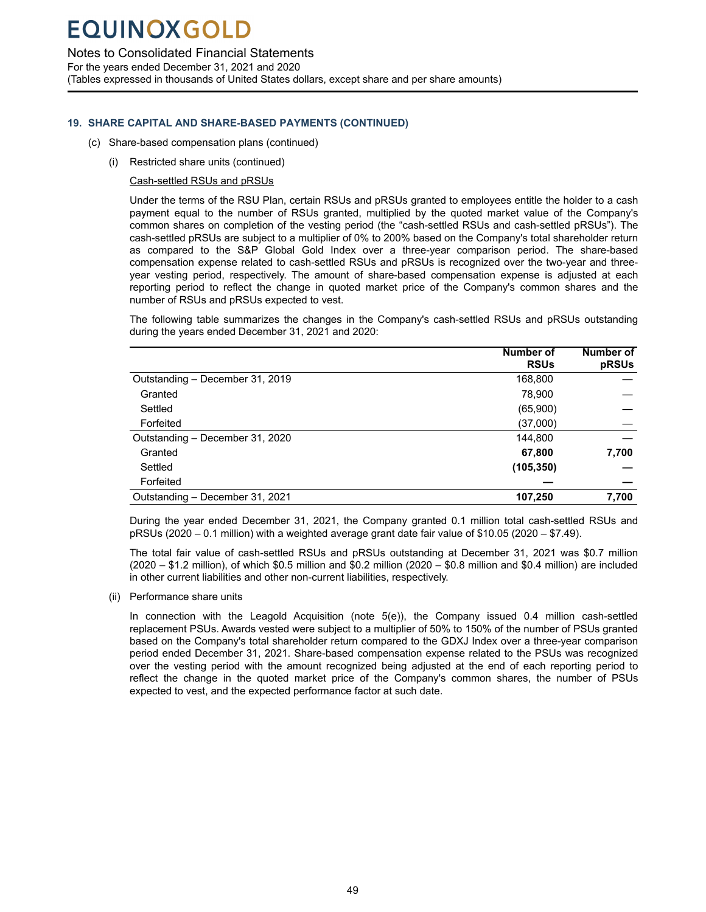### Notes to Consolidated Financial Statements

For the years ended December 31, 2021 and 2020

(Tables expressed in thousands of United States dollars, except share and per share amounts)

### **19. SHARE CAPITAL AND SHARE-BASED PAYMENTS (CONTINUED)**

- (c) Share-based compensation plans (continued)
	- (i) Restricted share units (continued)

Cash-settled RSUs and pRSUs

Under the terms of the RSU Plan, certain RSUs and pRSUs granted to employees entitle the holder to a cash payment equal to the number of RSUs granted, multiplied by the quoted market value of the Company's common shares on completion of the vesting period (the "cash-settled RSUs and cash-settled pRSUs"). The cash-settled pRSUs are subject to a multiplier of 0% to 200% based on the Company's total shareholder return as compared to the S&P Global Gold Index over a three-year comparison period. The share-based compensation expense related to cash-settled RSUs and pRSUs is recognized over the two-year and threeyear vesting period, respectively. The amount of share-based compensation expense is adjusted at each reporting period to reflect the change in quoted market price of the Company's common shares and the number of RSUs and pRSUs expected to vest.

The following table summarizes the changes in the Company's cash-settled RSUs and pRSUs outstanding during the years ended December 31, 2021 and 2020:

|                                 | <b>Number of</b> | <b>Number of</b> |
|---------------------------------|------------------|------------------|
|                                 | <b>RSUs</b>      | pRSUs            |
| Outstanding - December 31, 2019 | 168,800          |                  |
| Granted                         | 78.900           |                  |
| Settled                         | (65,900)         |                  |
| Forfeited                       | (37,000)         |                  |
| Outstanding - December 31, 2020 | 144,800          |                  |
| Granted                         | 67,800           | 7,700            |
| Settled                         | (105, 350)       |                  |
| Forfeited                       |                  |                  |
| Outstanding - December 31, 2021 | 107,250          | 7,700            |

During the year ended December 31, 2021, the Company granted 0.1 million total cash-settled RSUs and pRSUs (2020 – 0.1 million) with a weighted average grant date fair value of \$10.05 (2020 – \$7.49).

The total fair value of cash-settled RSUs and pRSUs outstanding at December 31, 2021 was \$0.7 million (2020 – \$1.2 million), of which \$0.5 million and \$0.2 million (2020 – \$0.8 million and \$0.4 million) are included in other current liabilities and other non-current liabilities, respectively.

(ii) Performance share units

In connection with the Leagold Acquisition (note 5(e)), the Company issued 0.4 million cash-settled replacement PSUs. Awards vested were subject to a multiplier of 50% to 150% of the number of PSUs granted based on the Company's total shareholder return compared to the GDXJ Index over a three-year comparison period ended December 31, 2021. Share-based compensation expense related to the PSUs was recognized over the vesting period with the amount recognized being adjusted at the end of each reporting period to reflect the change in the quoted market price of the Company's common shares, the number of PSUs expected to vest, and the expected performance factor at such date.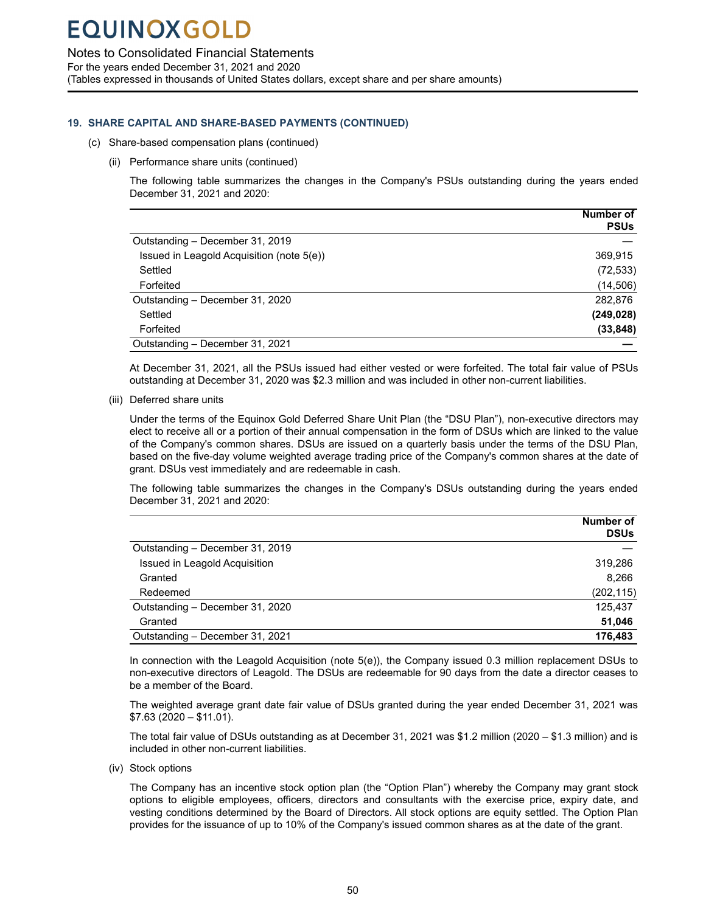Notes to Consolidated Financial Statements

For the years ended December 31, 2021 and 2020

(Tables expressed in thousands of United States dollars, except share and per share amounts)

### **19. SHARE CAPITAL AND SHARE-BASED PAYMENTS (CONTINUED)**

- (c) Share-based compensation plans (continued)
	- (ii) Performance share units (continued)

The following table summarizes the changes in the Company's PSUs outstanding during the years ended December 31, 2021 and 2020:

|                                           | <b>Number of</b> |
|-------------------------------------------|------------------|
|                                           | <b>PSUs</b>      |
| Outstanding - December 31, 2019           |                  |
| Issued in Leagold Acquisition (note 5(e)) | 369,915          |
| Settled                                   | (72, 533)        |
| Forfeited                                 | (14, 506)        |
| Outstanding - December 31, 2020           | 282,876          |
| Settled                                   | (249, 028)       |
| Forfeited                                 | (33, 848)        |
| Outstanding - December 31, 2021           |                  |

At December 31, 2021, all the PSUs issued had either vested or were forfeited. The total fair value of PSUs outstanding at December 31, 2020 was \$2.3 million and was included in other non-current liabilities.

(iii) Deferred share units

Under the terms of the Equinox Gold Deferred Share Unit Plan (the "DSU Plan"), non-executive directors may elect to receive all or a portion of their annual compensation in the form of DSUs which are linked to the value of the Company's common shares. DSUs are issued on a quarterly basis under the terms of the DSU Plan, based on the five-day volume weighted average trading price of the Company's common shares at the date of grant. DSUs vest immediately and are redeemable in cash.

The following table summarizes the changes in the Company's DSUs outstanding during the years ended December 31, 2021 and 2020:

|                                 | Number of<br><b>DSUs</b> |
|---------------------------------|--------------------------|
| Outstanding - December 31, 2019 |                          |
| Issued in Leagold Acquisition   | 319,286                  |
| Granted                         | 8.266                    |
| Redeemed                        | (202, 115)               |
| Outstanding - December 31, 2020 | 125,437                  |
| Granted                         | 51,046                   |
| Outstanding - December 31, 2021 | 176,483                  |

In connection with the Leagold Acquisition (note 5(e)), the Company issued 0.3 million replacement DSUs to non-executive directors of Leagold. The DSUs are redeemable for 90 days from the date a director ceases to be a member of the Board.

The weighted average grant date fair value of DSUs granted during the year ended December 31, 2021 was \$7.63 (2020 – \$11.01).

The total fair value of DSUs outstanding as at December 31, 2021 was \$1.2 million (2020 – \$1.3 million) and is included in other non-current liabilities.

(iv) Stock options

The Company has an incentive stock option plan (the "Option Plan") whereby the Company may grant stock options to eligible employees, officers, directors and consultants with the exercise price, expiry date, and vesting conditions determined by the Board of Directors. All stock options are equity settled. The Option Plan provides for the issuance of up to 10% of the Company's issued common shares as at the date of the grant.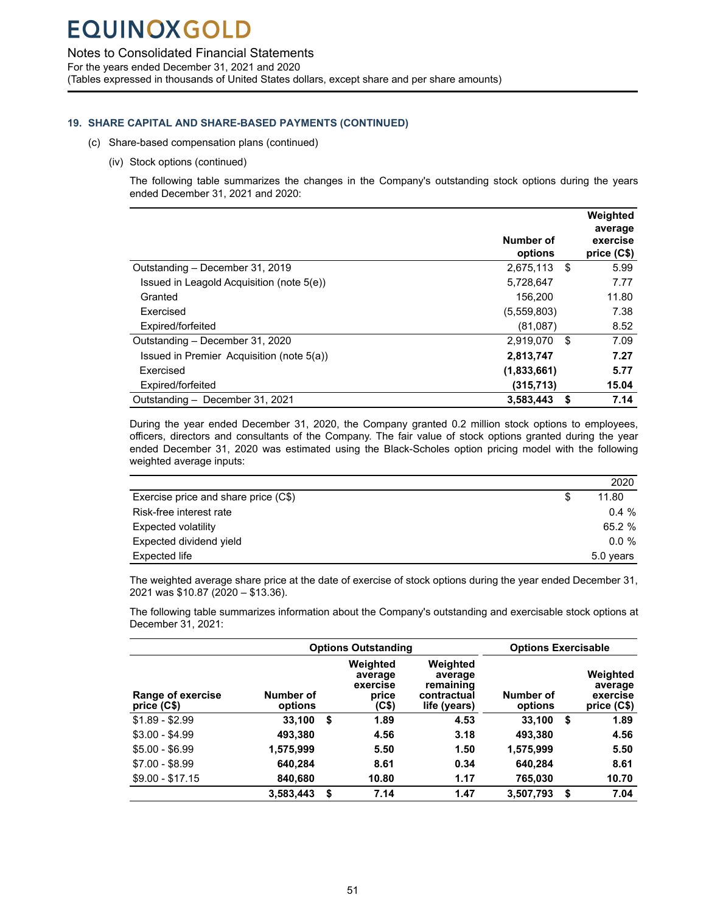Notes to Consolidated Financial Statements

For the years ended December 31, 2021 and 2020

(Tables expressed in thousands of United States dollars, except share and per share amounts)

### **19. SHARE CAPITAL AND SHARE-BASED PAYMENTS (CONTINUED)**

- (c) Share-based compensation plans (continued)
	- (iv) Stock options (continued)

The following table summarizes the changes in the Company's outstanding stock options during the years ended December 31, 2021 and 2020:

|                                           |                      |     | Weighted<br>average     |
|-------------------------------------------|----------------------|-----|-------------------------|
|                                           | Number of<br>options |     | exercise<br>price (C\$) |
| Outstanding - December 31, 2019           | 2,675,113            | \$  | 5.99                    |
| Issued in Leagold Acquisition (note 5(e)) | 5,728,647            |     | 7.77                    |
| Granted                                   | 156,200              |     | 11.80                   |
| Exercised                                 | (5,559,803)          |     | 7.38                    |
| Expired/forfeited                         | (81,087)             |     | 8.52                    |
| Outstanding - December 31, 2020           | 2.919.070            | -\$ | 7.09                    |
| Issued in Premier Acquisition (note 5(a)) | 2,813,747            |     | 7.27                    |
| Exercised                                 | (1,833,661)          |     | 5.77                    |
| Expired/forfeited                         | (315,713)            |     | 15.04                   |
| Outstanding - December 31, 2021           | 3,583,443            | S   | 7.14                    |

During the year ended December 31, 2020, the Company granted 0.2 million stock options to employees, officers, directors and consultants of the Company. The fair value of stock options granted during the year ended December 31, 2020 was estimated using the Black-Scholes option pricing model with the following weighted average inputs:

|                                      | 2020      |
|--------------------------------------|-----------|
| Exercise price and share price (C\$) | 11.80     |
| Risk-free interest rate              | $0.4 \%$  |
| Expected volatility                  | 65.2 %    |
| Expected dividend yield              | $0.0 \%$  |
| Expected life                        | 5.0 years |

The weighted average share price at the date of exercise of stock options during the year ended December 31, 2021 was \$10.87 (2020 – \$13.36).

The following table summarizes information about the Company's outstanding and exercisable stock options at December 31, 2021:

|                                  | <b>Options Outstanding</b> |    |                                                   | <b>Options Exercisable</b>                                      |                      |                                                |
|----------------------------------|----------------------------|----|---------------------------------------------------|-----------------------------------------------------------------|----------------------|------------------------------------------------|
| Range of exercise<br>price (C\$) | Number of<br>options       |    | Weighted<br>average<br>exercise<br>price<br>(C\$) | Weighted<br>average<br>remaining<br>contractual<br>life (years) | Number of<br>options | Weighted<br>average<br>exercise<br>price (C\$) |
| $$1.89 - $2.99$                  | 33,100                     | \$ | 1.89                                              | 4.53                                                            | 33.100               | \$<br>1.89                                     |
| $$3.00 - $4.99$                  | 493.380                    |    | 4.56                                              | 3.18                                                            | 493,380              | 4.56                                           |
| $$5.00 - $6.99$                  | 1,575,999                  |    | 5.50                                              | 1.50                                                            | 1,575,999            | 5.50                                           |
| $$7.00 - $8.99$                  | 640.284                    |    | 8.61                                              | 0.34                                                            | 640,284              | 8.61                                           |
| $$9.00 - $17.15$                 | 840,680                    |    | 10.80                                             | 1.17                                                            | 765.030              | 10.70                                          |
|                                  | 3.583.443                  | \$ | 7.14                                              | 1.47                                                            | 3,507,793            | \$<br>7.04                                     |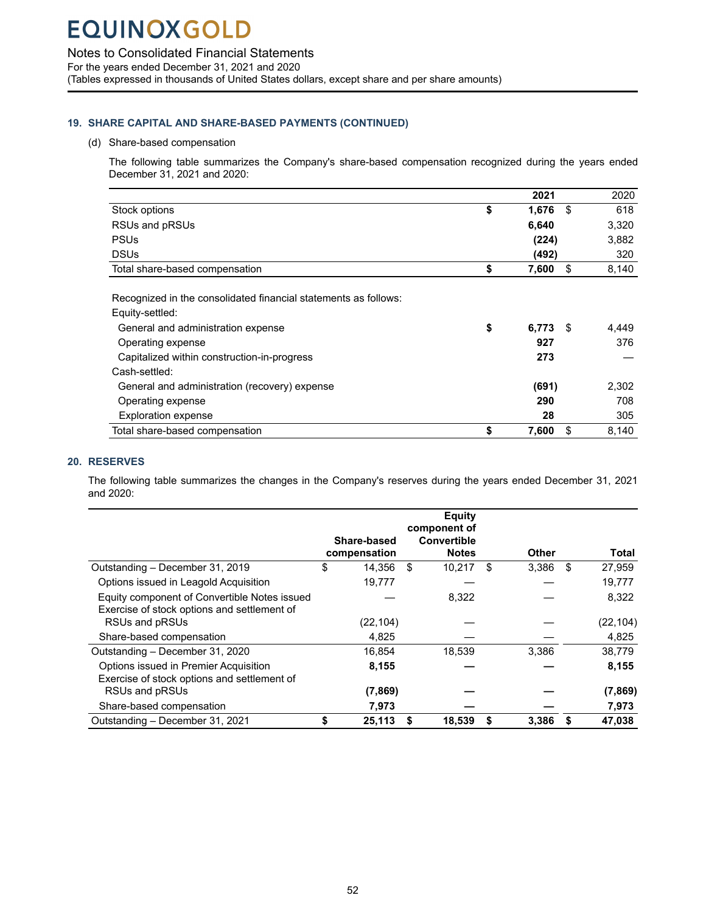<span id="page-53-0"></span>Notes to Consolidated Financial Statements

For the years ended December 31, 2021 and 2020

(Tables expressed in thousands of United States dollars, except share and per share amounts)

### **19. SHARE CAPITAL AND SHARE-BASED PAYMENTS (CONTINUED)**

#### (d) Share-based compensation

The following table summarizes the Company's share-based compensation recognized during the years ended December 31, 2021 and 2020:

|                                                                 | 2021        | 2020        |
|-----------------------------------------------------------------|-------------|-------------|
| Stock options                                                   | \$<br>1,676 | \$<br>618   |
| RSUs and pRSUs                                                  | 6,640       | 3,320       |
| <b>PSUs</b>                                                     | (224)       | 3,882       |
| <b>DSUs</b>                                                     | (492)       | 320         |
| Total share-based compensation                                  | \$<br>7,600 | \$<br>8,140 |
|                                                                 |             |             |
| Recognized in the consolidated financial statements as follows: |             |             |
| Equity-settled:                                                 |             |             |
| General and administration expense                              | \$<br>6,773 | \$<br>4,449 |
| Operating expense                                               | 927         | 376         |
| Capitalized within construction-in-progress                     | 273         |             |
| Cash-settled:                                                   |             |             |
| General and administration (recovery) expense                   | (691)       | 2,302       |
| Operating expense                                               | 290         | 708         |
| <b>Exploration expense</b>                                      | 28          | 305         |
| Total share-based compensation                                  | \$<br>7,600 | \$<br>8,140 |

### **20. RESERVES**

The following table summarizes the changes in the Company's reserves during the years ended December 31, 2021 and 2020:

|                                                                                             | Share-based<br>compensation | <b>Equity</b><br>component of<br><b>Convertible</b><br><b>Notes</b> | <b>Other</b> |     | <b>Total</b> |
|---------------------------------------------------------------------------------------------|-----------------------------|---------------------------------------------------------------------|--------------|-----|--------------|
| Outstanding - December 31, 2019                                                             | \$<br>14,356                | \$<br>10,217                                                        | \$<br>3,386  | -\$ | 27,959       |
| Options issued in Leagold Acquisition                                                       | 19,777                      |                                                                     |              |     | 19,777       |
| Equity component of Convertible Notes issued<br>Exercise of stock options and settlement of |                             | 8,322                                                               |              |     | 8,322        |
| RSUs and pRSUs                                                                              | (22, 104)                   |                                                                     |              |     | (22, 104)    |
| Share-based compensation                                                                    | 4,825                       |                                                                     |              |     | 4,825        |
| Outstanding - December 31, 2020                                                             | 16.854                      | 18,539                                                              | 3,386        |     | 38,779       |
| Options issued in Premier Acquisition<br>Exercise of stock options and settlement of        | 8,155                       |                                                                     |              |     | 8,155        |
| RSUs and pRSUs                                                                              | (7, 869)                    |                                                                     |              |     | (7, 869)     |
| Share-based compensation                                                                    | 7,973                       |                                                                     |              |     | 7,973        |
| Outstanding - December 31, 2021                                                             | \$<br>25,113                | \$<br>18,539                                                        | \$<br>3,386  |     | 47,038       |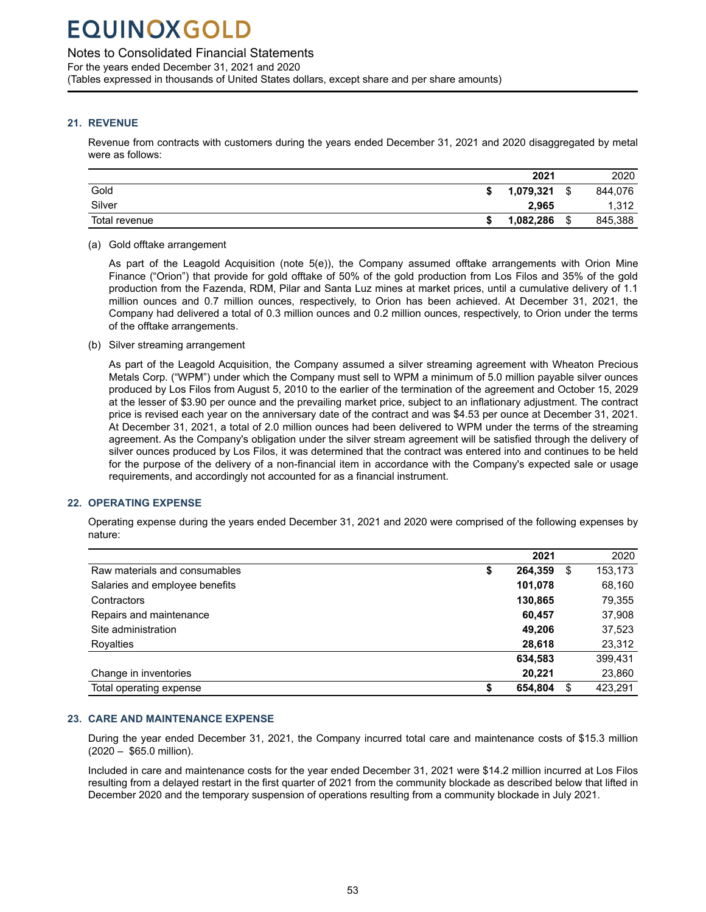### <span id="page-54-0"></span>Notes to Consolidated Financial Statements

For the years ended December 31, 2021 and 2020 (Tables expressed in thousands of United States dollars, except share and per share amounts)

### **21. REVENUE**

Revenue from contracts with customers during the years ended December 31, 2021 and 2020 disaggregated by metal were as follows:

|               | 2021      |   | 2020    |
|---------------|-----------|---|---------|
| Gold          | 1,079,321 | ¢ | 844.076 |
| Silver        | 2.965     |   | 1.312   |
| Total revenue | 1,082,286 | 關 | 845,388 |

### (a) Gold offtake arrangement

As part of the Leagold Acquisition (note 5(e)), the Company assumed offtake arrangements with Orion Mine Finance ("Orion") that provide for gold offtake of 50% of the gold production from Los Filos and 35% of the gold production from the Fazenda, RDM, Pilar and Santa Luz mines at market prices, until a cumulative delivery of 1.1 million ounces and 0.7 million ounces, respectively, to Orion has been achieved. At December 31, 2021, the Company had delivered a total of 0.3 million ounces and 0.2 million ounces, respectively, to Orion under the terms of the offtake arrangements.

(b) Silver streaming arrangement

As part of the Leagold Acquisition, the Company assumed a silver streaming agreement with Wheaton Precious Metals Corp. ("WPM") under which the Company must sell to WPM a minimum of 5.0 million payable silver ounces produced by Los Filos from August 5, 2010 to the earlier of the termination of the agreement and October 15, 2029 at the lesser of \$3.90 per ounce and the prevailing market price, subject to an inflationary adjustment. The contract price is revised each year on the anniversary date of the contract and was \$4.53 per ounce at December 31, 2021. At December 31, 2021, a total of 2.0 million ounces had been delivered to WPM under the terms of the streaming agreement. As the Company's obligation under the silver stream agreement will be satisfied through the delivery of silver ounces produced by Los Filos, it was determined that the contract was entered into and continues to be held for the purpose of the delivery of a non-financial item in accordance with the Company's expected sale or usage requirements, and accordingly not accounted for as a financial instrument.

### **22. OPERATING EXPENSE**

Operating expense during the years ended December 31, 2021 and 2020 were comprised of the following expenses by nature:

|                                |    | 2021    |   | 2020    |
|--------------------------------|----|---------|---|---------|
| Raw materials and consumables  | \$ | 264.359 | S | 153,173 |
| Salaries and employee benefits |    | 101,078 |   | 68,160  |
| Contractors                    |    | 130,865 |   | 79,355  |
| Repairs and maintenance        |    | 60.457  |   | 37,908  |
| Site administration            |    | 49.206  |   | 37,523  |
| Royalties                      |    | 28,618  |   | 23,312  |
|                                |    | 634,583 |   | 399,431 |
| Change in inventories          |    | 20.221  |   | 23,860  |
| Total operating expense        | S  | 654,804 | S | 423,291 |

### **23. CARE AND MAINTENANCE EXPENSE**

During the year ended December 31, 2021, the Company incurred total care and maintenance costs of \$15.3 million (2020 – \$65.0 million).

Included in care and maintenance costs for the year ended December 31, 2021 were \$14.2 million incurred at Los Filos resulting from a delayed restart in the first quarter of 2021 from the community blockade as described below that lifted in December 2020 and the temporary suspension of operations resulting from a community blockade in July 2021.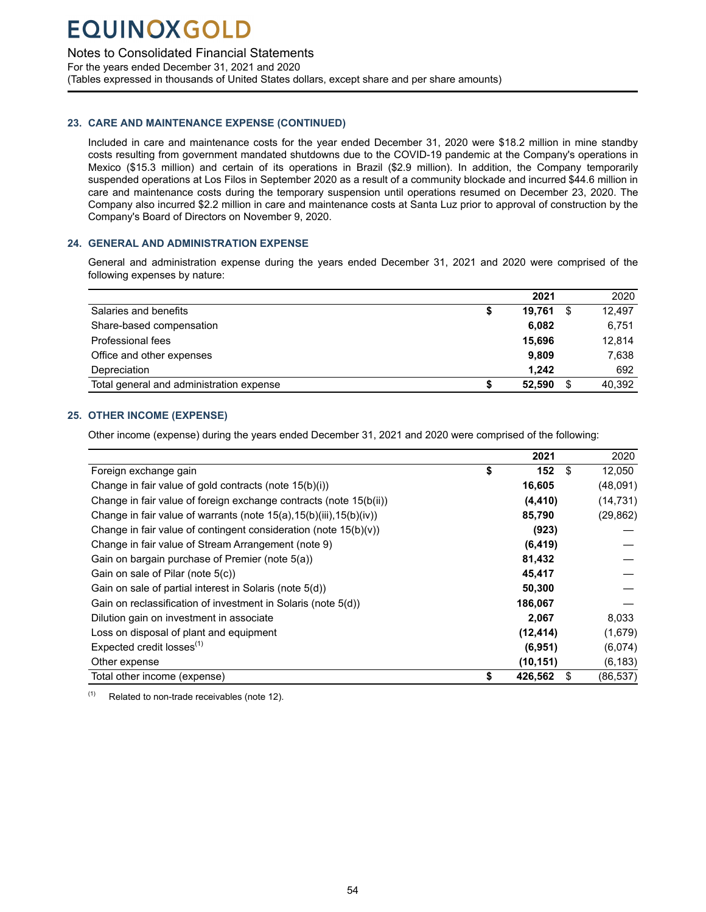<span id="page-55-0"></span>Notes to Consolidated Financial Statements

For the years ended December 31, 2021 and 2020 (Tables expressed in thousands of United States dollars, except share and per share amounts)

### **23. CARE AND MAINTENANCE EXPENSE (CONTINUED)**

Included in care and maintenance costs for the year ended December 31, 2020 were \$18.2 million in mine standby costs resulting from government mandated shutdowns due to the COVID-19 pandemic at the Company's operations in Mexico (\$15.3 million) and certain of its operations in Brazil (\$2.9 million). In addition, the Company temporarily suspended operations at Los Filos in September 2020 as a result of a community blockade and incurred \$44.6 million in care and maintenance costs during the temporary suspension until operations resumed on December 23, 2020. The Company also incurred \$2.2 million in care and maintenance costs at Santa Luz prior to approval of construction by the Company's Board of Directors on November 9, 2020.

### **24. GENERAL AND ADMINISTRATION EXPENSE**

General and administration expense during the years ended December 31, 2021 and 2020 were comprised of the following expenses by nature:

|                                          | 2021         | 2020   |
|------------------------------------------|--------------|--------|
| Salaries and benefits                    | \$<br>19.761 | 12,497 |
| Share-based compensation                 | 6.082        | 6,751  |
| Professional fees                        | 15.696       | 12,814 |
| Office and other expenses                | 9.809        | 7,638  |
| Depreciation                             | 1.242        | 692    |
| Total general and administration expense | 52.590       | 40.392 |

### **25. OTHER INCOME (EXPENSE)**

Other income (expense) during the years ended December 31, 2021 and 2020 were comprised of the following:

|                                                                               | 2021               | 2020      |
|-------------------------------------------------------------------------------|--------------------|-----------|
| Foreign exchange gain                                                         | \$<br>152<br>\$    | 12,050    |
| Change in fair value of gold contracts (note 15(b)(i))                        | 16,605             | (48,091)  |
| Change in fair value of foreign exchange contracts (note 15(b(ii))            | (4, 410)           | (14, 731) |
| Change in fair value of warrants (note $15(a)$ , $15(b)(iii)$ , $15(b)(iv)$ ) | 85,790             | (29, 862) |
| Change in fair value of contingent consideration (note $15(b)(v)$ )           | (923)              |           |
| Change in fair value of Stream Arrangement (note 9)                           | (6, 419)           |           |
| Gain on bargain purchase of Premier (note 5(a))                               | 81,432             |           |
| Gain on sale of Pilar (note 5(c))                                             | 45,417             |           |
| Gain on sale of partial interest in Solaris (note 5(d))                       | 50,300             |           |
| Gain on reclassification of investment in Solaris (note 5(d))                 | 186,067            |           |
| Dilution gain on investment in associate                                      | 2,067              | 8,033     |
| Loss on disposal of plant and equipment                                       | (12, 414)          | (1,679)   |
| Expected credit losses <sup>(1)</sup>                                         | (6,951)            | (6,074)   |
| Other expense                                                                 | (10, 151)          | (6, 183)  |
| Total other income (expense)                                                  | \$<br>S<br>426,562 | (86, 537) |

 $(1)$  Related to non-trade receivables (note 12).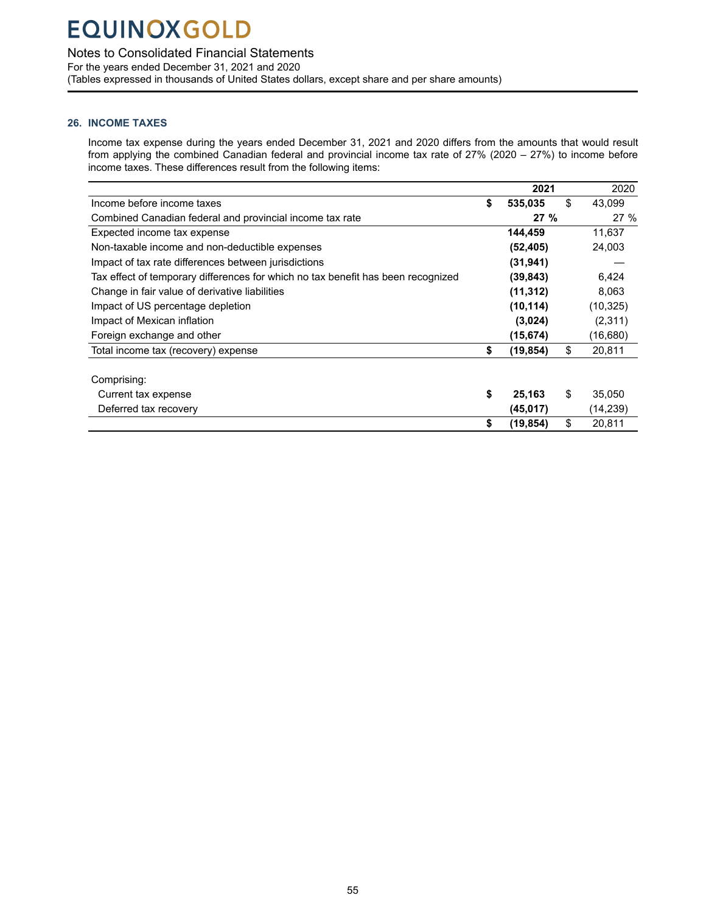### <span id="page-56-0"></span>Notes to Consolidated Financial Statements

For the years ended December 31, 2021 and 2020 (Tables expressed in thousands of United States dollars, except share and per share amounts)

### **26. INCOME TAXES**

Income tax expense during the years ended December 31, 2021 and 2020 differs from the amounts that would result from applying the combined Canadian federal and provincial income tax rate of 27% (2020 – 27%) to income before income taxes. These differences result from the following items:

|                                                                                  | 2021            | 2020         |
|----------------------------------------------------------------------------------|-----------------|--------------|
| Income before income taxes                                                       | \$<br>535,035   | \$<br>43,099 |
| Combined Canadian federal and provincial income tax rate                         | 27%             | 27%          |
| Expected income tax expense                                                      | 144.459         | 11,637       |
| Non-taxable income and non-deductible expenses                                   | (52, 405)       | 24,003       |
| Impact of tax rate differences between jurisdictions                             | (31, 941)       |              |
| Tax effect of temporary differences for which no tax benefit has been recognized | (39, 843)       | 6,424        |
| Change in fair value of derivative liabilities                                   | (11, 312)       | 8,063        |
| Impact of US percentage depletion                                                | (10, 114)       | (10, 325)    |
| Impact of Mexican inflation                                                      | (3,024)         | (2,311)      |
| Foreign exchange and other                                                       | (15, 674)       | (16,680)     |
| Total income tax (recovery) expense                                              | \$<br>(19, 854) | \$<br>20,811 |
|                                                                                  |                 |              |
| Comprising:                                                                      |                 |              |
| Current tax expense                                                              | \$<br>25,163    | \$<br>35,050 |
| Deferred tax recovery                                                            | (45,017)        | (14,239)     |
|                                                                                  | \$<br>(19, 854) | \$<br>20,811 |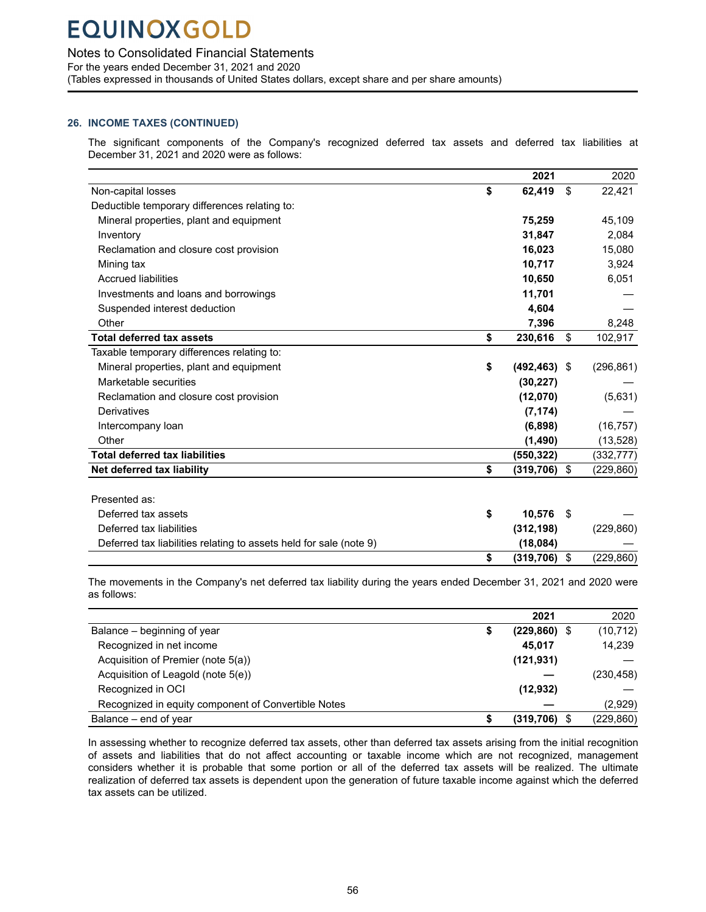### Notes to Consolidated Financial Statements

For the years ended December 31, 2021 and 2020

(Tables expressed in thousands of United States dollars, except share and per share amounts)

### **26. INCOME TAXES (CONTINUED)**

The significant components of the Company's recognized deferred tax assets and deferred tax liabilities at December 31, 2021 and 2020 were as follows:

|                                                                    | 2021                  |      | 2020       |
|--------------------------------------------------------------------|-----------------------|------|------------|
| Non-capital losses                                                 | \$<br>62,419          | \$   | 22,421     |
| Deductible temporary differences relating to:                      |                       |      |            |
| Mineral properties, plant and equipment                            | 75,259                |      | 45,109     |
| Inventory                                                          | 31,847                |      | 2,084      |
| Reclamation and closure cost provision                             | 16,023                |      | 15,080     |
| Mining tax                                                         | 10,717                |      | 3,924      |
| <b>Accrued liabilities</b>                                         | 10,650                |      | 6,051      |
| Investments and loans and borrowings                               | 11,701                |      |            |
| Suspended interest deduction                                       | 4,604                 |      |            |
| Other                                                              | 7,396                 |      | 8,248      |
| <b>Total deferred tax assets</b>                                   | \$<br>230,616         | \$   | 102,917    |
| Taxable temporary differences relating to:                         |                       |      |            |
| Mineral properties, plant and equipment                            | \$<br>$(492, 463)$ \$ |      | (296, 861) |
| Marketable securities                                              | (30, 227)             |      |            |
| Reclamation and closure cost provision                             | (12,070)              |      | (5,631)    |
| Derivatives                                                        | (7, 174)              |      |            |
| Intercompany loan                                                  | (6,898)               |      | (16, 757)  |
| Other                                                              | (1,490)               |      | (13, 528)  |
| <b>Total deferred tax liabilities</b>                              | (550, 322)            |      | (332,777)  |
| Net deferred tax liability                                         | \$<br>(319, 706)      | \$   | (229, 860) |
|                                                                    |                       |      |            |
| Presented as:                                                      |                       |      |            |
| Deferred tax assets                                                | \$<br>10,576          | - \$ |            |
| Deferred tax liabilities                                           | (312, 198)            |      | (229, 860) |
| Deferred tax liabilities relating to assets held for sale (note 9) | (18,084)              |      |            |
|                                                                    | \$<br>(319, 706)      | \$   | (229.860)  |

The movements in the Company's net deferred tax liability during the years ended December 31, 2021 and 2020 were as follows:

|                                                     | 2021                  | 2020       |
|-----------------------------------------------------|-----------------------|------------|
| Balance – beginning of year                         | \$<br>$(229, 860)$ \$ | (10, 712)  |
| Recognized in net income                            | 45.017                | 14,239     |
| Acquisition of Premier (note 5(a))                  | (121, 931)            |            |
| Acquisition of Leagold (note 5(e))                  |                       | (230, 458) |
| Recognized in OCI                                   | (12, 932)             |            |
| Recognized in equity component of Convertible Notes |                       | (2,929)    |
| Balance – end of year                               | $(319,706)$ \$        | (229, 860) |

In assessing whether to recognize deferred tax assets, other than deferred tax assets arising from the initial recognition of assets and liabilities that do not affect accounting or taxable income which are not recognized, management considers whether it is probable that some portion or all of the deferred tax assets will be realized. The ultimate realization of deferred tax assets is dependent upon the generation of future taxable income against which the deferred tax assets can be utilized.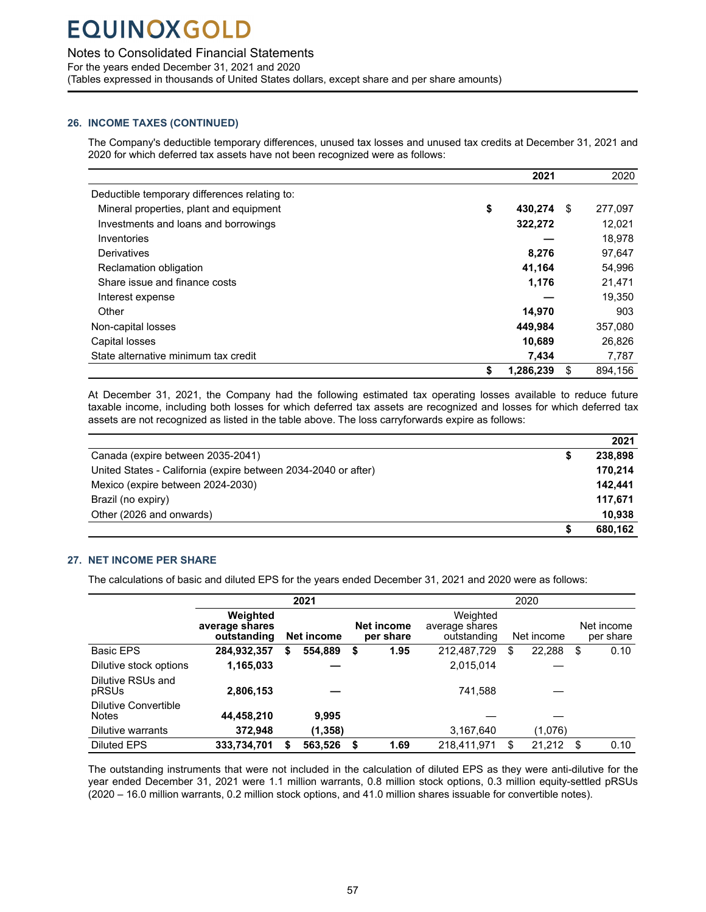### <span id="page-58-0"></span>Notes to Consolidated Financial Statements

For the years ended December 31, 2021 and 2020

(Tables expressed in thousands of United States dollars, except share and per share amounts)

### **26. INCOME TAXES (CONTINUED)**

The Company's deductible temporary differences, unused tax losses and unused tax credits at December 31, 2021 and 2020 for which deferred tax assets have not been recognized were as follows:

|                                               |                 | 2021  |     | 2020    |
|-----------------------------------------------|-----------------|-------|-----|---------|
| Deductible temporary differences relating to: |                 |       |     |         |
| Mineral properties, plant and equipment       | \$<br>430.274   |       | \$. | 277,097 |
| Investments and loans and borrowings          | 322,272         |       |     | 12,021  |
| Inventories                                   |                 |       |     | 18,978  |
| Derivatives                                   |                 | 8,276 |     | 97,647  |
| Reclamation obligation                        | 41,164          |       |     | 54,996  |
| Share issue and finance costs                 |                 | 1,176 |     | 21,471  |
| Interest expense                              |                 |       |     | 19,350  |
| Other                                         | 14,970          |       |     | 903     |
| Non-capital losses                            | 449.984         |       |     | 357,080 |
| Capital losses                                | 10,689          |       |     | 26,826  |
| State alternative minimum tax credit          |                 | 7,434 |     | 7,787   |
|                                               | \$<br>1,286,239 |       | \$  | 894,156 |

At December 31, 2021, the Company had the following estimated tax operating losses available to reduce future taxable income, including both losses for which deferred tax assets are recognized and losses for which deferred tax assets are not recognized as listed in the table above. The loss carryforwards expire as follows:

|                                                                | 2021    |
|----------------------------------------------------------------|---------|
| Canada (expire between 2035-2041)                              | 238.898 |
| United States - California (expire between 2034-2040 or after) | 170.214 |
| Mexico (expire between 2024-2030)                              | 142.441 |
| Brazil (no expiry)                                             | 117.671 |
| Other (2026 and onwards)                                       | 10.938  |
|                                                                | 680.162 |

### **27. NET INCOME PER SHARE**

The calculations of basic and diluted EPS for the years ended December 31, 2021 and 2020 were as follows:

|                                             |                                           |    | 2021       |                         | 2020                                      |    |            |      |                         |  |  |
|---------------------------------------------|-------------------------------------------|----|------------|-------------------------|-------------------------------------------|----|------------|------|-------------------------|--|--|
|                                             | Weighted<br>average shares<br>outstanding |    | Net income | Net income<br>per share | Weighted<br>average shares<br>outstanding |    | Net income |      | Net income<br>per share |  |  |
| <b>Basic EPS</b>                            | 284,932,357                               | S. | 554,889    | \$<br>1.95              | 212,487,729                               | \$ | 22,288     | \$   | 0.10                    |  |  |
| Dilutive stock options                      | 1,165,033                                 |    |            |                         | 2,015,014                                 |    |            |      |                         |  |  |
| Dilutive RSUs and<br>pRSUs                  | 2,806,153                                 |    |            |                         | 741,588                                   |    |            |      |                         |  |  |
| <b>Dilutive Convertible</b><br><b>Notes</b> | 44,458,210                                |    | 9.995      |                         |                                           |    |            |      |                         |  |  |
| Dilutive warrants                           | 372,948                                   |    | (1,358)    |                         | 3,167,640                                 |    | (1,076)    |      |                         |  |  |
| <b>Diluted EPS</b>                          | 333,734,701                               |    | 563,526    | \$<br>1.69              | 218.411.971                               | S  | 21,212     | - \$ | 0.10                    |  |  |

The outstanding instruments that were not included in the calculation of diluted EPS as they were anti-dilutive for the year ended December 31, 2021 were 1.1 million warrants, 0.8 million stock options, 0.3 million equity-settled pRSUs (2020 – 16.0 million warrants, 0.2 million stock options, and 41.0 million shares issuable for convertible notes).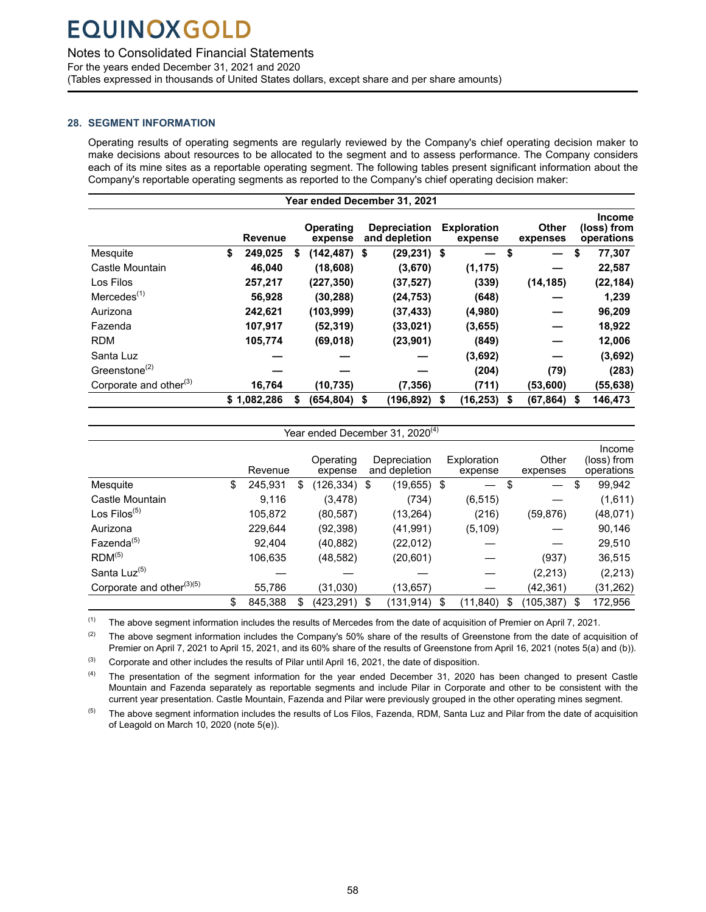### <span id="page-59-0"></span>Notes to Consolidated Financial Statements

For the years ended December 31, 2021 and 2020

(Tables expressed in thousands of United States dollars, except share and per share amounts)

### **28. SEGMENT INFORMATION**

Operating results of operating segments are regularly reviewed by the Company's chief operating decision maker to make decisions about resources to be allocated to the segment and to assess performance. The Company considers each of its mine sites as a reportable operating segment. The following tables present significant information about the Company's reportable operating segments as reported to the Company's chief operating decision maker:

| Year ended December 31, 2021           |    |             |   |                             |    |                                      |    |                               |    |                          |      |                                            |
|----------------------------------------|----|-------------|---|-----------------------------|----|--------------------------------------|----|-------------------------------|----|--------------------------|------|--------------------------------------------|
|                                        |    | Revenue     |   | <b>Operating</b><br>expense |    | <b>Depreciation</b><br>and depletion |    | <b>Exploration</b><br>expense |    | <b>Other</b><br>expenses |      | <b>Income</b><br>(loss) from<br>operations |
| Mesquite                               | \$ | 249,025     | S | $(142, 487)$ \$             |    | $(29, 231)$ \$                       |    | —                             | S  |                          | \$   | 77,307                                     |
| Castle Mountain                        |    | 46,040      |   | (18,608)                    |    | (3,670)                              |    | (1, 175)                      |    |                          |      | 22,587                                     |
| Los Filos                              |    | 257,217     |   | (227, 350)                  |    | (37, 527)                            |    | (339)                         |    | (14, 185)                |      | (22, 184)                                  |
| $M$ ercedes $(1)$                      |    | 56,928      |   | (30, 288)                   |    | (24, 753)                            |    | (648)                         |    |                          |      | 1,239                                      |
| Aurizona                               |    | 242,621     |   | (103,999)                   |    | (37, 433)                            |    | (4,980)                       |    |                          |      | 96,209                                     |
| Fazenda                                |    | 107,917     |   | (52, 319)                   |    | (33, 021)                            |    | (3,655)                       |    |                          |      | 18,922                                     |
| <b>RDM</b>                             |    | 105,774     |   | (69,018)                    |    | (23, 901)                            |    | (849)                         |    |                          |      | 12,006                                     |
| Santa Luz                              |    |             |   |                             |    |                                      |    | (3,692)                       |    |                          |      | (3,692)                                    |
| Greenstone <sup><math>(2)</math></sup> |    |             |   |                             |    |                                      |    | (204)                         |    | (79)                     |      | (283)                                      |
| Corporate and other <sup>(3)</sup>     |    | 16,764      |   | (10, 735)                   |    | (7, 356)                             |    | (711)                         |    | (53,600)                 |      | (55,638)                                   |
|                                        |    | \$1,082,286 | S | (654, 804)                  | \$ | (196, 892)                           | \$ | (16, 253)                     | \$ | (67,864)                 | - \$ | 146,473                                    |

|                                       | Year ended December 31, 2020 <sup>(4)</sup> |         |    |                      |    |                               |    |                        |    |                   |   |                                     |  |
|---------------------------------------|---------------------------------------------|---------|----|----------------------|----|-------------------------------|----|------------------------|----|-------------------|---|-------------------------------------|--|
|                                       |                                             | Revenue |    | Operating<br>expense |    | Depreciation<br>and depletion |    | Exploration<br>expense |    | Other<br>expenses |   | Income<br>(loss) from<br>operations |  |
| Mesquite                              | \$                                          | 245,931 | \$ | (126,334) \$         |    | (19,655) \$                   |    |                        | \$ |                   | S | 99,942                              |  |
| Castle Mountain                       |                                             | 9,116   |    | (3,478)              |    | (734)                         |    | (6, 515)               |    |                   |   | (1,611)                             |  |
| Los Filos $(5)$                       |                                             | 105,872 |    | (80, 587)            |    | (13, 264)                     |    | (216)                  |    | (59, 876)         |   | (48,071)                            |  |
| Aurizona                              |                                             | 229,644 |    | (92,398)             |    | (41, 991)                     |    | (5, 109)               |    |                   |   | 90,146                              |  |
| Fazenda <sup>(5)</sup>                |                                             | 92.404  |    | (40, 882)            |    | (22,012)                      |    |                        |    |                   |   | 29,510                              |  |
| RDM <sup>(5)</sup>                    |                                             | 106,635 |    | (48,582)             |    | (20, 601)                     |    |                        |    | (937)             |   | 36,515                              |  |
| Santa Luz <sup>(5)</sup>              |                                             |         |    |                      |    |                               |    |                        |    | (2,213)           |   | (2, 213)                            |  |
| Corporate and other <sup>(3)(5)</sup> |                                             | 55,786  |    | (31,030)             |    | (13, 657)                     |    |                        |    | (42,361)          |   | (31, 262)                           |  |
|                                       | \$                                          | 845,388 |    | (423, 291)           | \$ | (131, 914)                    | \$ | (11, 840)              | S  | (105,387) \$      |   | 172,956                             |  |

 $(1)$  The above segment information includes the results of Mercedes from the date of acquisition of Premier on April 7, 2021.

(2) The above segment information includes the Company's 50% share of the results of Greenstone from the date of acquisition of Premier on April 7, 2021 to April 15, 2021, and its 60% share of the results of Greenstone from April 16, 2021 (notes 5(a) and (b)).

 $^{(3)}$  Corporate and other includes the results of Pilar until April 16, 2021, the date of disposition.

(4) The presentation of the segment information for the year ended December 31, 2020 has been changed to present Castle Mountain and Fazenda separately as reportable segments and include Pilar in Corporate and other to be consistent with the current year presentation. Castle Mountain, Fazenda and Pilar were previously grouped in the other operating mines segment.

 $(5)$  The above segment information includes the results of Los Filos, Fazenda, RDM, Santa Luz and Pilar from the date of acquisition of Leagold on March 10, 2020 (note 5(e)).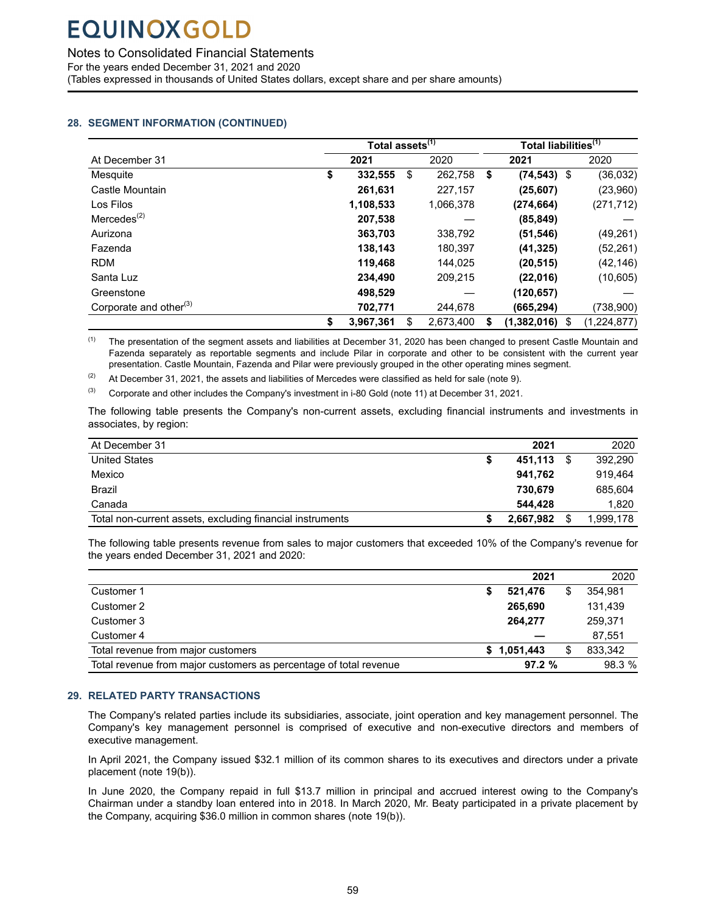<span id="page-60-0"></span>Notes to Consolidated Financial Statements

For the years ended December 31, 2021 and 2020

(Tables expressed in thousands of United States dollars, except share and per share amounts)

### **28. SEGMENT INFORMATION (CONTINUED)**

|                                         | Total assets <sup>(1)</sup> |                 | Total liabilities <sup>(1)</sup> |                |                   |  |  |
|-----------------------------------------|-----------------------------|-----------------|----------------------------------|----------------|-------------------|--|--|
| At December 31                          | 2021                        | 2020            |                                  | 2021           | 2020              |  |  |
| Mesquite                                | \$<br>332,555               | \$<br>262,758   | \$                               | $(74, 543)$ \$ | (36, 032)         |  |  |
| Castle Mountain                         | 261,631                     | 227,157         |                                  | (25, 607)      | (23,960)          |  |  |
| Los Filos                               | 1,108,533                   | 1,066,378       |                                  | (274, 664)     | (271, 712)        |  |  |
| $M$ ercedes <sup><math>(2)</math></sup> | 207,538                     |                 |                                  | (85, 849)      |                   |  |  |
| Aurizona                                | 363,703                     | 338,792         |                                  | (51, 546)      | (49, 261)         |  |  |
| Fazenda                                 | 138,143                     | 180,397         |                                  | (41, 325)      | (52, 261)         |  |  |
| <b>RDM</b>                              | 119,468                     | 144.025         |                                  | (20, 515)      | (42, 146)         |  |  |
| Santa Luz                               | 234.490                     | 209,215         |                                  | (22,016)       | (10,605)          |  |  |
| Greenstone                              | 498.529                     |                 |                                  | (120, 657)     |                   |  |  |
| Corporate and other <sup>(3)</sup>      | 702,771                     | 244,678         |                                  | (665,294)      | (738,900)         |  |  |
|                                         | \$<br>3.967.361             | \$<br>2.673.400 | S                                | (1,382,016)    | (1,224,877)<br>\$ |  |  |

<sup>(1)</sup> The presentation of the segment assets and liabilities at December 31, 2020 has been changed to present Castle Mountain and Fazenda separately as reportable segments and include Pilar in corporate and other to be consistent with the current year presentation. Castle Mountain, Fazenda and Pilar were previously grouped in the other operating mines segment.

(2) At December 31, 2021, the assets and liabilities of Mercedes were classified as held for sale (note 9).

 $^{(3)}$  Corporate and other includes the Company's investment in i-80 Gold (note 11) at December 31, 2021.

The following table presents the Company's non-current assets, excluding financial instruments and investments in associates, by region:

| At December 31                                            |   | 2021      | 2020      |
|-----------------------------------------------------------|---|-----------|-----------|
| <b>United States</b>                                      | 5 | 451.113   | 392,290   |
| Mexico                                                    |   | 941.762   | 919.464   |
| Brazil                                                    |   | 730.679   | 685,604   |
| Canada                                                    |   | 544.428   | 1.820     |
| Total non-current assets, excluding financial instruments |   | 2,667,982 | 1,999,178 |

The following table presents revenue from sales to major customers that exceeded 10% of the Company's revenue for the years ended December 31, 2021 and 2020:

|                                                                   |   | 2021        | 2020    |
|-------------------------------------------------------------------|---|-------------|---------|
| Customer 1                                                        | S | 521.476     | 354.981 |
| Customer 2                                                        |   | 265,690     | 131.439 |
| Customer 3                                                        |   | 264.277     | 259.371 |
| Customer 4                                                        |   |             | 87.551  |
| Total revenue from major customers                                |   | \$1.051.443 | 833,342 |
| Total revenue from major customers as percentage of total revenue |   | 97.2%       | 98.3 %  |

### **29. RELATED PARTY TRANSACTIONS**

The Company's related parties include its subsidiaries, associate, joint operation and key management personnel. The Company's key management personnel is comprised of executive and non-executive directors and members of executive management.

In April 2021, the Company issued \$32.1 million of its common shares to its executives and directors under a private placement (note 19(b)).

In June 2020, the Company repaid in full \$13.7 million in principal and accrued interest owing to the Company's Chairman under a standby loan entered into in 2018. In March 2020, Mr. Beaty participated in a private placement by the Company, acquiring \$36.0 million in common shares (note 19(b)).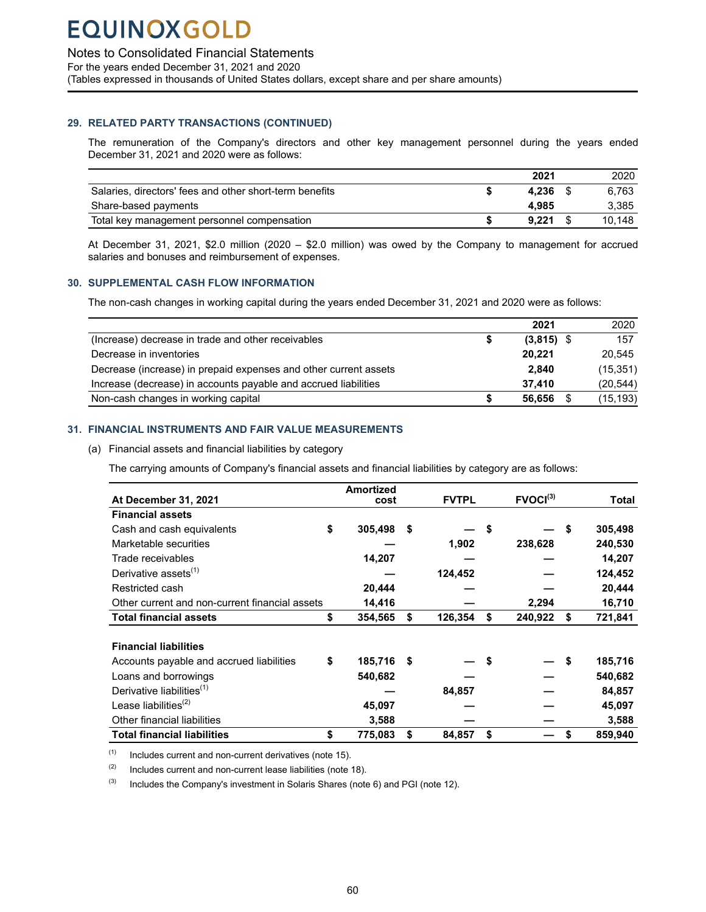<span id="page-61-0"></span>Notes to Consolidated Financial Statements

For the years ended December 31, 2021 and 2020

(Tables expressed in thousands of United States dollars, except share and per share amounts)

### **29. RELATED PARTY TRANSACTIONS (CONTINUED)**

The remuneration of the Company's directors and other key management personnel during the years ended December 31, 2021 and 2020 were as follows:

|                                                         | 2021  | 2020   |
|---------------------------------------------------------|-------|--------|
| Salaries, directors' fees and other short-term benefits | 4.236 | 6.763  |
| Share-based payments                                    | 4.985 | 3.385  |
| Total key management personnel compensation             | 9.221 | 10.148 |

At December 31, 2021, \$2.0 million (2020 – \$2.0 million) was owed by the Company to management for accrued salaries and bonuses and reimbursement of expenses.

### **30. SUPPLEMENTAL CASH FLOW INFORMATION**

The non-cash changes in working capital during the years ended December 31, 2021 and 2020 were as follows:

|                                                                  | 2021               | 2020      |
|------------------------------------------------------------------|--------------------|-----------|
| (Increase) decrease in trade and other receivables               | \$<br>$(3,815)$ \$ | 157       |
| Decrease in inventories                                          | 20.221             | 20.545    |
| Decrease (increase) in prepaid expenses and other current assets | 2.840              | (15, 351) |
| Increase (decrease) in accounts payable and accrued liabilities  | 37.410             | (20, 544) |
| Non-cash changes in working capital                              | 56.656             | (15, 193) |

### **31. FINANCIAL INSTRUMENTS AND FAIR VALUE MEASUREMENTS**

### (a) Financial assets and financial liabilities by category

The carrying amounts of Company's financial assets and financial liabilities by category are as follows:

|                                                | <b>Amortized</b> |      |              |                      |    |              |
|------------------------------------------------|------------------|------|--------------|----------------------|----|--------------|
| At December 31, 2021                           | cost             |      | <b>FVTPL</b> | FVOCI <sup>(3)</sup> |    | <b>Total</b> |
| <b>Financial assets</b>                        |                  |      |              |                      |    |              |
| Cash and cash equivalents                      | \$<br>305,498    | \$   |              | \$                   | \$ | 305,498      |
| Marketable securities                          |                  |      | 1,902        | 238,628              |    | 240,530      |
| Trade receivables                              | 14,207           |      |              |                      |    | 14,207       |
| Derivative assets <sup>(1)</sup>               |                  |      | 124,452      |                      |    | 124,452      |
| Restricted cash                                | 20,444           |      |              |                      |    | 20,444       |
| Other current and non-current financial assets | 14,416           |      |              | 2,294                |    | 16,710       |
| <b>Total financial assets</b>                  | \$<br>354,565    | \$   | 126,354      | \$<br>240,922        | S  | 721,841      |
|                                                |                  |      |              |                      |    |              |
| <b>Financial liabilities</b>                   |                  |      |              |                      |    |              |
| Accounts payable and accrued liabilities       | \$<br>185,716    | - \$ |              |                      | Ŝ. | 185,716      |
| Loans and borrowings                           | 540,682          |      |              |                      |    | 540,682      |
| Derivative liabilities <sup>(1)</sup>          |                  |      | 84,857       |                      |    | 84,857       |
| Lease liabilities $^{(2)}$                     | 45,097           |      |              |                      |    | 45,097       |
| Other financial liabilities                    | 3,588            |      |              |                      |    | 3,588        |
| <b>Total financial liabilities</b>             | \$<br>775,083    | \$   | 84,857       | \$                   |    | 859,940      |

 $(1)$  Includes current and non-current derivatives (note 15).

 $(2)$  Includes current and non-current lease liabilities (note 18).

 $(3)$  Includes the Company's investment in Solaris Shares (note 6) and PGI (note 12).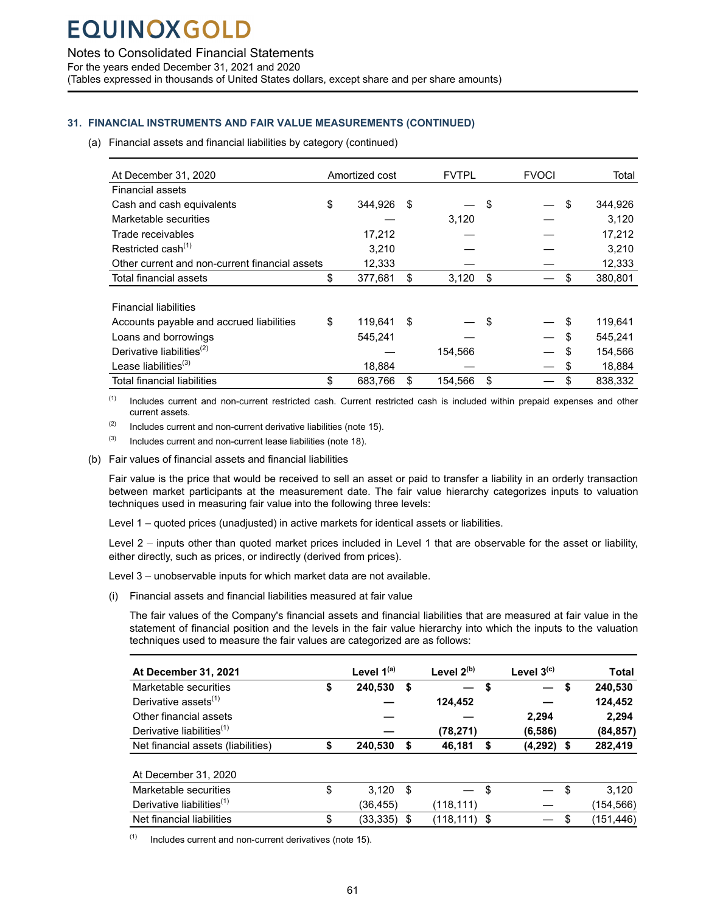Notes to Consolidated Financial Statements

For the years ended December 31, 2021 and 2020

(Tables expressed in thousands of United States dollars, except share and per share amounts)

### **31. FINANCIAL INSTRUMENTS AND FAIR VALUE MEASUREMENTS (CONTINUED)**

(a) Financial assets and financial liabilities by category (continued)

| At December 31, 2020                           | Amortized cost | <b>FVTPL</b>  |    | <b>FVOCI</b> |    | Total   |
|------------------------------------------------|----------------|---------------|----|--------------|----|---------|
| Financial assets                               |                |               |    |              |    |         |
| Cash and cash equivalents                      | \$<br>344,926  | \$            | S  |              | \$ | 344,926 |
| Marketable securities                          |                | 3,120         |    |              |    | 3,120   |
| Trade receivables                              | 17,212         |               |    |              |    | 17,212  |
| Restricted cash <sup>(1)</sup>                 | 3.210          |               |    |              |    | 3,210   |
| Other current and non-current financial assets | 12,333         |               |    |              |    | 12,333  |
| Total financial assets                         | \$<br>377,681  | \$<br>3,120   | \$ |              |    | 380,801 |
|                                                |                |               |    |              |    |         |
| <b>Financial liabilities</b>                   |                |               |    |              |    |         |
| Accounts payable and accrued liabilities       | \$<br>119,641  | \$            | S  |              | S  | 119,641 |
| Loans and borrowings                           | 545.241        |               |    |              |    | 545,241 |
| Derivative liabilities <sup>(2)</sup>          |                | 154.566       |    |              |    | 154,566 |
| Lease liabilities $(3)$                        | 18,884         |               |    |              | \$ | 18,884  |
| Total financial liabilities                    | \$<br>683,766  | \$<br>154,566 | \$ |              | \$ | 838.332 |

(1) Includes current and non-current restricted cash. Current restricted cash is included within prepaid expenses and other current assets.

 $(2)$  Includes current and non-current derivative liabilities (note 15).

 $(3)$  Includes current and non-current lease liabilities (note 18).

(b) Fair values of financial assets and financial liabilities

Fair value is the price that would be received to sell an asset or paid to transfer a liability in an orderly transaction between market participants at the measurement date. The fair value hierarchy categorizes inputs to valuation techniques used in measuring fair value into the following three levels:

Level 1 – quoted prices (unadjusted) in active markets for identical assets or liabilities.

Level 2 – inputs other than quoted market prices included in Level 1 that are observable for the asset or liability, either directly, such as prices, or indirectly (derived from prices).

Level 3 – unobservable inputs for which market data are not available.

(i) Financial assets and financial liabilities measured at fair value

The fair values of the Company's financial assets and financial liabilities that are measured at fair value in the statement of financial position and the levels in the fair value hierarchy into which the inputs to the valuation techniques used to measure the fair values are categorized are as follows:

| <b>At December 31, 2021</b>           | Level $1^{(a)}$ |     | Level $2^{(b)}$ |      | Level $3^{(c)}$          |    | Total      |
|---------------------------------------|-----------------|-----|-----------------|------|--------------------------|----|------------|
| Marketable securities                 | \$<br>240,530   | S   |                 | - \$ | $\overline{\phantom{0}}$ | \$ | 240,530    |
| Derivative assets <sup>(1)</sup>      |                 |     | 124,452         |      |                          |    | 124,452    |
| Other financial assets                |                 |     |                 |      | 2,294                    |    | 2,294      |
| Derivative liabilities <sup>(1)</sup> |                 |     | (78, 271)       |      | (6, 586)                 |    | (84, 857)  |
| Net financial assets (liabilities)    | 240,530         | S   | 46,181          | S    | $(4,292)$ \$             |    | 282,419    |
| At December 31, 2020                  |                 |     |                 |      |                          |    |            |
| Marketable securities                 | \$<br>3.120     | \$. |                 | \$   |                          | S. | 3.120      |
| Derivative liabilities <sup>(1)</sup> | (36,455)        |     | (118,111)       |      |                          |    | (154,566)  |
| Net financial liabilities             | \$<br>(33, 335) | \$. | $(118, 111)$ \$ |      |                          | \$ | (151, 446) |

 $(1)$  Includes current and non-current derivatives (note 15).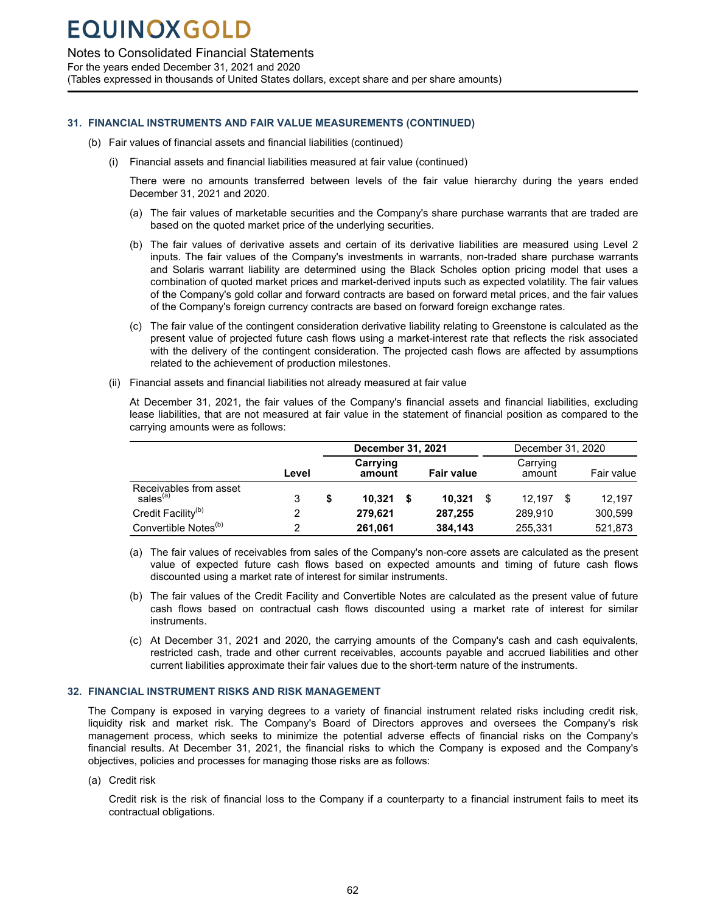<span id="page-63-0"></span>Notes to Consolidated Financial Statements

For the years ended December 31, 2021 and 2020

(Tables expressed in thousands of United States dollars, except share and per share amounts)

### **31. FINANCIAL INSTRUMENTS AND FAIR VALUE MEASUREMENTS (CONTINUED)**

- (b) Fair values of financial assets and financial liabilities (continued)
	- (i) Financial assets and financial liabilities measured at fair value (continued)

There were no amounts transferred between levels of the fair value hierarchy during the years ended December 31, 2021 and 2020.

- (a) The fair values of marketable securities and the Company's share purchase warrants that are traded are based on the quoted market price of the underlying securities.
- (b) The fair values of derivative assets and certain of its derivative liabilities are measured using Level 2 inputs. The fair values of the Company's investments in warrants, non-traded share purchase warrants and Solaris warrant liability are determined using the Black Scholes option pricing model that uses a combination of quoted market prices and market-derived inputs such as expected volatility. The fair values of the Company's gold collar and forward contracts are based on forward metal prices, and the fair values of the Company's foreign currency contracts are based on forward foreign exchange rates.
- (c) The fair value of the contingent consideration derivative liability relating to Greenstone is calculated as the present value of projected future cash flows using a market-interest rate that reflects the risk associated with the delivery of the contingent consideration. The projected cash flows are affected by assumptions related to the achievement of production milestones.
- (ii) Financial assets and financial liabilities not already measured at fair value

At December 31, 2021, the fair values of the Company's financial assets and financial liabilities, excluding lease liabilities, that are not measured at fair value in the statement of financial position as compared to the carrying amounts were as follows:

|                                                |       | December 31, 2021  |  |                   | December 31, 2020 |                    |  |            |
|------------------------------------------------|-------|--------------------|--|-------------------|-------------------|--------------------|--|------------|
|                                                | Level | Carrying<br>amount |  | <b>Fair value</b> |                   | Carrying<br>amount |  | Fair value |
| Receivables from asset<br>sales <sup>(a)</sup> | 3     | 10.321             |  | 10.321            | S                 | 12.197<br>S        |  | 12.197     |
| Credit Facility <sup>(b)</sup>                 | 2     | 279.621            |  | 287,255           |                   | 289,910            |  | 300,599    |
| Convertible Notes <sup>(b)</sup>               | 2     | 261.061            |  | 384.143           |                   | 255,331            |  | 521,873    |

- (a) The fair values of receivables from sales of the Company's non-core assets are calculated as the present value of expected future cash flows based on expected amounts and timing of future cash flows discounted using a market rate of interest for similar instruments.
- (b) The fair values of the Credit Facility and Convertible Notes are calculated as the present value of future cash flows based on contractual cash flows discounted using a market rate of interest for similar instruments.
- (c) At December 31, 2021 and 2020, the carrying amounts of the Company's cash and cash equivalents, restricted cash, trade and other current receivables, accounts payable and accrued liabilities and other current liabilities approximate their fair values due to the short-term nature of the instruments.

### **32. FINANCIAL INSTRUMENT RISKS AND RISK MANAGEMENT**

The Company is exposed in varying degrees to a variety of financial instrument related risks including credit risk, liquidity risk and market risk. The Company's Board of Directors approves and oversees the Company's risk management process, which seeks to minimize the potential adverse effects of financial risks on the Company's financial results. At December 31, 2021, the financial risks to which the Company is exposed and the Company's objectives, policies and processes for managing those risks are as follows:

(a) Credit risk

Credit risk is the risk of financial loss to the Company if a counterparty to a financial instrument fails to meet its contractual obligations.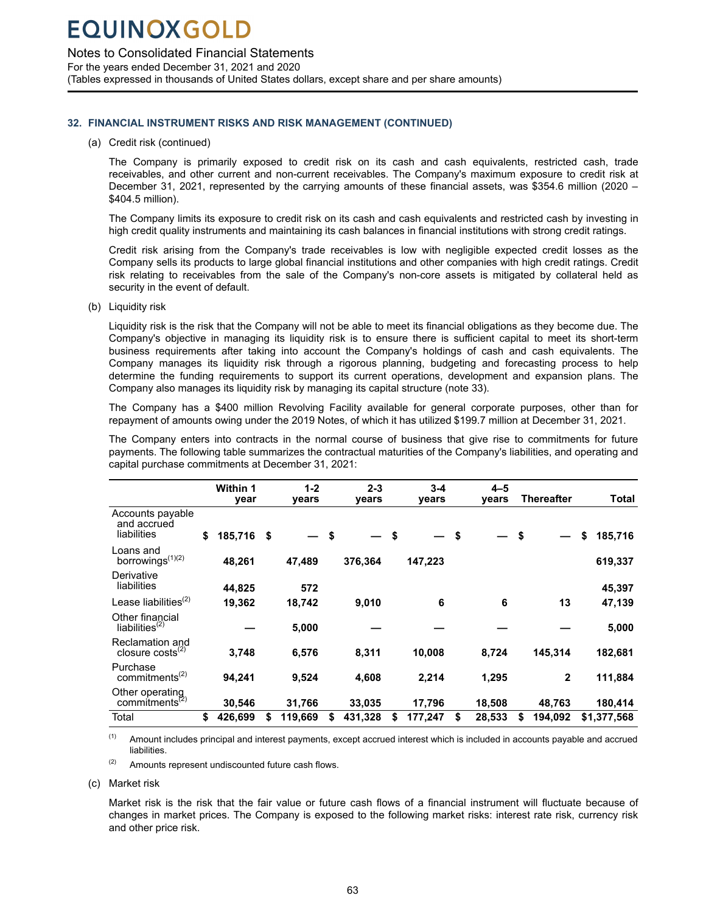Notes to Consolidated Financial Statements

For the years ended December 31, 2021 and 2020 (Tables expressed in thousands of United States dollars, except share and per share amounts)

### **32. FINANCIAL INSTRUMENT RISKS AND RISK MANAGEMENT (CONTINUED)**

#### (a) Credit risk (continued)

The Company is primarily exposed to credit risk on its cash and cash equivalents, restricted cash, trade receivables, and other current and non-current receivables. The Company's maximum exposure to credit risk at December 31, 2021, represented by the carrying amounts of these financial assets, was \$354.6 million (2020 – \$404.5 million).

The Company limits its exposure to credit risk on its cash and cash equivalents and restricted cash by investing in high credit quality instruments and maintaining its cash balances in financial institutions with strong credit ratings.

Credit risk arising from the Company's trade receivables is low with negligible expected credit losses as the Company sells its products to large global financial institutions and other companies with high credit ratings. Credit risk relating to receivables from the sale of the Company's non-core assets is mitigated by collateral held as security in the event of default.

(b) Liquidity risk

Liquidity risk is the risk that the Company will not be able to meet its financial obligations as they become due. The Company's objective in managing its liquidity risk is to ensure there is sufficient capital to meet its short-term business requirements after taking into account the Company's holdings of cash and cash equivalents. The Company manages its liquidity risk through a rigorous planning, budgeting and forecasting process to help determine the funding requirements to support its current operations, development and expansion plans. The Company also manages its liquidity risk by managing its capital structure (note 33).

The Company has a \$400 million Revolving Facility available for general corporate purposes, other than for repayment of amounts owing under the 2019 Notes, of which it has utilized \$199.7 million at December 31, 2021.

The Company enters into contracts in the normal course of business that give rise to commitments for future payments. The following table summarizes the contractual maturities of the Company's liabilities, and operating and capital purchase commitments at December 31, 2021:

|                                                | <b>Within 1</b><br>year |            | $1 - 2$<br>years | $2 - 3$<br>years | $3 - 4$<br>years | $4 - 5$<br>years |      | Thereafter   | Total         |
|------------------------------------------------|-------------------------|------------|------------------|------------------|------------------|------------------|------|--------------|---------------|
| Accounts payable<br>and accrued<br>liabilities | \$<br>185,716           | $\sqrt{5}$ |                  | \$               | \$               | \$               | - \$ |              | \$<br>185,716 |
| Loans and<br>borrowings <sup>(1)(2)</sup>      | 48,261                  |            | 47.489           | 376,364          | 147,223          |                  |      |              | 619,337       |
| Derivative<br>liabilities                      | 44,825                  |            | 572              |                  |                  |                  |      |              | 45,397        |
| Lease liabilities $(2)$                        | 19,362                  |            | 18,742           | 9,010            | 6                | 6                |      | 13           | 47,139        |
| Other financial<br>liabilities $^{(2)}$        |                         |            | 5,000            |                  |                  |                  |      |              | 5,000         |
| Reclamation and<br>closure $costs^{(2)}$       | 3,748                   |            | 6,576            | 8,311            | 10,008           | 8,724            |      | 145,314      | 182,681       |
| Purchase<br>commitments <sup>(2)</sup>         | 94,241                  |            | 9,524            | 4,608            | 2,214            | 1,295            |      | $\mathbf{2}$ | 111,884       |
| Other operating<br>commitments <sup>(2)</sup>  | 30,546                  |            | 31,766           | 33,035           | 17,796           | 18,508           |      | 48.763       | 180,414       |
| Total                                          | \$<br>426,699           | \$         | 119,669          | \$<br>431,328    | \$<br>177,247    | \$<br>28,533     | \$   | 194,092      | \$1,377,568   |

(1) Amount includes principal and interest payments, except accrued interest which is included in accounts payable and accrued liabilities.

(2) Amounts represent undiscounted future cash flows.

(c) Market risk

Market risk is the risk that the fair value or future cash flows of a financial instrument will fluctuate because of changes in market prices. The Company is exposed to the following market risks: interest rate risk, currency risk and other price risk.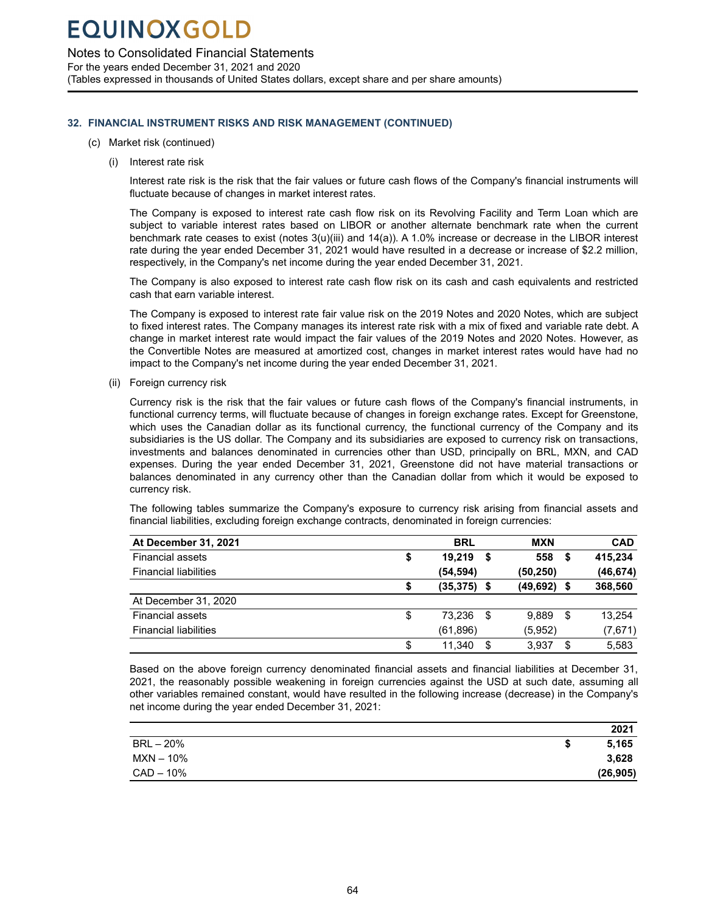Notes to Consolidated Financial Statements

For the years ended December 31, 2021 and 2020 (Tables expressed in thousands of United States dollars, except share and per share amounts)

### **32. FINANCIAL INSTRUMENT RISKS AND RISK MANAGEMENT (CONTINUED)**

- (c) Market risk (continued)
	- (i) Interest rate risk

Interest rate risk is the risk that the fair values or future cash flows of the Company's financial instruments will fluctuate because of changes in market interest rates.

The Company is exposed to interest rate cash flow risk on its Revolving Facility and Term Loan which are subject to variable interest rates based on LIBOR or another alternate benchmark rate when the current benchmark rate ceases to exist (notes 3(u)(iii) and 14(a)). A 1.0% increase or decrease in the LIBOR interest rate during the year ended December 31, 2021 would have resulted in a decrease or increase of \$2.2 million, respectively, in the Company's net income during the year ended December 31, 2021.

The Company is also exposed to interest rate cash flow risk on its cash and cash equivalents and restricted cash that earn variable interest.

The Company is exposed to interest rate fair value risk on the 2019 Notes and 2020 Notes, which are subject to fixed interest rates. The Company manages its interest rate risk with a mix of fixed and variable rate debt. A change in market interest rate would impact the fair values of the 2019 Notes and 2020 Notes. However, as the Convertible Notes are measured at amortized cost, changes in market interest rates would have had no impact to the Company's net income during the year ended December 31, 2021.

(ii) Foreign currency risk

Currency risk is the risk that the fair values or future cash flows of the Company's financial instruments, in functional currency terms, will fluctuate because of changes in foreign exchange rates. Except for Greenstone, which uses the Canadian dollar as its functional currency, the functional currency of the Company and its subsidiaries is the US dollar. The Company and its subsidiaries are exposed to currency risk on transactions, investments and balances denominated in currencies other than USD, principally on BRL, MXN, and CAD expenses. During the year ended December 31, 2021, Greenstone did not have material transactions or balances denominated in any currency other than the Canadian dollar from which it would be exposed to currency risk.

The following tables summarize the Company's exposure to currency risk arising from financial assets and financial liabilities, excluding foreign exchange contracts, denominated in foreign currencies:

| At December 31, 2021         | <b>BRL</b>     |      | MXN       |     | <b>CAD</b> |
|------------------------------|----------------|------|-----------|-----|------------|
| <b>Financial assets</b>      | \$<br>19.219   | S    | 558       | \$  | 415.234    |
| <b>Financial liabilities</b> | (54,594)       |      | (50, 250) |     | (46, 674)  |
|                              | $(35, 375)$ \$ |      | (49, 692) | S   | 368,560    |
| At December 31, 2020         |                |      |           |     |            |
| <b>Financial assets</b>      | \$<br>73.236   | - \$ | 9.889     | -\$ | 13,254     |
| <b>Financial liabilities</b> | (61, 896)      |      | (5,952)   |     | (7,671)    |
|                              | \$<br>11.340   | S    | 3,937     | S   | 5.583      |

Based on the above foreign currency denominated financial assets and financial liabilities at December 31, 2021, the reasonably possible weakening in foreign currencies against the USD at such date, assuming all other variables remained constant, would have resulted in the following increase (decrease) in the Company's net income during the year ended December 31, 2021:

|           | 2021      |
|-----------|-----------|
| BRL – 20% | 5,165     |
| MXN – 10% | 3,628     |
| CAD – 10% | (26, 905) |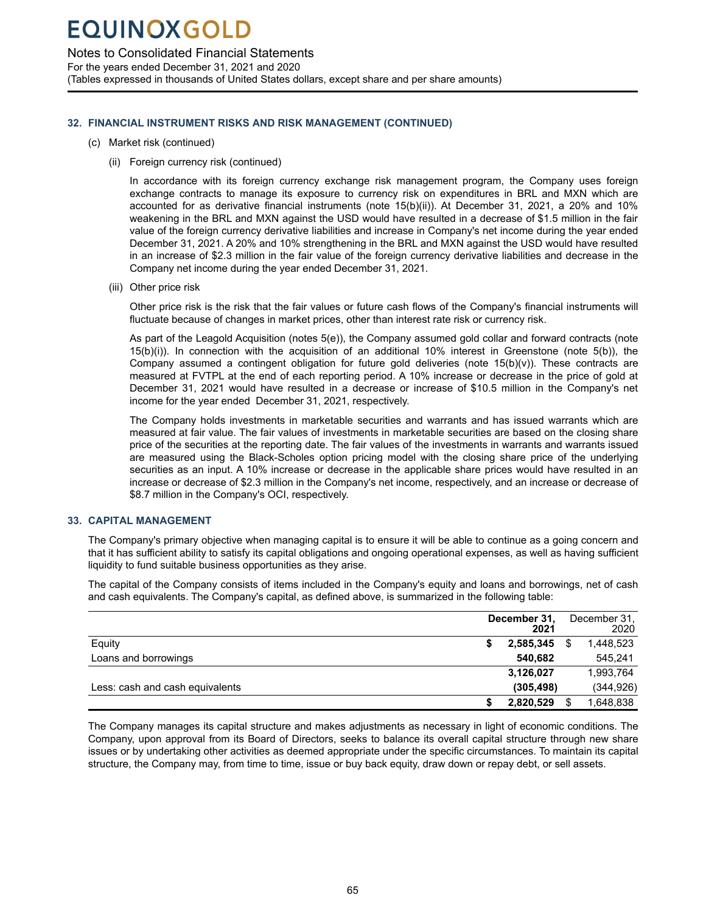### <span id="page-66-0"></span>Notes to Consolidated Financial Statements

For the years ended December 31, 2021 and 2020 (Tables expressed in thousands of United States dollars, except share and per share amounts)

### **32. FINANCIAL INSTRUMENT RISKS AND RISK MANAGEMENT (CONTINUED)**

- (c) Market risk (continued)
	- (ii) Foreign currency risk (continued)

In accordance with its foreign currency exchange risk management program, the Company uses foreign exchange contracts to manage its exposure to currency risk on expenditures in BRL and MXN which are accounted for as derivative financial instruments (note 15(b)(ii)). At December 31, 2021, a 20% and 10% weakening in the BRL and MXN against the USD would have resulted in a decrease of \$1.5 million in the fair value of the foreign currency derivative liabilities and increase in Company's net income during the year ended December 31, 2021. A 20% and 10% strengthening in the BRL and MXN against the USD would have resulted in an increase of \$2.3 million in the fair value of the foreign currency derivative liabilities and decrease in the Company net income during the year ended December 31, 2021.

(iii) Other price risk

Other price risk is the risk that the fair values or future cash flows of the Company's financial instruments will fluctuate because of changes in market prices, other than interest rate risk or currency risk.

As part of the Leagold Acquisition (notes 5(e)), the Company assumed gold collar and forward contracts (note 15(b)(i)). In connection with the acquisition of an additional 10% interest in Greenstone (note 5(b)), the Company assumed a contingent obligation for future gold deliveries (note  $15(b)(v)$ ). These contracts are measured at FVTPL at the end of each reporting period. A 10% increase or decrease in the price of gold at December 31, 2021 would have resulted in a decrease or increase of \$10.5 million in the Company's net income for the year ended December 31, 2021, respectively.

The Company holds investments in marketable securities and warrants and has issued warrants which are measured at fair value. The fair values of investments in marketable securities are based on the closing share price of the securities at the reporting date. The fair values of the investments in warrants and warrants issued are measured using the Black-Scholes option pricing model with the closing share price of the underlying securities as an input. A 10% increase or decrease in the applicable share prices would have resulted in an increase or decrease of \$2.3 million in the Company's net income, respectively, and an increase or decrease of \$8.7 million in the Company's OCI, respectively.

### **33. CAPITAL MANAGEMENT**

The Company's primary objective when managing capital is to ensure it will be able to continue as a going concern and that it has sufficient ability to satisfy its capital obligations and ongoing operational expenses, as well as having sufficient liquidity to fund suitable business opportunities as they arise.

The capital of the Company consists of items included in the Company's equity and loans and borrowings, net of cash and cash equivalents. The Company's capital, as defined above, is summarized in the following table:

|                                 | December 31,<br>2021 | December 31,<br>2020 |
|---------------------------------|----------------------|----------------------|
| Equity                          | 2,585,345            | 1,448,523            |
| Loans and borrowings            | 540.682              | 545,241              |
|                                 | 3,126,027            | 1,993,764            |
| Less: cash and cash equivalents | (305, 498)           | (344, 926)           |
|                                 | 2,820,529            | 1,648,838            |

The Company manages its capital structure and makes adjustments as necessary in light of economic conditions. The Company, upon approval from its Board of Directors, seeks to balance its overall capital structure through new share issues or by undertaking other activities as deemed appropriate under the specific circumstances. To maintain its capital structure, the Company may, from time to time, issue or buy back equity, draw down or repay debt, or sell assets.